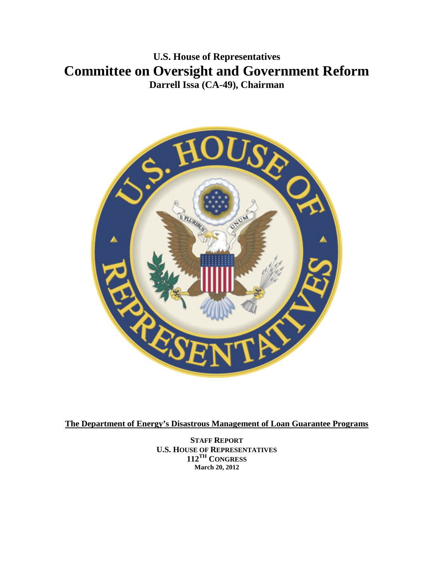**U.S. House of Representatives Committee on Oversight and Government Reform Darrell Issa (CA-49), Chairman**



**The Department of Energy's Disastrous Management of Loan Guarantee Programs**

**STAFF REPORT U.S. HOUSE OF REPRESENTATIVES 112TH CONGRESS March 20, 2012**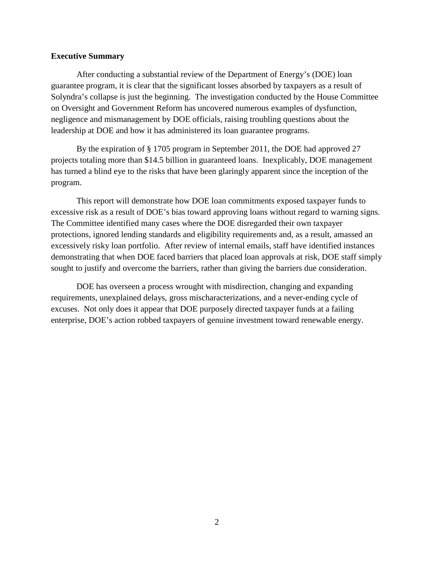#### **Executive Summary**

After conducting a substantial review of the Department of Energy's (DOE) loan guarantee program, it is clear that the significant losses absorbed by taxpayers as a result of Solyndra's collapse is just the beginning. The investigation conducted by the House Committee on Oversight and Government Reform has uncovered numerous examples of dysfunction, negligence and mismanagement by DOE officials, raising troubling questions about the leadership at DOE and how it has administered its loan guarantee programs.

By the expiration of § 1705 program in September 2011, the DOE had approved 27 projects totaling more than \$14.5 billion in guaranteed loans. Inexplicably, DOE management has turned a blind eye to the risks that have been glaringly apparent since the inception of the program.

This report will demonstrate how DOE loan commitments exposed taxpayer funds to excessive risk as a result of DOE's bias toward approving loans without regard to warning signs. The Committee identified many cases where the DOE disregarded their own taxpayer protections, ignored lending standards and eligibility requirements and, as a result, amassed an excessively risky loan portfolio. After review of internal emails, staff have identified instances demonstrating that when DOE faced barriers that placed loan approvals at risk, DOE staff simply sought to justify and overcome the barriers, rather than giving the barriers due consideration.

DOE has overseen a process wrought with misdirection, changing and expanding requirements, unexplained delays, gross mischaracterizations, and a never-ending cycle of excuses. Not only does it appear that DOE purposely directed taxpayer funds at a failing enterprise, DOE's action robbed taxpayers of genuine investment toward renewable energy.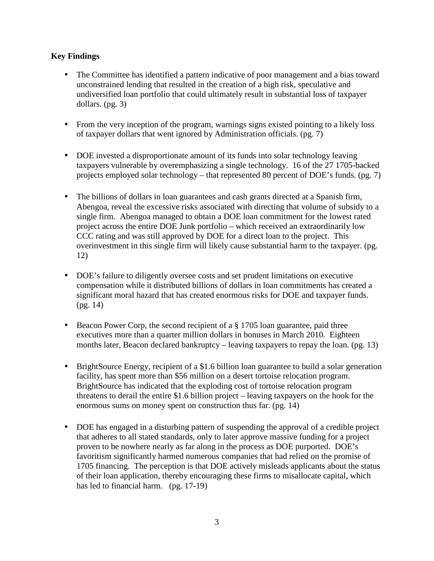# **Key Findings**

- The Committee has identified a pattern indicative of poor management and a bias toward unconstrained lending that resulted in the creation of a high risk, speculative and undiversified loan portfolio that could ultimately result in substantial loss of taxpayer dollars. (pg. 3)
- L, From the very inception of the program, warnings signs existed pointing to a likely loss of taxpayer dollars that went ignored by Administration officials. (pg. 7)
- DOE invested a disproportionate amount of its funds into solar technology leaving taxpayers vulnerable by overemphasizing a single technology. 16 of the 27 1705-backed projects employed solar technology – that represented 80 percent of DOE's funds. (pg. 7)
- The billions of dollars in loan guarantees and cash grants directed at a Spanish firm, Abengoa, reveal the excessive risks associated with directing that volume of subsidy to a single firm. Abengoa managed to obtain a DOE loan commitment for the lowest rated project across the entire DOE Junk portfolio – which received an extraordinarily low CCC rating and was still approved by DOE for a direct loan to the project. This overinvestment in this single firm will likely cause substantial harm to the taxpayer. (pg. 12)
- DOE's failure to diligently oversee costs and set prudent limitations on executive compensation while it distributed billions of dollars in loan commitments has created a significant moral hazard that has created enormous risks for DOE and taxpayer funds. (pg. 14)
- Beacon Power Corp, the second recipient of a § 1705 loan guarantee, paid three  $\mathbf{r}^{\prime}$ executives more than a quarter million dollars in bonuses in March 2010. Eighteen months later, Beacon declared bankruptcy – leaving taxpayers to repay the loan. (pg. 13)
- BrightSource Energy, recipient of a \$1.6 billion loan guarantee to build a solar generation facility, has spent more than \$56 million on a desert tortoise relocation program. BrightSource has indicated that the exploding cost of tortoise relocation program threatens to derail the entire \$1.6 billion project – leaving taxpayers on the hook for the enormous sums on money spent on construction thus far. (pg. 14)
- DOE has engaged in a disturbing pattern of suspending the approval of a credible project ¥, that adheres to all stated standards, only to later approve massive funding for a project proven to be nowhere nearly as far along in the process as DOE purported. DOE's favoritism significantly harmed numerous companies that had relied on the promise of 1705 financing. The perception is that DOE actively misleads applicants about the status of their loan application, thereby encouraging these firms to misallocate capital, which has led to financial harm. (pg. 17-19)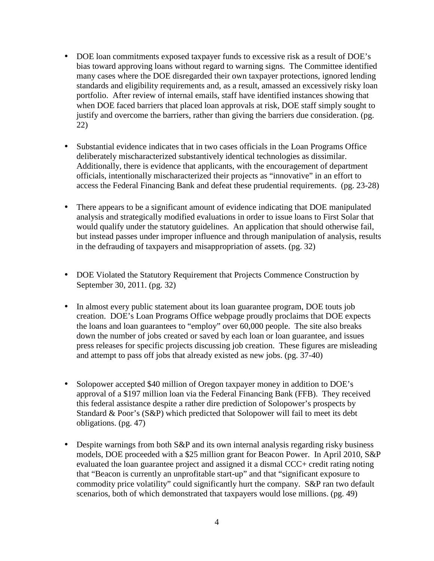- DOE loan commitments exposed taxpayer funds to excessive risk as a result of DOE's bias toward approving loans without regard to warning signs. The Committee identified many cases where the DOE disregarded their own taxpayer protections, ignored lending standards and eligibility requirements and, as a result, amassed an excessively risky loan portfolio. After review of internal emails, staff have identified instances showing that when DOE faced barriers that placed loan approvals at risk, DOE staff simply sought to justify and overcome the barriers, rather than giving the barriers due consideration. (pg. 22)
- Substantial evidence indicates that in two cases officials in the Loan Programs Office deliberately mischaracterized substantively identical technologies as dissimilar. Additionally, there is evidence that applicants, with the encouragement of department officials, intentionally mischaracterized their projects as "innovative" in an effort to access the Federal Financing Bank and defeat these prudential requirements. (pg. 23-28)
- There appears to be a significant amount of evidence indicating that DOE manipulated analysis and strategically modified evaluations in order to issue loans to First Solar that would qualify under the statutory guidelines. An application that should otherwise fail, but instead passes under improper influence and through manipulation of analysis, results in the defrauding of taxpayers and misappropriation of assets. (pg. 32)
- DOE Violated the Statutory Requirement that Projects Commence Construction by September 30, 2011. (pg. 32)
- In almost every public statement about its loan guarantee program, DOE touts job creation. DOE's Loan Programs Office webpage proudly proclaims that DOE expects the loans and loan guarantees to "employ" over 60,000 people. The site also breaks down the number of jobs created or saved by each loan or loan guarantee, and issues press releases for specific projects discussing job creation. These figures are misleading and attempt to pass off jobs that already existed as new jobs. (pg. 37-40)
- Solopower accepted \$40 million of Oregon taxpayer money in addition to DOE's approval of a \$197 million loan via the Federal Financing Bank (FFB). They received this federal assistance despite a rather dire prediction of Solopower's prospects by Standard & Poor's (S&P) which predicted that Solopower will fail to meet its debt obligations. (pg. 47)
- Despite warnings from both S&P and its own internal analysis regarding risky business models, DOE proceeded with a \$25 million grant for Beacon Power. In April 2010, S&P evaluated the loan guarantee project and assigned it a dismal CCC+ credit rating noting that "Beacon is currently an unprofitable start-up" and that "significant exposure to commodity price volatility" could significantly hurt the company. S&P ran two default scenarios, both of which demonstrated that taxpayers would lose millions. (pg. 49)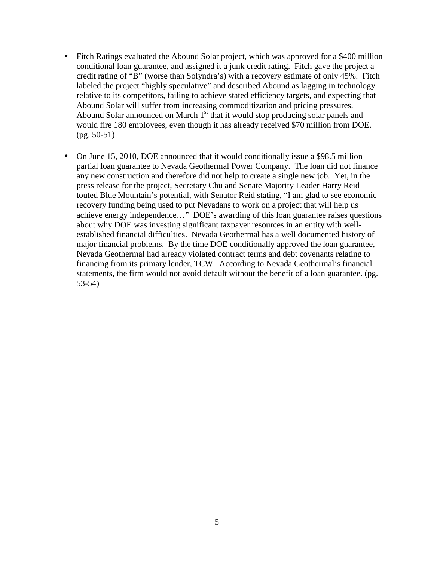- Fitch Ratings evaluated the Abound Solar project, which was approved for a \$400 million conditional loan guarantee, and assigned it a junk credit rating. Fitch gave the project a credit rating of "B" (worse than Solyndra's) with a recovery estimate of only 45%. Fitch labeled the project "highly speculative" and described Abound as lagging in technology relative to its competitors, failing to achieve stated efficiency targets, and expecting that Abound Solar will suffer from increasing commoditization and pricing pressures. Abound Solar announced on March 1<sup>st</sup> that it would stop producing solar panels and would fire 180 employees, even though it has already received \$70 million from DOE. (pg. 50-51)
- On June 15, 2010, DOE announced that it would conditionally issue a \$98.5 million partial loan guarantee to Nevada Geothermal Power Company. The loan did not finance any new construction and therefore did not help to create a single new job. Yet, in the press release for the project, Secretary Chu and Senate Majority Leader Harry Reid touted Blue Mountain's potential, with Senator Reid stating, "I am glad to see economic recovery funding being used to put Nevadans to work on a project that will help us achieve energy independence…" DOE's awarding of this loan guarantee raises questions about why DOE was investing significant taxpayer resources in an entity with wellestablished financial difficulties. Nevada Geothermal has a well documented history of major financial problems. By the time DOE conditionally approved the loan guarantee, Nevada Geothermal had already violated contract terms and debt covenants relating to financing from its primary lender, TCW. According to Nevada Geothermal's financial statements, the firm would not avoid default without the benefit of a loan guarantee. (pg. 53-54)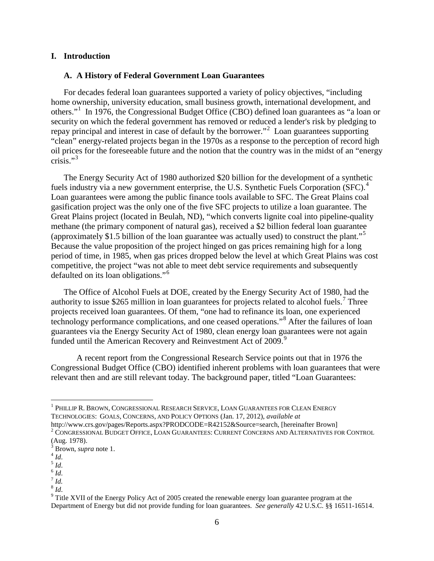#### **I. Introduction**

#### **A. A History of Federal Government Loan Guarantees**

For decades federal loan guarantees supported a variety of policy objectives, "including home ownership, university education, small business growth, international development, and others."<sup>[1](#page-5-0)</sup> In 1976, the Congressional Budget Office (CBO) defined loan guarantees as "a loan or security on which the federal government has removed or reduced a lender's risk by pledging to repay principal and interest in case of default by the borrower."<sup>[2](#page-5-1)</sup> Loan guarantees supporting "clean" energy-related projects began in the 1970s as a response to the perception of record high oil prices for the foreseeable future and the notion that the country was in the midst of an "energy crisis." $3$ 

The Energy Security Act of 1980 authorized \$20 billion for the development of a synthetic fuels industry via a new government enterprise, the U.S. Synthetic Fuels Corporation (SFC).<sup>[4](#page-5-3)</sup> Loan guarantees were among the public finance tools available to SFC. The Great Plains coal gasification project was the only one of the five SFC projects to utilize a loan guarantee. The Great Plains project (located in Beulah, ND), "which converts lignite coal into pipeline-quality methane (the primary component of natural gas), received a \$2 billion federal loan guarantee (approximately \$1.5 billion of the loan guarantee was actually used) to construct the plant."[5](#page-5-4) Because the value proposition of the project hinged on gas prices remaining high for a long period of time, in 1985, when gas prices dropped below the level at which Great Plains was cost competitive, the project "was not able to meet debt service requirements and subsequently defaulted on its loan obligations."[6](#page-5-5)

The Office of Alcohol Fuels at DOE, created by the Energy Security Act of 1980, had the authority to issue \$265 million in loan guarantees for projects related to alcohol fuels.<sup>[7](#page-5-6)</sup> Three projects received loan guarantees. Of them, "one had to refinance its loan, one experienced technology performance complications, and one ceased operations."[8](#page-5-7) After the failures of loan guarantees via the Energy Security Act of 1980, clean energy loan guarantees were not again funded until the American Recovery and Reinvestment Act of 200[9](#page-5-8).<sup>9</sup>

A recent report from the Congressional Research Service points out that in 1976 the Congressional Budget Office (CBO) identified inherent problems with loan guarantees that were relevant then and are still relevant today. The background paper, titled "Loan Guarantees:

<span id="page-5-0"></span> <sup>1</sup> PHILLIP R. BROWN, CONGRESSIONAL RESEARCH SERVICE, LOAN GUARANTEES FOR CLEAN ENERGY TECHNOLOGIES: GOALS, CONCERNS, AND POLICY OPTIONS (Jan. 17, 2012), *available at*

 $^{2}$  CONGRESSIONAL BUDGET OFFICE, LOAN GUARANTEES: CURRENT CONCERNS AND ALTERNATIVES FOR CONTROL

<span id="page-5-1"></span><sup>(</sup>Aug. 1978).

<span id="page-5-2"></span><sup>&</sup>lt;sup>3</sup> Brown, *supra* note 1.<br>
<sup>4</sup> *Id.*<br>
<sup>5</sup> *Id.*<br>
<sup>7</sup> *Id.*<br>
<sup>8</sup> *Id.* 

<span id="page-5-3"></span>

<span id="page-5-5"></span><span id="page-5-4"></span>

<span id="page-5-6"></span>

<span id="page-5-7"></span>

<span id="page-5-8"></span><sup>&</sup>lt;sup>9</sup> Title XVII of the Energy Policy Act of 2005 created the renewable energy loan guarantee program at the Department of Energy but did not provide funding for loan guarantees. *See generally* 42 U.S.C. §§ 16511-16514.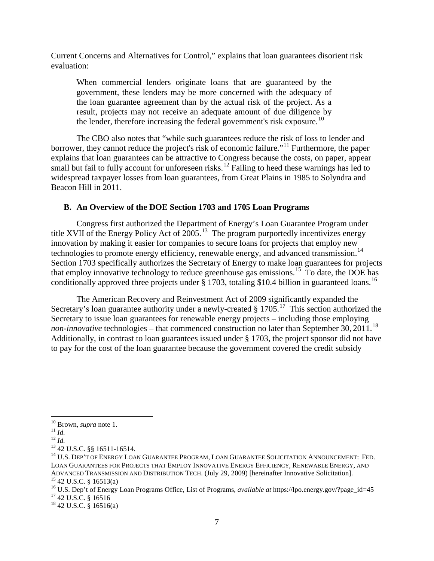Current Concerns and Alternatives for Control," explains that loan guarantees disorient risk evaluation:

When commercial lenders originate loans that are guaranteed by the government, these lenders may be more concerned with the adequacy of the loan guarantee agreement than by the actual risk of the project. As a result, projects may not receive an adequate amount of due diligence by the lender, therefore increasing the federal government's risk exposure.<sup>[10](#page-6-0)</sup>

The CBO also notes that "while such guarantees reduce the risk of loss to lender and borrower, they cannot reduce the project's risk of economic failure."<sup>[11](#page-6-1)</sup> Furthermore, the paper explains that loan guarantees can be attractive to Congress because the costs, on paper, appear small but fail to fully account for unforeseen risks.<sup>[12](#page-6-2)</sup> Failing to heed these warnings has led to widespread taxpayer losses from loan guarantees, from Great Plains in 1985 to Solyndra and Beacon Hill in 2011.

#### **B. An Overview of the DOE Section 1703 and 1705 Loan Programs**

Congress first authorized the Department of Energy's Loan Guarantee Program under title XVII of the Energy Policy Act of  $2005$ .<sup>[13](#page-6-3)</sup> The program purportedly incentivizes energy innovation by making it easier for companies to secure loans for projects that employ new technologies to promote energy efficiency, renewable energy, and advanced transmission.<sup>14</sup> Section 1703 specifically authorizes the Secretary of Energy to make loan guarantees for projects that employ innovative technology to reduce greenhouse gas emissions.<sup>15</sup> To date, the DOE has conditionally approved three projects under  $\S 1703$ , totaling \$10.4 billion in guaranteed loans.<sup>[16](#page-6-6)</sup>

The American Recovery and Reinvestment Act of 2009 significantly expanded the Secretary's loan guarantee authority under a newly-created  $\S 1705$ <sup>17</sup>. This section authorized the Secretary to issue loan guarantees for renewable energy projects – including those employing non-innovative technologies – that commenced construction no later than September 30, 2011.<sup>[18](#page-6-8)</sup> Additionally, in contrast to loan guarantees issued under § 1703, the project sponsor did not have to pay for the cost of the loan guarantee because the government covered the credit subsidy

<span id="page-6-0"></span> $^{10}$  Brown, *supra* note 1.<br> $^{11}$  *Id.* 

<span id="page-6-4"></span>

<span id="page-6-3"></span><span id="page-6-2"></span><span id="page-6-1"></span><sup>12</sup> *Id.*<br><sup>13</sup> 42 U.S.C. §§ 16511-16514.<br><sup>14</sup> U.S. Dep't of Energy Loan Guarantee Program, Loan Guarantee Solicitation Announcement: Fed. LOAN GUARANTEES FOR PROJECTS THAT EMPLOY INNOVATIVE ENERGY EFFICIENCY, RENEWABLE ENERGY, AND<br>ADVANCED TRANSMISSION AND DISTRIBUTION TECH. (July 29, 2009) [hereinafter Innovative Solicitation].

<span id="page-6-6"></span><span id="page-6-5"></span><sup>&</sup>lt;sup>15</sup> 42 U.S.C. § 16513(a)<br><sup>16</sup> U.S. Dep't of Energy Loan Programs Office, List of Programs, *available at* https://lpo.energy.gov/?page\_id=45<br><sup>17</sup> 42 U.S.C. § 16516<br><sup>18</sup> 42 U.S.C. § 16516(a)

<span id="page-6-8"></span><span id="page-6-7"></span>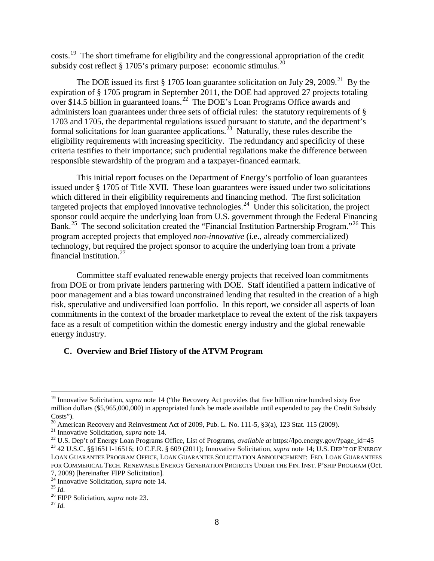costs.[19](#page-7-0) The short timeframe for eligibility and the congressional appropriation of the credit subsidy cost reflect  $\S 1705$ 's primary purpose: economic stimulus.<sup>[20](#page-7-1)</sup>

The DOE issued its first  $\S 1705$  loan guarantee solicitation on July 29, 2009.<sup>[21](#page-7-2)</sup> By the expiration of § 1705 program in September 2011, the DOE had approved 27 projects totaling over \$14.5 billion in guaranteed loans.[22](#page-7-3) The DOE's Loan Programs Office awards and administers loan guarantees under three sets of official rules: the statutory requirements of § 1703 and 1705, the departmental regulations issued pursuant to statute, and the department's formal solicitations for loan guarantee applications.<sup>[23](#page-7-4)</sup> Naturally, these rules describe the eligibility requirements with increasing specificity. The redundancy and specificity of these criteria testifies to their importance; such prudential regulations make the difference between responsible stewardship of the program and a taxpayer-financed earmark.

This initial report focuses on the Department of Energy's portfolio of loan guarantees issued under § 1705 of Title XVII. These loan guarantees were issued under two solicitations which differed in their eligibility requirements and financing method. The first solicitation targeted projects that employed innovative technologies.<sup>24</sup> Under this solicitation, the project sponsor could acquire the underlying loan from U.S. government through the Federal Financing Bank.<sup>25</sup> The second solicitation created the "Financial Institution Partnership Program."<sup>[26](#page-7-7)</sup> This program accepted projects that employed *non-innovative* (i.e., already commercialized) technology, but required the project sponsor to acquire the underlying loan from a private financial institution. $27$ 

Committee staff evaluated renewable energy projects that received loan commitments from DOE or from private lenders partnering with DOE. Staff identified a pattern indicative of poor management and a bias toward unconstrained lending that resulted in the creation of a high risk, speculative and undiversified loan portfolio. In this report, we consider all aspects of loan commitments in the context of the broader marketplace to reveal the extent of the risk taxpayers face as a result of competition within the domestic energy industry and the global renewable energy industry.

# **C. Overview and Brief History of the ATVM Program**

<span id="page-7-0"></span><sup>&</sup>lt;sup>19</sup> Innovative Solicitation, *supra* note 14 ("the Recovery Act provides that five billion nine hundred sixty five million dollars (\$5,965,000,000) in appropriated funds be made available until expended to pay the Credit Subsidy Costs").<br><sup>20</sup> American Recovery and Reinvestment Act of 2009, Pub. L. No. 111-5, §3(a), 123 Stat. 115 (2009).

<span id="page-7-4"></span><span id="page-7-3"></span><span id="page-7-2"></span><span id="page-7-1"></span><sup>&</sup>lt;sup>21</sup> Innovative Solicitation, *supra* note 14.<br><sup>22</sup> U.S. Dep't of Energy Loan Programs Office, List of Programs, *available at* https://lpo.energy.gov/?page\_id=45<br><sup>23</sup> 42 U.S.C. §§16511-16516; 10 C.F.R. § 609 (2011); Inno LOAN GUARANTEE PROGRAM OFFICE, LOAN GUARANTEE SOLICITATION ANNOUNCEMENT: FED. LOAN GUARANTEES FOR COMMERICAL TECH. RENEWABLE ENERGY GENERATION PROJECTS UNDER THE FIN. INST. P'SHIP PROGRAM (Oct.

<sup>7, 2009) [</sup>hereinafter FIPP Solicitation]. <sup>24</sup> Innovative Solicitation, *supra* note 14. <sup>25</sup> *Id.* <sup>26</sup> FIPP Soliciation, *supra* note 23. <sup>27</sup> *Id.*

<span id="page-7-7"></span><span id="page-7-6"></span><span id="page-7-5"></span>

<span id="page-7-8"></span>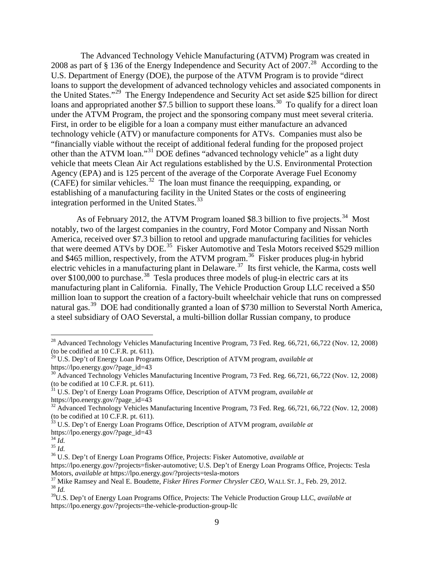The Advanced Technology Vehicle Manufacturing (ATVM) Program was created in 2008 as part of  $\S$  136 of the Energy Independence and Security Act of 2007.<sup>28</sup> According to the U.S. Department of Energy (DOE), the purpose of the ATVM Program is to provide "direct loans to support the development of advanced technology vehicles and associated components in the United States."[29](#page-8-1) The Energy Independence and Security Act set aside \$25 billion for direct loans and appropriated another \$7.5 billion to support these loans.<sup>30</sup> To qualify for a direct loan under the ATVM Program, the project and the sponsoring company must meet several criteria. First, in order to be eligible for a loan a company must either manufacture an advanced technology vehicle (ATV) or manufacture components for ATVs. Companies must also be "financially viable without the receipt of additional federal funding for the proposed project other than the ATVM loan."[31](#page-8-3) DOE defines "advanced technology vehicle" as a light duty vehicle that meets Clean Air Act regulations established by the U.S. Environmental Protection Agency (EPA) and is 125 percent of the average of the Corporate Average Fuel Economy  $(CAFE)$  for similar vehicles.<sup>32</sup> The loan must finance the reequipping, expanding, or establishing of a manufacturing facility in the United States or the costs of engineering integration performed in the United States.<sup>[33](#page-8-5)</sup>

As of February 2012, the ATVM Program loaned \$8.3 billion to five projects.<sup>34</sup> Most notably, two of the largest companies in the country, Ford Motor Company and Nissan North America, received over \$7.3 billion to retool and upgrade manufacturing facilities for vehicles that were deemed ATVs by DOE.<sup>[35](#page-8-7)</sup> Fisker Automotive and Tesla Motors received \$529 million and \$465 million, respectively, from the ATVM program.<sup>36</sup> Fisker produces plug-in hybrid electric vehicles in a manufacturing plant in Delaware.[37](#page-8-9) Its first vehicle, the Karma, costs well over \$100,000 to purchase.<sup>[38](#page-8-10)</sup> Tesla produces three models of plug-in electric cars at its manufacturing plant in California. Finally, The Vehicle Production Group LLC received a \$50 million loan to support the creation of a factory-built wheelchair vehicle that runs on compressed natural gas.<sup>[39](#page-8-11)</sup> DOE had conditionally granted a loan of \$730 million to Severstal North America, a steel subsidiary of OAO Severstal, a multi-billion dollar Russian company, to produce

<span id="page-8-0"></span><sup>&</sup>lt;sup>28</sup> Advanced Technology Vehicles Manufacturing Incentive Program, 73 Fed. Reg. 66,721, 66,722 (Nov. 12, 2008) (to be codified at 10 C.F.R. pt. 611).

<span id="page-8-1"></span><sup>29</sup> U.S. Dep't of Energy Loan Programs Office, Description of ATVM program, *available at* https://lpo.energy.gov/?page\_id=43

<span id="page-8-2"></span><sup>30</sup> Advanced Technology Vehicles Manufacturing Incentive Program, 73 Fed. Reg. 66,721, 66,722 (Nov. 12, 2008) (to be codified at 10 C.F.R. pt. 611). <sup>31</sup> U.S. Dep't of Energy Loan Programs Office, Description of ATVM program, *available at*

<span id="page-8-3"></span>https://lpo.energy.gov/?page\_id=43

<span id="page-8-4"></span><sup>&</sup>lt;sup>32</sup> Advanced Technology Vehicles Manufacturing Incentive Program, 73 Fed. Reg. 66,721, 66,722 (Nov. 12, 2008) (to be codified at 10 C.F.R. pt. 611). <sup>33</sup> U.S. Dep't of Energy Loan Programs Office, Description of ATVM program, *available at*

<span id="page-8-5"></span>https://lpo.energy.gov/?page\_id=43<br> $^{34}$  *Id.*<br> $^{35}$  *Id.* 

<span id="page-8-7"></span><span id="page-8-6"></span>

<span id="page-8-8"></span><sup>&</sup>lt;sup>36</sup> U.S. Dep't of Energy Loan Programs Office, Projects: Fisker Automotive, *available at* 

https://lpo.energy.gov/?projects=fisker-automotive; U.S. Dep't of Energy Loan Programs Office, Projects: Tesla<br>Motors, available at https://lpo.energy.gov/?projects=tesla-motors

<span id="page-8-9"></span><sup>&</sup>lt;sup>37</sup> Mike Ramsey and Neal E. Boudette, *Fisker Hires Former Chrysler CEO*, WALL ST. J., Feb. 29, 2012. <sup>38</sup> *Id*.

<span id="page-8-11"></span><span id="page-8-10"></span><sup>39</sup>U.S. Dep't of Energy Loan Programs Office, Projects: The Vehicle Production Group LLC, *available at* https://lpo.energy.gov/?projects=the-vehicle-production-group-llc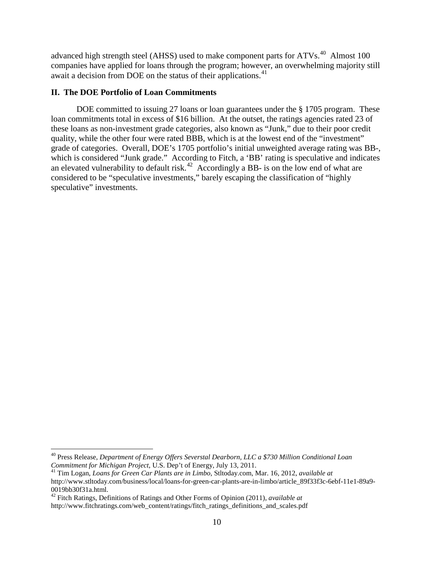advanced high strength steel (AHSS) used to make component parts for ATVs.<sup>40</sup> Almost 100 companies have applied for loans through the program; however, an overwhelming majority still await a decision from DOE on the status of their applications.<sup>[41](#page-9-1)</sup>

## **II. The DOE Portfolio of Loan Commitments**

DOE committed to issuing 27 loans or loan guarantees under the § 1705 program. These loan commitments total in excess of \$16 billion. At the outset, the ratings agencies rated 23 of these loans as non-investment grade categories, also known as "Junk," due to their poor credit quality, while the other four were rated BBB, which is at the lowest end of the "investment" grade of categories. Overall, DOE's 1705 portfolio's initial unweighted average rating was BB-, which is considered "Junk grade." According to Fitch, a 'BB' rating is speculative and indicates an elevated vulnerability to default risk.<sup>[42](#page-9-2)</sup> Accordingly a BB- is on the low end of what are considered to be "speculative investments," barely escaping the classification of "highly speculative" investments.

<span id="page-9-0"></span> <sup>40</sup> Press Release, *Department of Energy Offers Severstal Dearborn, LLC a \$730 Million Conditional Loan Commitment for Michigan Project*, U.S. Dep't of Energy, July 13, 2011.

<span id="page-9-1"></span><sup>41</sup> Tim Logan, *Loans for Green Car Plants are in Limbo*, Stltoday.com, Mar. 16, 2012, *available at* http://www.stltoday.com/business/local/loans-for-green-car-plants-are-in-limbo/article\_89f33f3c-6ebf-11e1-89a9- 0019bb30f31a.html. 42 Fitch Ratings, Definitions of Ratings and Other Forms of Opinion (2011), *available at*

<span id="page-9-2"></span>http://www.fitchratings.com/web\_content/ratings/fitch\_ratings\_definitions\_and\_scales.pdf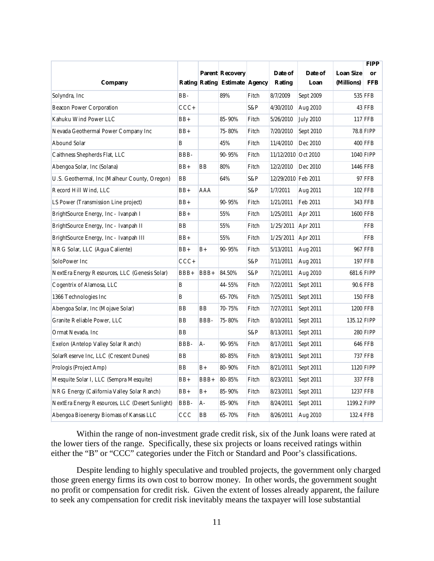|                                                 |           |      |                               |       |                     |                  |                  | <b>FIPP</b>      |
|-------------------------------------------------|-----------|------|-------------------------------|-------|---------------------|------------------|------------------|------------------|
|                                                 |           |      | <b>Parent Recovery</b>        |       | Date of             | Date of          | <b>Loan Size</b> | or               |
| Company                                         |           |      | Rating Rating Estimate Agency |       | <b>Rating</b>       | Loan             | (Millions)       | <b>FFB</b>       |
| Solyndra, Inc                                   | $BB-$     |      | 89%                           | Fitch | 8/7/2009            | Sept 2009        |                  | <b>535 FFB</b>   |
| <b>Beacon Power Corporation</b>                 | $CCC+$    |      |                               | S&P   | 4/30/2010           | Aug 2010         |                  | 43 FFB           |
| Kahuku Wind Power LLC                           | $BB+$     |      | 85-90%                        | Fitch | 5/26/2010           | <b>July 2010</b> |                  | <b>117 FFB</b>   |
| Nevada Geothermal Power Company Inc             | $BB+$     |      | 75-80%                        | Fitch | 7/20/2010           | Sept 2010        |                  | <b>78.8 FIPP</b> |
| Abound Solar                                    | B         |      | 45%                           | Fitch | 11/4/2010           | Dec 2010         |                  | <b>400 FFB</b>   |
| Caithness Shepherds Flat, LLC                   | BBB-      |      | $90 - 95%$                    | Fitch | 11/12/2010 Oct 2010 |                  |                  | 1040 FIPP        |
| Abengoa Solar, Inc (Solana)                     | $BB+$     | ΒB   | 80%                           | Fitch | 12/2/2010           | Dec 2010         | 1446 FFB         |                  |
| U.S. Geothermal, Inc (Malheur County, Oregon)   | <b>BB</b> |      | 64%                           | S&P   | 12/29/2010 Feb 2011 |                  |                  | 97 FFB           |
| Record Hill Wind, LLC                           | $BB+$     | AAA  |                               | S&P   | 1/7/2011            | Aug 2011         |                  | <b>102 FFB</b>   |
| LS Power (Transmission Line project)            | $BB+$     |      | 90-95%                        | Fitch | 1/21/2011           | Feb 2011         |                  | <b>343 FFB</b>   |
| BrightSource Energy, Inc - Ivanpah I            | $BB+$     |      | 55%                           | Fitch | 1/25/2011           | Apr 2011         | <b>1600 FFB</b>  |                  |
| BrightSource Energy, Inc - Ivanpah II           | <b>BB</b> |      | 55%                           | Fitch | 1/25/2011           | Apr 2011         |                  | <b>FFB</b>       |
| BrightSource Energy, Inc - Ivanpah III          | $BB+$     |      | 55%                           | Fitch | 1/25/2011           | Apr 2011         |                  | <b>FFB</b>       |
| NRG Solar, LLC (Agua Caliente)                  | $BB+$     | $B+$ | 90-95%                        | Fitch | 5/13/2011           | Aug 2011         |                  | <b>967 FFB</b>   |
| SoloPower Inc                                   | $CCC+$    |      |                               | S&P   | 7/11/2011           | Aug 2011         |                  | <b>197 FFB</b>   |
| NextEra Energy Resources, LLC (Genesis Solar)   | BBB+      | BBB+ | 84.50%                        | S&P   | 7/21/2011           | Aug 2010         | 681.6 FIPP       |                  |
| Cogentrix of Alamosa, LLC                       | B         |      | 44-55%                        | Fitch | 7/22/2011           | Sept 2011        |                  | 90.6 FFB         |
| 1366 Technologies Inc                           | B         |      | 65-70%                        | Fitch | 7/25/2011           | Sept 2011        |                  | <b>150 FFB</b>   |
| Abengoa Solar, Inc (Mojave Solar)               | BB        | BB   | 70-75%                        | Fitch | 7/27/2011           | Sept 2011        | <b>1200 FFB</b>  |                  |
| Granite Reliable Power, LLC                     | BB        | BBB- | 75-80%                        | Fitch | 8/10/2011           | Sept 2011        | 135.12 FIPP      |                  |
| Ormat Nevada, Inc                               | <b>BB</b> |      |                               | S&P   | 8/13/2011           | Sept 2011        |                  | <b>280 FIPP</b>  |
| Exelon (Antelop Valley Solar Ranch)             | BBB-      | $A-$ | 90-95%                        | Fitch | 8/17/2011           | Sept 2011        |                  | <b>646 FFB</b>   |
| SolarReserve Inc, LLC (Crescent Dunes)          | BB        |      | 80-85%                        | Fitch | 8/19/2011           | Sept 2011        |                  | <b>737 FFB</b>   |
| Prologis (Project Amp)                          | BB        | $B+$ | 80-90%                        | Fitch | 8/21/2011           | Sept 2011        |                  | 1120 FIPP        |
| Mesquite Solar I, LLC (Sempra Mesquite)         | $BB+$     | BBB+ | 80-85%                        | Fitch | 8/23/2011           | Sept 2011        |                  | <b>337 FFB</b>   |
| NRG Energy (California Valley Solar Ranch)      | $BB+$     | B+   | 85-90%                        | Fitch | 8/23/2011           | Sept 2011        | <b>1237 FFB</b>  |                  |
| NextEra Energy Resources, LLC (Desert Sunlight) | BBB-      | A-   | 85-90%                        | Fitch | 8/24/2011           | Sept 2011        | 1199.2 FIPP      |                  |
| Abengoa Bioenergy Biomass of Kansas LLC         | CCC       | BB   | 65-70%                        | Fitch | 8/26/2011           | Aug 2010         | 132.4 FFB        |                  |

Within the range of non-investment grade credit risk, six of the Junk loans were rated at the lower tiers of the range. Specifically, these six projects or loans received ratings within either the "B" or "CCC" categories under the Fitch or Standard and Poor's classifications.

Despite lending to highly speculative and troubled projects, the government only charged those green energy firms its own cost to borrow money. In other words, the government sought no profit or compensation for credit risk. Given the extent of losses already apparent, the failure to seek any compensation for credit risk inevitably means the taxpayer will lose substantial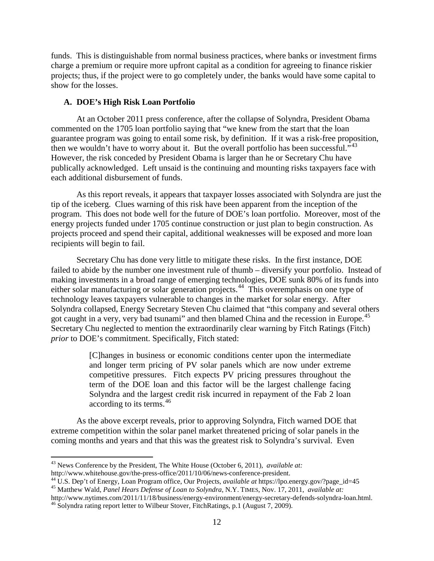funds. This is distinguishable from normal business practices, where banks or investment firms charge a premium or require more upfront capital as a condition for agreeing to finance riskier projects; thus, if the project were to go completely under, the banks would have some capital to show for the losses.

## **A. DOE's High Risk Loan Portfolio**

At an October 2011 press conference, after the collapse of Solyndra, President Obama commented on the 1705 loan portfolio saying that "we knew from the start that the loan guarantee program was going to entail some risk, by definition. If it was a risk-free proposition, then we wouldn't have to worry about it. But the overall portfolio has been successful."<sup>[43](#page-11-0)</sup> However, the risk conceded by President Obama is larger than he or Secretary Chu have publically acknowledged. Left unsaid is the continuing and mounting risks taxpayers face with each additional disbursement of funds.

As this report reveals, it appears that taxpayer losses associated with Solyndra are just the tip of the iceberg. Clues warning of this risk have been apparent from the inception of the program. This does not bode well for the future of DOE's loan portfolio. Moreover, most of the energy projects funded under 1705 continue construction or just plan to begin construction. As projects proceed and spend their capital, additional weaknesses will be exposed and more loan recipients will begin to fail.

Secretary Chu has done very little to mitigate these risks. In the first instance, DOE failed to abide by the number one investment rule of thumb – diversify your portfolio. Instead of making investments in a broad range of emerging technologies, DOE sunk 80% of its funds into either solar manufacturing or solar generation projects.<sup>[44](#page-11-1)</sup> This overemphasis on one type of technology leaves taxpayers vulnerable to changes in the market for solar energy. After Solyndra collapsed, Energy Secretary Steven Chu claimed that "this company and several others got caught in a very, very bad tsunami" and then blamed China and the recession in Europe.<sup>[45](#page-11-2)</sup> Secretary Chu neglected to mention the extraordinarily clear warning by Fitch Ratings (Fitch) *prior* to DOE's commitment. Specifically, Fitch stated:

> [C]hanges in business or economic conditions center upon the intermediate and longer term pricing of PV solar panels which are now under extreme competitive pressures. Fitch expects PV pricing pressures throughout the term of the DOE loan and this factor will be the largest challenge facing Solyndra and the largest credit risk incurred in repayment of the Fab 2 loan according to its terms. [46](#page-11-3)

As the above excerpt reveals, prior to approving Solyndra, Fitch warned DOE that extreme competition within the solar panel market threatened pricing of solar panels in the coming months and years and that this was the greatest risk to Solyndra's survival. Even

<span id="page-11-0"></span><sup>&</sup>lt;sup>43</sup> News Conference by the President, The White House (October 6, 2011), *available at:*  $http://www.whitehouse.gov/the-press-office/2011/10/06/news-conference-president.$ 

<span id="page-11-1"></span>

<sup>&</sup>lt;sup>44</sup> U.S. Dep't of Energy, Loan Program office, Our Projects, *available at https://lpo.energy.gov/?page\_id=45*<br><sup>45</sup> Matthew Wald, *Panel Hears Defense of Loan to Solyndra*, N.Y. TIMES, Nov. 17, 2011, *available at:* 

<span id="page-11-3"></span><span id="page-11-2"></span>http://www.nytimes.com/2011/11/18/business/energy-environment/energy-secretary-defends-solyndra-loan.html.<br><sup>46</sup> Solyndra rating report letter to Wilbeur Stover, FitchRatings, p.1 (August 7, 2009).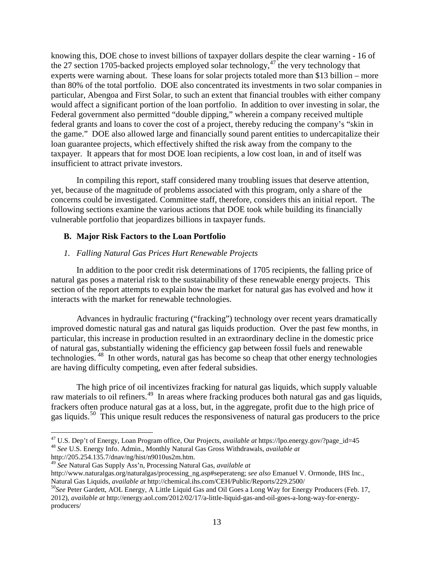knowing this, DOE chose to invest billions of taxpayer dollars despite the clear warning - 16 of the 27 section 1705-backed projects employed solar technology, $47$  the very technology that experts were warning about. These loans for solar projects totaled more than \$13 billion – more than 80% of the total portfolio. DOE also concentrated its investments in two solar companies in particular, Abengoa and First Solar, to such an extent that financial troubles with either company would affect a significant portion of the loan portfolio. In addition to over investing in solar, the Federal government also permitted "double dipping," wherein a company received multiple federal grants and loans to cover the cost of a project, thereby reducing the company's "skin in the game." DOE also allowed large and financially sound parent entities to undercapitalize their loan guarantee projects, which effectively shifted the risk away from the company to the taxpayer. It appears that for most DOE loan recipients, a low cost loan, in and of itself was insufficient to attract private investors.

In compiling this report, staff considered many troubling issues that deserve attention, yet, because of the magnitude of problems associated with this program, only a share of the concerns could be investigated. Committee staff, therefore, considers this an initial report. The following sections examine the various actions that DOE took while building its financially vulnerable portfolio that jeopardizes billions in taxpayer funds.

## **B. Major Risk Factors to the Loan Portfolio**

### *1. Falling Natural Gas Prices Hurt Renewable Projects*

In addition to the poor credit risk determinations of 1705 recipients, the falling price of natural gas poses a material risk to the sustainability of these renewable energy projects. This section of the report attempts to explain how the market for natural gas has evolved and how it interacts with the market for renewable technologies.

Advances in hydraulic fracturing ("fracking") technology over recent years dramatically improved domestic natural gas and natural gas liquids production. Over the past few months, in particular, this increase in production resulted in an extraordinary decline in the domestic price of natural gas, substantially widening the efficiency gap between fossil fuels and renewable technologies. [48](#page-12-1) In other words, natural gas has become so cheap that other energy technologies are having difficulty competing, even after federal subsidies.

The high price of oil incentivizes fracking for natural gas liquids, which supply valuable raw materials to oil refiners.<sup>[49](#page-12-2)</sup> In areas where fracking produces both natural gas and gas liquids, frackers often produce natural gas at a loss, but, in the aggregate, profit due to the high price of gas liquids.<sup>[50](#page-12-3)</sup> This unique result reduces the responsiveness of natural gas producers to the price

<span id="page-12-2"></span><sup>49</sup> See Natural Gas Supply Ass'n, Processing Natural Gas, *available at* 

http://www.naturalgas.org/naturalgas/processing\_ng.asp#seperateng; *see also* Emanuel V. Ormonde, IHS Inc.,

<span id="page-12-1"></span><span id="page-12-0"></span> <sup>47</sup> U.S. Dep't of Energy, Loan Program office, Our Projects, *available at* https://lpo.energy.gov/?page\_id=45 <sup>48</sup> *See* U.S. Energy Info. Admin., Monthly Natural Gas Gross Withdrawals, *available at* 

<span id="page-12-3"></span><sup>&</sup>lt;sup>50</sup>See Peter Gardett, AOL Energy, A Little Liquid Gas and Oil Goes a Long Way for Energy Producers (Feb. 17, 2012), *available at* http://energy.aol.com/2012/02/17/a-little-liquid-gas-and-oil-goes-a-long-way-for-energyproducers/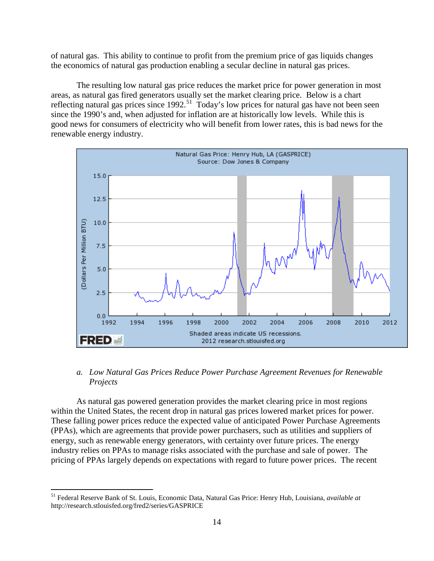of natural gas. This ability to continue to profit from the premium price of gas liquids changes the economics of natural gas production enabling a secular decline in natural gas prices.

The resulting low natural gas price reduces the market price for power generation in most areas, as natural gas fired generators usually set the market clearing price. Below is a chart reflecting natural gas prices since  $1992$ <sup>[51](#page-13-0)</sup> Today's low prices for natural gas have not been seen since the 1990's and, when adjusted for inflation are at historically low levels. While this is good news for consumers of electricity who will benefit from lower rates, this is bad news for the renewable energy industry.



# *a. Low Natural Gas Prices Reduce Power Purchase Agreement Revenues for Renewable Projects*

As natural gas powered generation provides the market clearing price in most regions within the United States, the recent drop in natural gas prices lowered market prices for power. These falling power prices reduce the expected value of anticipated Power Purchase Agreements (PPAs), which are agreements that provide power purchasers, such as utilities and suppliers of energy, such as renewable energy generators, with certainty over future prices. The energy industry relies on PPAs to manage risks associated with the purchase and sale of power. The pricing of PPAs largely depends on expectations with regard to future power prices. The recent

<span id="page-13-0"></span> <sup>51</sup> Federal Reserve Bank of St. Louis, Economic Data, Natural Gas Price: Henry Hub, Louisiana, *available at* http://research.stlouisfed.org/fred2/series/GASPRICE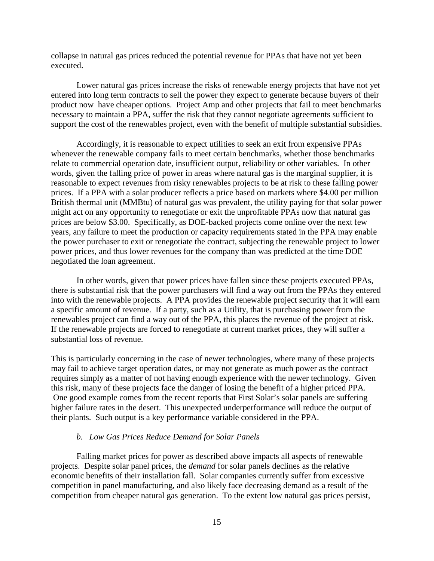collapse in natural gas prices reduced the potential revenue for PPAs that have not yet been executed.

Lower natural gas prices increase the risks of renewable energy projects that have not yet entered into long term contracts to sell the power they expect to generate because buyers of their product now have cheaper options. Project Amp and other projects that fail to meet benchmarks necessary to maintain a PPA, suffer the risk that they cannot negotiate agreements sufficient to support the cost of the renewables project, even with the benefit of multiple substantial subsidies.

Accordingly, it is reasonable to expect utilities to seek an exit from expensive PPAs whenever the renewable company fails to meet certain benchmarks, whether those benchmarks relate to commercial operation date, insufficient output, reliability or other variables. In other words, given the falling price of power in areas where natural gas is the marginal supplier, it is reasonable to expect revenues from risky renewables projects to be at risk to these falling power prices. If a PPA with a solar producer reflects a price based on markets where \$4.00 per million British thermal unit (MMBtu) of natural gas was prevalent, the utility paying for that solar power might act on any opportunity to renegotiate or exit the unprofitable PPAs now that natural gas prices are below \$3.00. Specifically, as DOE-backed projects come online over the next few years, any failure to meet the production or capacity requirements stated in the PPA may enable the power purchaser to exit or renegotiate the contract, subjecting the renewable project to lower power prices, and thus lower revenues for the company than was predicted at the time DOE negotiated the loan agreement.

In other words, given that power prices have fallen since these projects executed PPAs, there is substantial risk that the power purchasers will find a way out from the PPAs they entered into with the renewable projects. A PPA provides the renewable project security that it will earn a specific amount of revenue. If a party, such as a Utility, that is purchasing power from the renewables project can find a way out of the PPA, this places the revenue of the project at risk. If the renewable projects are forced to renegotiate at current market prices, they will suffer a substantial loss of revenue.

This is particularly concerning in the case of newer technologies, where many of these projects may fail to achieve target operation dates, or may not generate as much power as the contract requires simply as a matter of not having enough experience with the newer technology. Given this risk, many of these projects face the danger of losing the benefit of a higher priced PPA. One good example comes from the recent reports that First Solar's solar panels are suffering higher failure rates in the desert. This unexpected underperformance will reduce the output of their plants. Such output is a key performance variable considered in the PPA.

#### *b. Low Gas Prices Reduce Demand for Solar Panels*

Falling market prices for power as described above impacts all aspects of renewable projects. Despite solar panel prices, the *demand* for solar panels declines as the relative economic benefits of their installation fall. Solar companies currently suffer from excessive competition in panel manufacturing, and also likely face decreasing demand as a result of the competition from cheaper natural gas generation. To the extent low natural gas prices persist,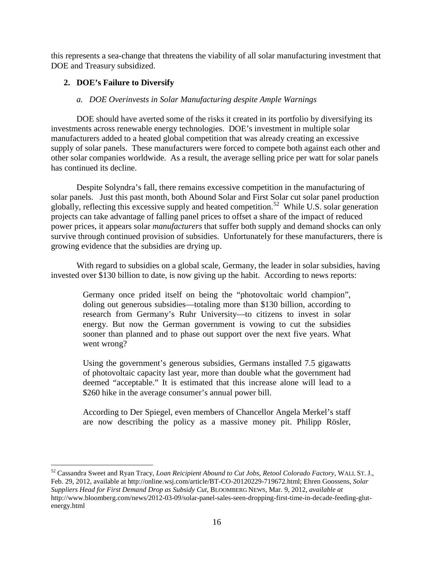this represents a sea-change that threatens the viability of all solar manufacturing investment that DOE and Treasury subsidized.

# **2. DOE's Failure to Diversify**

## *a. DOE Overinvests in Solar Manufacturing despite Ample Warnings*

DOE should have averted some of the risks it created in its portfolio by diversifying its investments across renewable energy technologies. DOE's investment in multiple solar manufacturers added to a heated global competition that was already creating an excessive supply of solar panels. These manufacturers were forced to compete both against each other and other solar companies worldwide. As a result, the average selling price per watt for solar panels has continued its decline.

Despite Solyndra's fall, there remains excessive competition in the manufacturing of solar panels. Just this past month, both Abound Solar and First Solar cut solar panel production globally, reflecting this excessive supply and heated competition.<sup>[52](#page-15-0)</sup> While U.S. solar generation projects can take advantage of falling panel prices to offset a share of the impact of reduced power prices, it appears solar *manufacturers* that suffer both supply and demand shocks can only survive through continued provision of subsidies. Unfortunately for these manufacturers, there is growing evidence that the subsidies are drying up.

With regard to subsidies on a global scale, Germany, the leader in solar subsidies, having invested over \$130 billion to date, is now giving up the habit. According to news reports:

Germany once prided itself on being the "photovoltaic world champion", doling out generous subsidies—totaling more than \$130 billion, according to research from Germany's Ruhr University—to citizens to invest in solar energy. But now the German government is vowing to cut the subsidies sooner than planned and to phase out support over the next five years. What went wrong?

Using the government's generous subsidies, Germans installed 7.5 gigawatts of photovoltaic capacity last year, more than double what the government had deemed "acceptable." It is estimated that this increase alone will lead to a \$260 hike in the average consumer's annual power bill.

According to Der Spiegel, even members of Chancellor Angela Merkel's staff are now describing the policy as a massive money pit. Philipp Rösler,

<span id="page-15-0"></span> <sup>52</sup> Cassandra Sweet and Ryan Tracy, *Loan Reicipient Abound to Cut Jobs, Retool Colorado Factory*, WALL ST. J., Feb. 29, 2012, available at http://online.wsj.com/article/BT-CO-20120229-719672.html; Ehren Goossens, *Solar Suppliers Head for First Demand Drop as Subsidy Cut*, BLOOMBERG NEWS, Mar. 9, 2012, *available at* http://www.bloomberg.com/news/2012-03-09/solar-panel-sales-seen-dropping-first-time-in-decade-feeding-glutenergy.html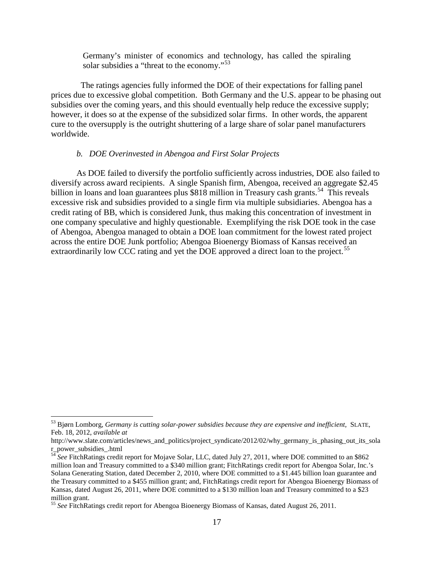Germany's minister of economics and technology, has called the spiraling solar subsidies a "threat to the economy."<sup>[53](#page-16-0)</sup>

 The ratings agencies fully informed the DOE of their expectations for falling panel prices due to excessive global competition. Both Germany and the U.S. appear to be phasing out subsidies over the coming years, and this should eventually help reduce the excessive supply; however, it does so at the expense of the subsidized solar firms. In other words, the apparent cure to the oversupply is the outright shuttering of a large share of solar panel manufacturers worldwide.

#### *b. DOE Overinvested in Abengoa and First Solar Projects*

As DOE failed to diversify the portfolio sufficiently across industries, DOE also failed to diversify across award recipients. A single Spanish firm, Abengoa, received an aggregate \$2.45 billion in loans and loan guarantees plus \$818 million in Treasury cash grants.<sup>[54](#page-16-1)</sup> This reveals excessive risk and subsidies provided to a single firm via multiple subsidiaries. Abengoa has a credit rating of BB, which is considered Junk, thus making this concentration of investment in one company speculative and highly questionable. Exemplifying the risk DOE took in the case of Abengoa, Abengoa managed to obtain a DOE loan commitment for the lowest rated project across the entire DOE Junk portfolio; Abengoa Bioenergy Biomass of Kansas received an extraordinarily low CCC rating and yet the DOE approved a direct loan to the project.<sup>[55](#page-16-2)</sup>

<span id="page-16-0"></span> <sup>53</sup> Bjørn Lomborg, *Germany is cutting solar-power subsidies because they are expensive and inefficient,* SLATE, Feb. 18, 2012, *available at* 

http://www.slate.com/articles/news\_and\_politics/project\_syndicate/2012/02/why\_germany\_is\_phasing\_out\_its\_sola r\_power\_subsidies\_.html

<span id="page-16-1"></span><sup>54</sup> *See* FitchRatings credit report for Mojave Solar, LLC, dated July 27, 2011, where DOE committed to an \$862 million loan and Treasury committed to a \$340 million grant; FitchRatings credit report for Abengoa Solar, Inc.'s Solana Generating Station, dated December 2, 2010, where DOE committed to a \$1.445 billion loan guarantee and the Treasury committed to a \$455 million grant; and, FitchRatings credit report for Abengoa Bioenergy Biomass of Kansas, dated August 26, 2011, where DOE committed to a \$130 million loan and Treasury committed to a \$23 million grant.

<span id="page-16-2"></span><sup>55</sup> *See* FitchRatings credit report for Abengoa Bioenergy Biomass of Kansas, dated August 26, 2011.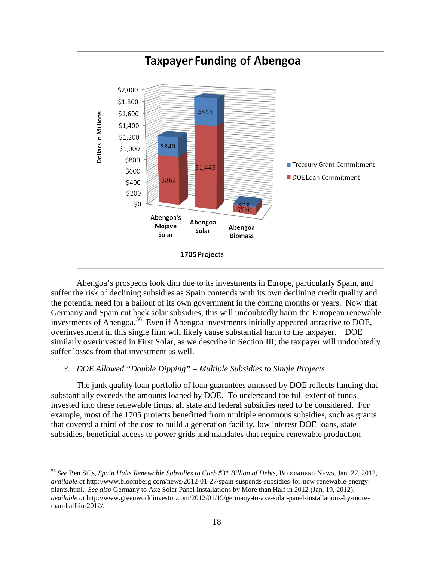

Abengoa's prospects look dim due to its investments in Europe, particularly Spain, and suffer the risk of declining subsidies as Spain contends with its own declining credit quality and the potential need for a bailout of its own government in the coming months or years. Now that Germany and Spain cut back solar subsidies, this will undoubtedly harm the European renewable investments of Abengoa.<sup>[56](#page-17-0)</sup> Even if Abengoa investments initially appeared attractive to DOE, overinvestment in this single firm will likely cause substantial harm to the taxpayer. DOE similarly overinvested in First Solar, as we describe in Section III; the taxpayer will undoubtedly suffer losses from that investment as well.

### *3. DOE Allowed "Double Dipping" – Multiple Subsidies to Single Projects*

The junk quality loan portfolio of loan guarantees amassed by DOE reflects funding that substantially exceeds the amounts loaned by DOE. To understand the full extent of funds invested into these renewable firms, all state and federal subsidies need to be considered. For example, most of the 1705 projects benefitted from multiple enormous subsidies, such as grants that covered a third of the cost to build a generation facility, low interest DOE loans, state subsidies, beneficial access to power grids and mandates that require renewable production

<span id="page-17-0"></span> <sup>56</sup> *See* Ben Sills, *Spain Halts Renewable Subsidies to Curb \$31 Billion of Debts*, BLOOMBERG NEWS, Jan. 27, 2012, *available at* http://www.bloomberg.com/news/2012-01-27/spain-suspends-subsidies-for-new-renewable-energyplants.html. *See also* Germany to Axe Solar Panel Installations by More than Half in 2012 (Jan. 19, 2012), *available at* http://www.greenworldinvestor.com/2012/01/19/germany-to-axe-solar-panel-installations-by-morethan-half-in-2012/.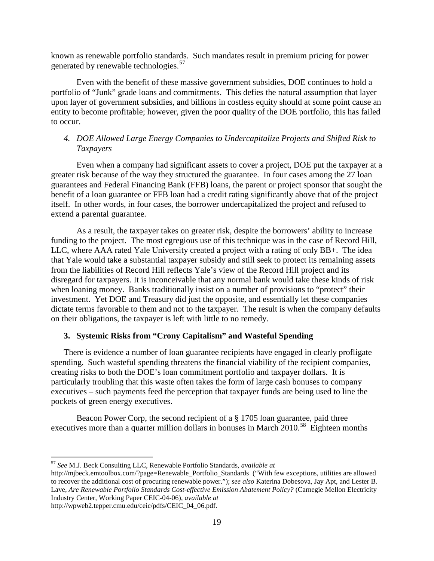known as renewable portfolio standards. Such mandates result in premium pricing for power generated by renewable technologies.<sup>[57](#page-18-0)</sup>

Even with the benefit of these massive government subsidies, DOE continues to hold a portfolio of "Junk" grade loans and commitments. This defies the natural assumption that layer upon layer of government subsidies, and billions in costless equity should at some point cause an entity to become profitable; however, given the poor quality of the DOE portfolio, this has failed to occur.

## *4. DOE Allowed Large Energy Companies to Undercapitalize Projects and Shifted Risk to Taxpayers*

Even when a company had significant assets to cover a project, DOE put the taxpayer at a greater risk because of the way they structured the guarantee. In four cases among the 27 loan guarantees and Federal Financing Bank (FFB) loans, the parent or project sponsor that sought the benefit of a loan guarantee or FFB loan had a credit rating significantly above that of the project itself. In other words, in four cases, the borrower undercapitalized the project and refused to extend a parental guarantee.

As a result, the taxpayer takes on greater risk, despite the borrowers' ability to increase funding to the project. The most egregious use of this technique was in the case of Record Hill, LLC, where AAA rated Yale University created a project with a rating of only BB+. The idea that Yale would take a substantial taxpayer subsidy and still seek to protect its remaining assets from the liabilities of Record Hill reflects Yale's view of the Record Hill project and its disregard for taxpayers. It is inconceivable that any normal bank would take these kinds of risk when loaning money. Banks traditionally insist on a number of provisions to "protect" their investment. Yet DOE and Treasury did just the opposite, and essentially let these companies dictate terms favorable to them and not to the taxpayer. The result is when the company defaults on their obligations, the taxpayer is left with little to no remedy.

### **3. Systemic Risks from "Crony Capitalism" and Wasteful Spending**

There is evidence a number of loan guarantee recipients have engaged in clearly profligate spending. Such wasteful spending threatens the financial viability of the recipient companies, creating risks to both the DOE's loan commitment portfolio and taxpayer dollars. It is particularly troubling that this waste often takes the form of large cash bonuses to company executives – such payments feed the perception that taxpayer funds are being used to line the pockets of green energy executives.

Beacon Power Corp, the second recipient of a § 1705 loan guarantee, paid three executives more than a quarter million dollars in bonuses in March  $2010$ <sup>[58](#page-18-1)</sup> Eighteen months

<span id="page-18-1"></span><span id="page-18-0"></span> <sup>57</sup> *See* M.J. Beck Consulting LLC, Renewable Portfolio Standards, *available at*

http://mjbeck.emtoolbox.com/?page=Renewable\_Portfolio\_Standards ("With few exceptions, utilities are allowed to recover the additional cost of procuring renewable power."); *see also* Katerina Dobesova, Jay Apt, and Lester B. Lave, *Are Renewable Portfolio Standards Cost-effective Emission Abatement Policy?* (Carnegie Mellon Electricity Industry Center, Working Paper CEIC-04-06), *available at*  http://wpweb2.tepper.cmu.edu/ceic/pdfs/CEIC\_04\_06.pdf.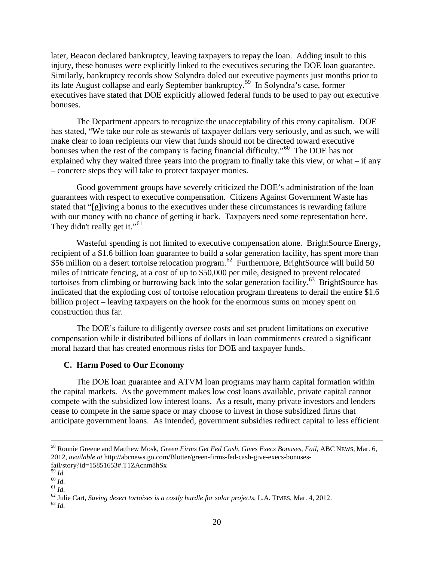later, Beacon declared bankruptcy, leaving taxpayers to repay the loan. Adding insult to this injury, these bonuses were explicitly linked to the executives securing the DOE loan guarantee. Similarly, bankruptcy records show Solyndra doled out executive payments just months prior to its late August collapse and early September bankruptcy.<sup>[59](#page-19-0)</sup> In Solyndra's case, former executives have stated that DOE explicitly allowed federal funds to be used to pay out executive bonuses.

The Department appears to recognize the unacceptability of this crony capitalism. DOE has stated, "We take our role as stewards of taxpayer dollars very seriously, and as such, we will make clear to loan recipients our view that funds should not be directed toward executive bonuses when the rest of the company is facing financial difficulty."<sup>[60](#page-19-1)</sup> The DOE has not explained why they waited three years into the program to finally take this view, or what – if any – concrete steps they will take to protect taxpayer monies.

Good government groups have severely criticized the DOE's administration of the loan guarantees with respect to executive compensation. Citizens Against Government Waste has stated that "[g]iving a bonus to the executives under these circumstances is rewarding failure with our money with no chance of getting it back. Taxpayers need some representation here. They didn't really get it."<sup>[61](#page-19-2)</sup>

Wasteful spending is not limited to executive compensation alone. BrightSource Energy, recipient of a \$1.6 billion loan guarantee to build a solar generation facility, has spent more than \$56 million on a desert tortoise relocation program.<sup>62</sup> Furthermore, BrightSource will build 50 miles of intricate fencing, at a cost of up to \$50,000 per mile, designed to prevent relocated tortoises from climbing or burrowing back into the solar generation facility.<sup>[63](#page-19-4)</sup> BrightSource has indicated that the exploding cost of tortoise relocation program threatens to derail the entire \$1.6 billion project – leaving taxpayers on the hook for the enormous sums on money spent on construction thus far.

The DOE's failure to diligently oversee costs and set prudent limitations on executive compensation while it distributed billions of dollars in loan commitments created a significant moral hazard that has created enormous risks for DOE and taxpayer funds.

### **C. Harm Posed to Our Economy**

The DOE loan guarantee and ATVM loan programs may harm capital formation within the capital markets. As the government makes low cost loans available, private capital cannot compete with the subsidized low interest loans. As a result, many private investors and lenders cease to compete in the same space or may choose to invest in those subsidized firms that anticipate government loans. As intended, government subsidies redirect capital to less efficient

 <sup>58</sup> Ronnie Greene and Matthew Mosk, *Green Firms Get Fed Cash, Gives Execs Bonuses, Fail*, ABC NEWS, Mar. 6, 2012, *available at* http://abcnews.go.com/Blotter/green-firms-fed-cash-give-execs-bonusesfail/story?id=15851653#.T1ZAcnm8hSx  $^{59}$  *Id.* 

<span id="page-19-3"></span>

<span id="page-19-2"></span><span id="page-19-1"></span><span id="page-19-0"></span><sup>59</sup> *Id.* <sup>60</sup> *Id.* <sup>61</sup> *Id.* <sup>62</sup> Julie Cart, *Saving desert tortoises is a costly hurdle for solar projects*, L.A. TIMES, Mar. 4, 2012. <sup>63</sup> *Id.*

<span id="page-19-4"></span>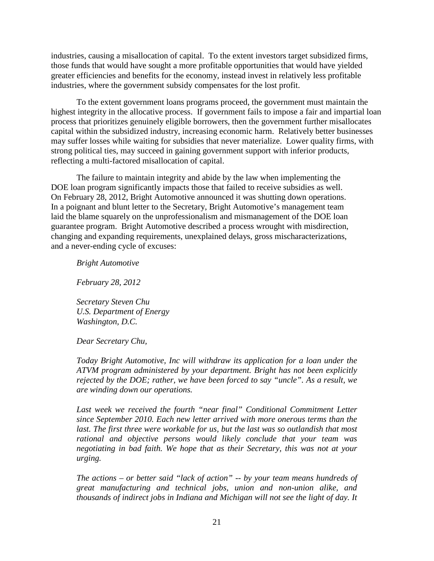industries, causing a misallocation of capital. To the extent investors target subsidized firms, those funds that would have sought a more profitable opportunities that would have yielded greater efficiencies and benefits for the economy, instead invest in relatively less profitable industries, where the government subsidy compensates for the lost profit.

To the extent government loans programs proceed, the government must maintain the highest integrity in the allocative process. If government fails to impose a fair and impartial loan process that prioritizes genuinely eligible borrowers, then the government further misallocates capital within the subsidized industry, increasing economic harm. Relatively better businesses may suffer losses while waiting for subsidies that never materialize. Lower quality firms, with strong political ties, may succeed in gaining government support with inferior products, reflecting a multi-factored misallocation of capital.

The failure to maintain integrity and abide by the law when implementing the DOE loan program significantly impacts those that failed to receive subsidies as well. On February 28, 2012, Bright Automotive announced it was shutting down operations. In a poignant and blunt letter to the Secretary, Bright Automotive's management team laid the blame squarely on the unprofessionalism and mismanagement of the DOE loan guarantee program. Bright Automotive described a process wrought with misdirection, changing and expanding requirements, unexplained delays, gross mischaracterizations, and a never-ending cycle of excuses:

*Bright Automotive* 

*February 28, 2012*

*Secretary Steven Chu U.S. Department of Energy Washington, D.C.* 

*Dear Secretary Chu,* 

*Today Bright Automotive, Inc will withdraw its application for a loan under the ATVM program administered by your department. Bright has not been explicitly rejected by the DOE; rather, we have been forced to say "uncle". As a result, we are winding down our operations.* 

Last week we received the fourth "near final" Conditional Commitment Letter *since September 2010. Each new letter arrived with more onerous terms than the*  last. The first three were workable for us, but the last was so outlandish that most *rational and objective persons would likely conclude that your team was negotiating in bad faith. We hope that as their Secretary, this was not at your urging.* 

*The actions – or better said "lack of action" -- by your team means hundreds of great manufacturing and technical jobs, union and non-union alike, and thousands of indirect jobs in Indiana and Michigan will not see the light of day. It*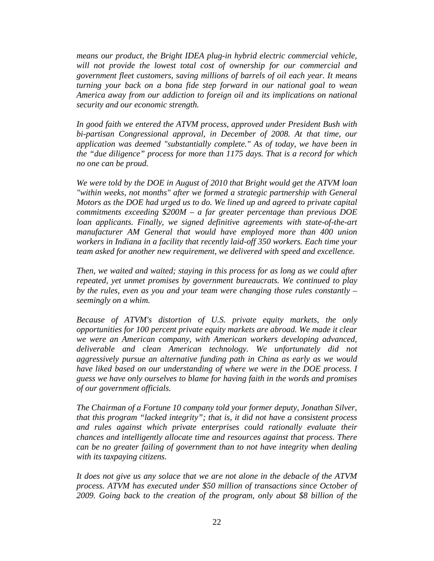*means our product, the Bright IDEA plug-in hybrid electric commercial vehicle, will not provide the lowest total cost of ownership for our commercial and government fleet customers, saving millions of barrels of oil each year. It means turning your back on a bona fide step forward in our national goal to wean America away from our addiction to foreign oil and its implications on national security and our economic strength.* 

*In good faith we entered the ATVM process, approved under President Bush with bi-partisan Congressional approval, in December of 2008. At that time, our application was deemed "substantially complete." As of today, we have been in the "due diligence" process for more than 1175 days. That is a record for which no one can be proud.* 

*We were told by the DOE in August of 2010 that Bright would get the ATVM loan "within weeks, not months" after we formed a strategic partnership with General Motors as the DOE had urged us to do. We lined up and agreed to private capital commitments exceeding \$200M – a far greater percentage than previous DOE loan applicants. Finally, we signed definitive agreements with state-of-the-art manufacturer AM General that would have employed more than 400 union workers in Indiana in a facility that recently laid-off 350 workers. Each time your team asked for another new requirement, we delivered with speed and excellence.* 

*Then, we waited and waited; staying in this process for as long as we could after repeated, yet unmet promises by government bureaucrats. We continued to play by the rules, even as you and your team were changing those rules constantly – seemingly on a whim.* 

*Because of ATVM's distortion of U.S. private equity markets, the only opportunities for 100 percent private equity markets are abroad. We made it clear we were an American company, with American workers developing advanced, deliverable and clean American technology. We unfortunately did not aggressively pursue an alternative funding path in China as early as we would have liked based on our understanding of where we were in the DOE process. I guess we have only ourselves to blame for having faith in the words and promises of our government officials.* 

*The Chairman of a Fortune 10 company told your former deputy, Jonathan Silver, that this program "lacked integrity"; that is, it did not have a consistent process and rules against which private enterprises could rationally evaluate their chances and intelligently allocate time and resources against that process. There can be no greater failing of government than to not have integrity when dealing with its taxpaying citizens.* 

*It does not give us any solace that we are not alone in the debacle of the ATVM process. ATVM has executed under \$50 million of transactions since October of 2009. Going back to the creation of the program, only about \$8 billion of the*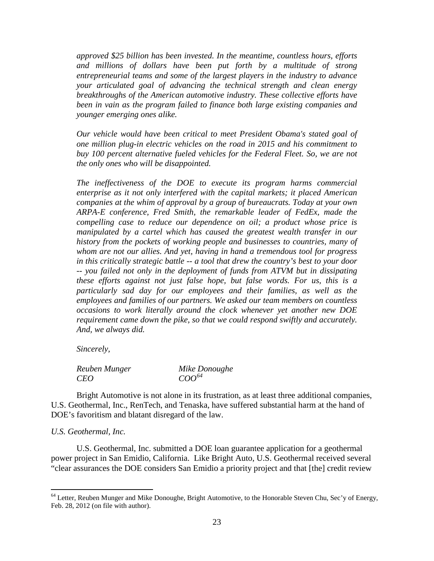*approved \$25 billion has been invested. In the meantime, countless hours, efforts and millions of dollars have been put forth by a multitude of strong entrepreneurial teams and some of the largest players in the industry to advance your articulated goal of advancing the technical strength and clean energy breakthroughs of the American automotive industry. These collective efforts have been in vain as the program failed to finance both large existing companies and younger emerging ones alike.* 

*Our vehicle would have been critical to meet President Obama's stated goal of one million plug-in electric vehicles on the road in 2015 and his commitment to buy 100 percent alternative fueled vehicles for the Federal Fleet. So, we are not the only ones who will be disappointed.*

*The ineffectiveness of the DOE to execute its program harms commercial enterprise as it not only interfered with the capital markets; it placed American companies at the whim of approval by a group of bureaucrats. Today at your own ARPA-E conference, Fred Smith, the remarkable leader of FedEx, made the compelling case to reduce our dependence on oil; a product whose price is manipulated by a cartel which has caused the greatest wealth transfer in our history from the pockets of working people and businesses to countries, many of whom are not our allies. And yet, having in hand a tremendous tool for progress in this critically strategic battle -- a tool that drew the country's best to your door -- you failed not only in the deployment of funds from ATVM but in dissipating these efforts against not just false hope, but false words. For us, this is a particularly sad day for our employees and their families, as well as the employees and families of our partners. We asked our team members on countless occasions to work literally around the clock whenever yet another new DOE requirement came down the pike, so that we could respond swiftly and accurately. And, we always did.* 

*Sincerely,* 

| Reuben Munger | Mike Donoughe |  |  |  |  |
|---------------|---------------|--|--|--|--|
| <b>CEO</b>    | $COO^{64}$    |  |  |  |  |

Bright Automotive is not alone in its frustration, as at least three additional companies, U.S. Geothermal, Inc., RenTech, and Tenaska, have suffered substantial harm at the hand of DOE's favoritism and blatant disregard of the law.

#### *U.S. Geothermal, Inc.*

U.S. Geothermal, Inc. submitted a DOE loan guarantee application for a geothermal power project in San Emidio, California. Like Bright Auto, U.S. Geothermal received several "clear assurances the DOE considers San Emidio a priority project and that [the] credit review

<span id="page-22-0"></span> $64$  Letter, Reuben Munger and Mike Donoughe, Bright Automotive, to the Honorable Steven Chu, Sec'y of Energy, Feb. 28, 2012 (on file with author).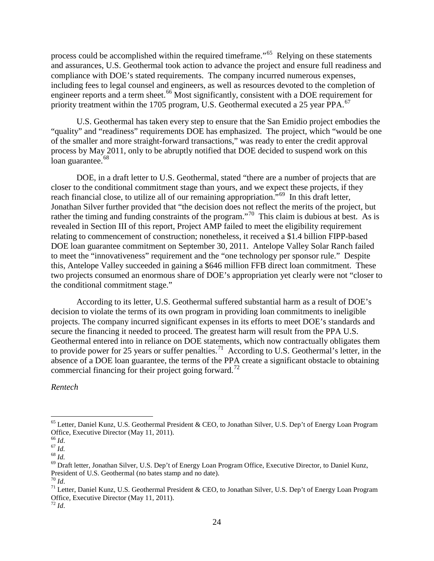process could be accomplished within the required timeframe."<sup>65</sup> Relying on these statements and assurances, U.S. Geothermal took action to advance the project and ensure full readiness and compliance with DOE's stated requirements. The company incurred numerous expenses, including fees to legal counsel and engineers, as well as resources devoted to the completion of engineer reports and a term sheet.<sup>[66](#page-23-1)</sup> Most significantly, consistent with a DOE requirement for priority treatment within the 1705 program, U.S. Geothermal executed a 25 year PPA.<sup>[67](#page-23-2)</sup>

U.S. Geothermal has taken every step to ensure that the San Emidio project embodies the "quality" and "readiness" requirements DOE has emphasized. The project, which "would be one of the smaller and more straight-forward transactions," was ready to enter the credit approval process by May 2011, only to be abruptly notified that DOE decided to suspend work on this loan guarantee.<sup>[68](#page-23-3)</sup>

DOE, in a draft letter to U.S. Geothermal, stated "there are a number of projects that are closer to the conditional commitment stage than yours, and we expect these projects, if they reach financial close, to utilize all of our remaining appropriation.<sup>5[69](#page-23-4)</sup> In this draft letter, Jonathan Silver further provided that "the decision does not reflect the merits of the project, but rather the timing and funding constraints of the program."<sup>[70](#page-23-5)</sup> This claim is dubious at best. As is revealed in Section III of this report, Project AMP failed to meet the eligibility requirement relating to commencement of construction; nonetheless, it received a \$1.4 billion FIPP-based DOE loan guarantee commitment on September 30, 2011. Antelope Valley Solar Ranch failed to meet the "innovativeness" requirement and the "one technology per sponsor rule." Despite this, Antelope Valley succeeded in gaining a \$646 million FFB direct loan commitment. These two projects consumed an enormous share of DOE's appropriation yet clearly were not "closer to the conditional commitment stage."

According to its letter, U.S. Geothermal suffered substantial harm as a result of DOE's decision to violate the terms of its own program in providing loan commitments to ineligible projects. The company incurred significant expenses in its efforts to meet DOE's standards and secure the financing it needed to proceed. The greatest harm will result from the PPA U.S. Geothermal entered into in reliance on DOE statements, which now contractually obligates them to provide power for 25 years or suffer penalties.<sup>71</sup> According to U.S. Geothermal's letter, in the absence of a DOE loan guarantee, the terms of the PPA create a significant obstacle to obtaining commercial financing for their project going forward.<sup>[72](#page-23-7)</sup>

*Rentech*

<span id="page-23-0"></span><sup>&</sup>lt;sup>65</sup> Letter, Daniel Kunz, U.S. Geothermal President & CEO, to Jonathan Silver, U.S. Dep't of Energy Loan Program Office, Executive Director (May 11, 2011).<br><sup>66</sup> Id.

<span id="page-23-4"></span>

<span id="page-23-3"></span><span id="page-23-2"></span><span id="page-23-1"></span><sup>&</sup>lt;sup>67</sup> *Id.*<br><sup>68</sup> *Id.* 68 *Id.*<br><sup>69</sup> Draft letter, Jonathan Silver, U.S. Dep't of Energy Loan Program Office, Executive Director, to Daniel Kunz, President of U.S. Geothermal (no bates stamp and no date).

<span id="page-23-6"></span><span id="page-23-5"></span><sup>&</sup>lt;sup>70</sup> *Id. Id. Id. Id. Id.* Daniel Kunz, U.S. Geothermal President & CEO, to Jonathan Silver, U.S. Dep't of Energy Loan Program Office, Executive Director (May 11, 2011).

<span id="page-23-7"></span> $72$  *Id.*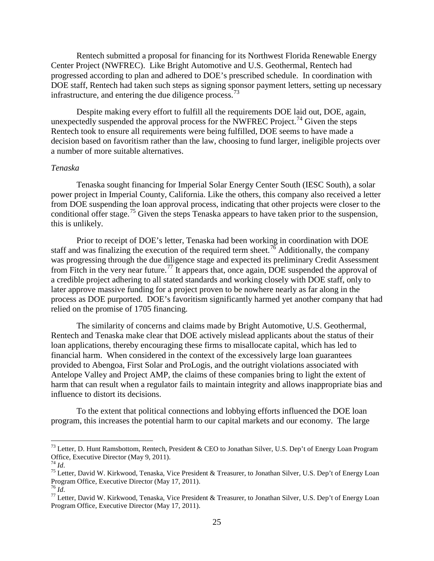Rentech submitted a proposal for financing for its Northwest Florida Renewable Energy Center Project (NWFREC). Like Bright Automotive and U.S. Geothermal, Rentech had progressed according to plan and adhered to DOE's prescribed schedule. In coordination with DOE staff, Rentech had taken such steps as signing sponsor payment letters, setting up necessary infrastructure, and entering the due diligence process.<sup>[73](#page-24-0)</sup>

Despite making every effort to fulfill all the requirements DOE laid out, DOE, again, unexpectedly suspended the approval process for the NWFREC Project.<sup>[74](#page-24-1)</sup> Given the steps Rentech took to ensure all requirements were being fulfilled, DOE seems to have made a decision based on favoritism rather than the law, choosing to fund larger, ineligible projects over a number of more suitable alternatives.

#### *Tenaska*

Tenaska sought financing for Imperial Solar Energy Center South (IESC South), a solar power project in Imperial County, California. Like the others, this company also received a letter from DOE suspending the loan approval process, indicating that other projects were closer to the conditional offer stage.<sup>[75](#page-24-2)</sup> Given the steps Tenaska appears to have taken prior to the suspension, this is unlikely.

Prior to receipt of DOE's letter, Tenaska had been working in coordination with DOE staff and was finalizing the execution of the required term sheet.<sup>[76](#page-24-3)</sup> Additionally, the company was progressing through the due diligence stage and expected its preliminary Credit Assessment from Fitch in the very near future.<sup>[77](#page-24-4)</sup> It appears that, once again, DOE suspended the approval of a credible project adhering to all stated standards and working closely with DOE staff, only to later approve massive funding for a project proven to be nowhere nearly as far along in the process as DOE purported. DOE's favoritism significantly harmed yet another company that had relied on the promise of 1705 financing.

The similarity of concerns and claims made by Bright Automotive, U.S. Geothermal, Rentech and Tenaska make clear that DOE actively mislead applicants about the status of their loan applications, thereby encouraging these firms to misallocate capital, which has led to financial harm. When considered in the context of the excessively large loan guarantees provided to Abengoa, First Solar and ProLogis, and the outright violations associated with Antelope Valley and Project AMP, the claims of these companies bring to light the extent of harm that can result when a regulator fails to maintain integrity and allows inappropriate bias and influence to distort its decisions.

To the extent that political connections and lobbying efforts influenced the DOE loan program, this increases the potential harm to our capital markets and our economy. The large

<span id="page-24-0"></span><sup>&</sup>lt;sup>73</sup> Letter, D. Hunt Ramsbottom, Rentech, President & CEO to Jonathan Silver, U.S. Dep't of Energy Loan Program Office, Executive Director (May 9, 2011).<br> $^{74}$  *Id.* 

<span id="page-24-2"></span><span id="page-24-1"></span><sup>&</sup>lt;sup>75</sup> Letter, David W. Kirkwood, Tenaska, Vice President & Treasurer, to Jonathan Silver, U.S. Dep't of Energy Loan Program Office, Executive Director (May 17, 2011).<br><sup>76</sup> *M*.

<span id="page-24-4"></span><span id="page-24-3"></span><sup>&</sup>lt;sup>77</sup> Letter, David W. Kirkwood, Tenaska, Vice President & Treasurer, to Jonathan Silver, U.S. Dep't of Energy Loan Program Office, Executive Director (May 17, 2011).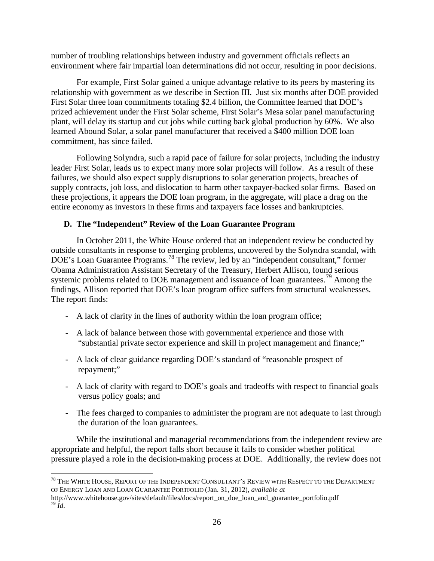number of troubling relationships between industry and government officials reflects an environment where fair impartial loan determinations did not occur, resulting in poor decisions.

For example, First Solar gained a unique advantage relative to its peers by mastering its relationship with government as we describe in Section III. Just six months after DOE provided First Solar three loan commitments totaling \$2.4 billion, the Committee learned that DOE's prized achievement under the First Solar scheme, First Solar's Mesa solar panel manufacturing plant, will delay its startup and cut jobs while cutting back global production by 60%. We also learned Abound Solar, a solar panel manufacturer that received a \$400 million DOE loan commitment, has since failed.

Following Solyndra, such a rapid pace of failure for solar projects, including the industry leader First Solar, leads us to expect many more solar projects will follow. As a result of these failures, we should also expect supply disruptions to solar generation projects, breaches of supply contracts, job loss, and dislocation to harm other taxpayer-backed solar firms. Based on these projections, it appears the DOE loan program, in the aggregate, will place a drag on the entire economy as investors in these firms and taxpayers face losses and bankruptcies.

## **D. The "Independent" Review of the Loan Guarantee Program**

In October 2011, the White House ordered that an independent review be conducted by outside consultants in response to emerging problems, uncovered by the Solyndra scandal, with DOE's Loan Guarantee Programs.<sup>[78](#page-25-0)</sup> The review, led by an "independent consultant," former Obama Administration Assistant Secretary of the Treasury, Herbert Allison, found serious systemic problems related to DOE management and issuance of loan guarantees.<sup>[79](#page-25-1)</sup> Among the findings, Allison reported that DOE's loan program office suffers from structural weaknesses. The report finds:

- A lack of clarity in the lines of authority within the loan program office;
- A lack of balance between those with governmental experience and those with "substantial private sector experience and skill in project management and finance;"
- A lack of clear guidance regarding DOE's standard of "reasonable prospect of repayment;"
- A lack of clarity with regard to DOE's goals and tradeoffs with respect to financial goals versus policy goals; and
- The fees charged to companies to administer the program are not adequate to last through the duration of the loan guarantees.

While the institutional and managerial recommendations from the independent review are appropriate and helpful, the report falls short because it fails to consider whether political pressure played a role in the decision-making process at DOE. Additionally, the review does not

<span id="page-25-0"></span><sup>&</sup>lt;sup>78</sup> THE WHITE HOUSE, REPORT OF THE INDEPENDENT CONSULTANT'S REVIEW WITH RESPECT TO THE DEPARTMENT OF ENERGY LOAN AND LOAN GUARANTEE PORTFOLIO (Jan. 31, 2012), *available at* 

<span id="page-25-1"></span>http://www.whitehouse.gov/sites/default/files/docs/report\_on\_doe\_loan\_and\_guarantee\_portfolio.pdf  $^{79}$  *Id.*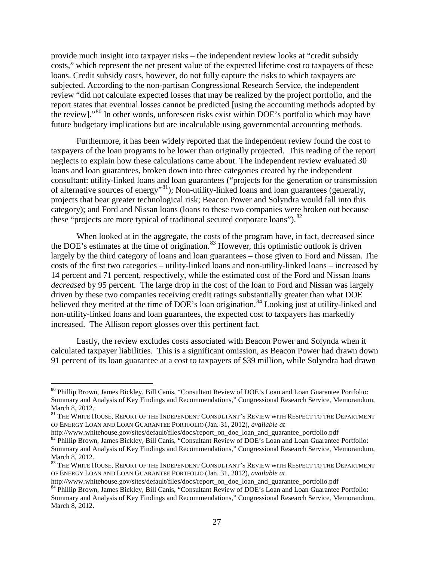provide much insight into taxpayer risks – the independent review looks at "credit subsidy costs," which represent the net present value of the expected lifetime cost to taxpayers of these loans. Credit subsidy costs, however, do not fully capture the risks to which taxpayers are subjected. According to the non-partisan Congressional Research Service, the independent review "did not calculate expected losses that may be realized by the project portfolio, and the report states that eventual losses cannot be predicted [using the accounting methods adopted by the review]."<sup>[80](#page-26-0)</sup> In other words, unforeseen risks exist within DOE's portfolio which may have future budgetary implications but are incalculable using governmental accounting methods.

Furthermore, it has been widely reported that the independent review found the cost to taxpayers of the loan programs to be lower than originally projected. This reading of the report neglects to explain how these calculations came about. The independent review evaluated 30 loans and loan guarantees, broken down into three categories created by the independent consultant: utility-linked loans and loan guarantees ("projects for the generation or transmission of alternative sources of energy"<sup>[81](#page-26-1)</sup>); Non-utility-linked loans and loan guarantees (generally, projects that bear greater technological risk; Beacon Power and Solyndra would fall into this category); and Ford and Nissan loans (loans to these two companies were broken out because these "projects are more typical of traditional secured corporate loans").<sup>[82](#page-26-2)</sup>

When looked at in the aggregate, the costs of the program have, in fact, decreased since the DOE's estimates at the time of origination.<sup>[83](#page-26-3)</sup> However, this optimistic outlook is driven largely by the third category of loans and loan guarantees – those given to Ford and Nissan. The costs of the first two categories – utility-linked loans and non-utility-linked loans – increased by 14 percent and 71 percent, respectively, while the estimated cost of the Ford and Nissan loans *decreased* by 95 percent. The large drop in the cost of the loan to Ford and Nissan was largely driven by these two companies receiving credit ratings substantially greater than what DOE believed they merited at the time of DOE's loan origination.<sup>[84](#page-26-4)</sup> Looking just at utility-linked and non-utility-linked loans and loan guarantees, the expected cost to taxpayers has markedly increased. The Allison report glosses over this pertinent fact.

Lastly, the review excludes costs associated with Beacon Power and Solynda when it calculated taxpayer liabilities. This is a significant omission, as Beacon Power had drawn down 91 percent of its loan guarantee at a cost to taxpayers of \$39 million, while Solyndra had drawn

<span id="page-26-0"></span> <sup>80</sup> Phillip Brown, James Bickley, Bill Canis, "Consultant Review of DOE's Loan and Loan Guarantee Portfolio: Summary and Analysis of Key Findings and Recommendations," Congressional Research Service, Memorandum, March 8, 2012.

<span id="page-26-1"></span> $^{81}$  THE WHITE HOUSE, REPORT OF THE INDEPENDENT CONSULTANT'S REVIEW WITH RESPECT TO THE DEPARTMENT OF ENERGY LOAN AND LOAN GUARANTEE PORTFOLIO (Jan. 31, 2012), *available at* 

<span id="page-26-2"></span>http://www.whitehouse.gov/sites/default/files/docs/report\_on\_doe\_loan\_and\_guarantee\_portfolio.pdf <sup>82</sup> Phillip Brown, James Bickley, Bill Canis, "Consultant Review of DOE's Loan and Loan Guarantee Portfolio: Summary and Analysis of Key Findings and Recommendations," Congressional Research Service, Memorandum, March 8, 2012.

<span id="page-26-3"></span><sup>&</sup>lt;sup>83</sup> THE WHITE HOUSE, REPORT OF THE INDEPENDENT CONSULTANT'S REVIEW WITH RESPECT TO THE DEPARTMENT OF ENERGY LOAN AND LOAN GUARANTEE PORTFOLIO (Jan. 31, 2012), *available at* 

<span id="page-26-4"></span>http://www.whitehouse.gov/sites/default/files/docs/report\_on\_doe\_loan\_and\_guarantee\_portfolio.pdf <sup>84</sup> Phillip Brown, James Bickley, Bill Canis, "Consultant Review of DOE's Loan and Loan Guarantee Portfolio:

Summary and Analysis of Key Findings and Recommendations," Congressional Research Service, Memorandum, March 8, 2012.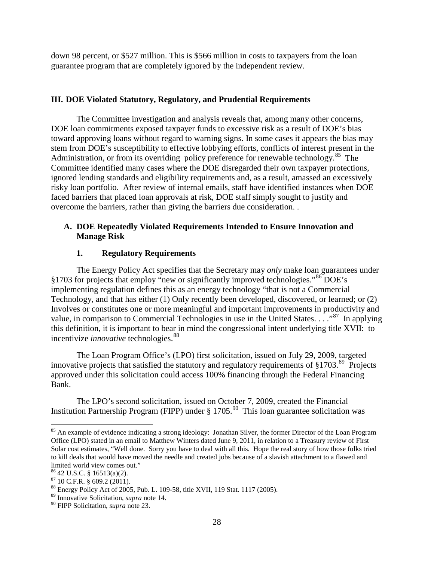down 98 percent, or \$527 million. This is \$566 million in costs to taxpayers from the loan guarantee program that are completely ignored by the independent review.

## **III. DOE Violated Statutory, Regulatory, and Prudential Requirements**

The Committee investigation and analysis reveals that, among many other concerns, DOE loan commitments exposed taxpayer funds to excessive risk as a result of DOE's bias toward approving loans without regard to warning signs. In some cases it appears the bias may stem from DOE's susceptibility to effective lobbying efforts, conflicts of interest present in the Administration, or from its overriding policy preference for renewable technology.<sup>[85](#page-27-0)</sup> The Committee identified many cases where the DOE disregarded their own taxpayer protections, ignored lending standards and eligibility requirements and, as a result, amassed an excessively risky loan portfolio. After review of internal emails, staff have identified instances when DOE faced barriers that placed loan approvals at risk, DOE staff simply sought to justify and overcome the barriers, rather than giving the barriers due consideration. .

## **A. DOE Repeatedly Violated Requirements Intended to Ensure Innovation and Manage Risk**

# **1. Regulatory Requirements**

The Energy Policy Act specifies that the Secretary may *only* make loan guarantees under §1703 for projects that employ "new or significantly improved technologies."[86](#page-27-1) DOE's implementing regulation defines this as an energy technology "that is not a Commercial Technology, and that has either (1) Only recently been developed, discovered, or learned; or (2) Involves or constitutes one or more meaningful and important improvements in productivity and value, in comparison to Commercial Technologies in use in the United States. . . . . <sup>[87](#page-27-2)</sup> In applying this definition, it is important to bear in mind the congressional intent underlying title XVII: to incentivize *innovative* technologies.<sup>[88](#page-27-3)</sup>

The Loan Program Office's (LPO) first solicitation, issued on July 29, 2009, targeted innovative projects that satisfied the statutory and regulatory requirements of §1703.<sup>[89](#page-27-4)</sup> Projects approved under this solicitation could access 100% financing through the Federal Financing Bank.

The LPO's second solicitation, issued on October 7, 2009, created the Financial Institution Partnership Program (FIPP) under § 1705.<sup>[90](#page-27-5)</sup> This loan guarantee solicitation was

<span id="page-27-0"></span><sup>&</sup>lt;sup>85</sup> An example of evidence indicating a strong ideology: Jonathan Silver, the former Director of the Loan Program Office (LPO) stated in an email to Matthew Winters dated June 9, 2011, in relation to a Treasury review of First Solar cost estimates, "Well done. Sorry you have to deal with all this. Hope the real story of how those folks tried to kill deals that would have moved the needle and created jobs because of a slavish attachment to a flawed and limited world view comes out."<br> $8642$  U.S.C. § 16513(a)(2).

<span id="page-27-2"></span><span id="page-27-1"></span> $^{87}$  10 C.F.R. § 609.2 (2011).<br><sup>88</sup> Energy Policy Act of 2005, Pub. L. 109-58, title XVII, 119 Stat. 1117 (2005).

<span id="page-27-4"></span><span id="page-27-3"></span><sup>89</sup> Innovative Solicitation, *supra* note 14.

<span id="page-27-5"></span><sup>90</sup> FIPP Solicitation, *supra* note 23.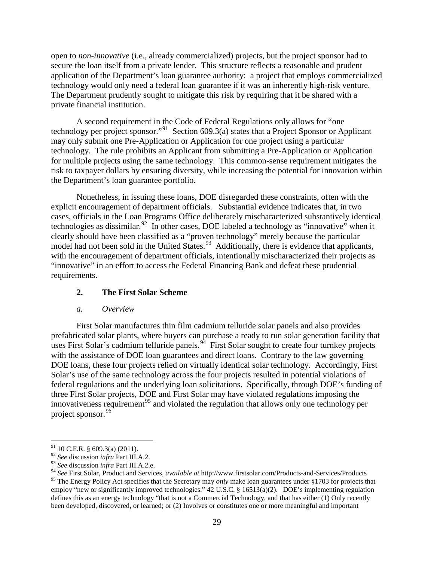open to *non-innovative* (i.e., already commercialized) projects, but the project sponsor had to secure the loan itself from a private lender. This structure reflects a reasonable and prudent application of the Department's loan guarantee authority: a project that employs commercialized technology would only need a federal loan guarantee if it was an inherently high-risk venture. The Department prudently sought to mitigate this risk by requiring that it be shared with a private financial institution.

A second requirement in the Code of Federal Regulations only allows for "one technology per project sponsor."<sup>[91](#page-28-0)</sup> Section 609.3(a) states that a Project Sponsor or Applicant may only submit one Pre-Application or Application for one project using a particular technology. The rule prohibits an Applicant from submitting a Pre-Application or Application for multiple projects using the same technology. This common-sense requirement mitigates the risk to taxpayer dollars by ensuring diversity, while increasing the potential for innovation within the Department's loan guarantee portfolio.

Nonetheless, in issuing these loans, DOE disregarded these constraints, often with the explicit encouragement of department officials. Substantial evidence indicates that, in two cases, officials in the Loan Programs Office deliberately mischaracterized substantively identical technologies as dissimilar.<sup>92</sup> In other cases, DOE labeled a technology as "innovative" when it clearly should have been classified as a "proven technology" merely because the particular model had not been sold in the United States.<sup>[93](#page-28-2)</sup> Additionally, there is evidence that applicants, with the encouragement of department officials, intentionally mischaracterized their projects as "innovative" in an effort to access the Federal Financing Bank and defeat these prudential requirements.

## **2. The First Solar Scheme**

#### *a. Overview*

First Solar manufactures thin film cadmium telluride solar panels and also provides prefabricated solar plants, where buyers can purchase a ready to run solar generation facility that uses First Solar's cadmium telluride panels.<sup>94</sup> First Solar sought to create four turnkey projects with the assistance of DOE loan guarantees and direct loans. Contrary to the law governing DOE loans, these four projects relied on virtually identical solar technology. Accordingly, First Solar's use of the same technology across the four projects resulted in potential violations of federal regulations and the underlying loan solicitations. Specifically, through DOE's funding of three First Solar projects, DOE and First Solar may have violated regulations imposing the innovativeness requirement<sup>[95](#page-28-4)</sup> and violated the regulation that allows only one technology per project sponsor.<sup>[96](#page-28-2)</sup>

 $91$  10 C.F.R. § 609.3(a) (2011).

<span id="page-28-1"></span><span id="page-28-0"></span><sup>92</sup> *See* discussion *infra* Part III.A.2.

<span id="page-28-2"></span><sup>93</sup> *See* discussion *infra* Part III.A.2.e.

<span id="page-28-3"></span><sup>94</sup> *See* First Solar, Product and Services, *available at* http://www.firstsolar.com/Products-and-Services/Products

<span id="page-28-4"></span><sup>&</sup>lt;sup>95</sup> The Energy Policy Act specifies that the Secretary may *only* make loan guarantees under §1703 for projects that employ "new or significantly improved technologies." 42 U.S.C. § 16513(a)(2). DOE's implementing regulation defines this as an energy technology "that is not a Commercial Technology, and that has either (1) Only recently been developed, discovered, or learned; or (2) Involves or constitutes one or more meaningful and important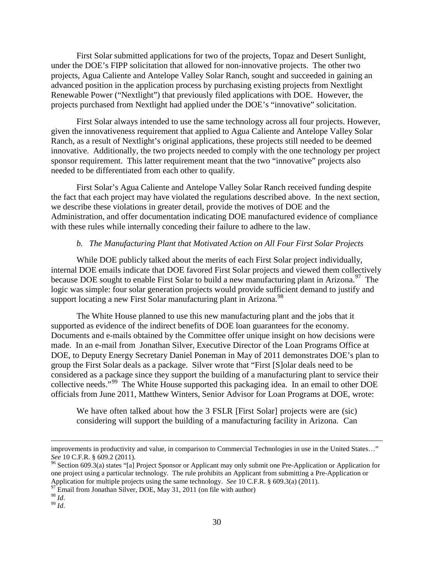First Solar submitted applications for two of the projects, Topaz and Desert Sunlight, under the DOE's FIPP solicitation that allowed for non-innovative projects. The other two projects, Agua Caliente and Antelope Valley Solar Ranch, sought and succeeded in gaining an advanced position in the application process by purchasing existing projects from Nextlight Renewable Power ("Nextlight") that previously filed applications with DOE. However, the projects purchased from Nextlight had applied under the DOE's "innovative" solicitation.

First Solar always intended to use the same technology across all four projects. However, given the innovativeness requirement that applied to Agua Caliente and Antelope Valley Solar Ranch, as a result of Nextlight's original applications, these projects still needed to be deemed innovative. Additionally, the two projects needed to comply with the one technology per project sponsor requirement. This latter requirement meant that the two "innovative" projects also needed to be differentiated from each other to qualify.

First Solar's Agua Caliente and Antelope Valley Solar Ranch received funding despite the fact that each project may have violated the regulations described above. In the next section, we describe these violations in greater detail, provide the motives of DOE and the Administration, and offer documentation indicating DOE manufactured evidence of compliance with these rules while internally conceding their failure to adhere to the law.

### *b. The Manufacturing Plant that Motivated Action on All Four First Solar Projects*

While DOE publicly talked about the merits of each First Solar project individually, internal DOE emails indicate that DOE favored First Solar projects and viewed them collectively because DOE sought to enable First Solar to build a new manufacturing plant in Arizona.<sup>97</sup> The logic was simple: four solar generation projects would provide sufficient demand to justify and support locating a new First Solar manufacturing plant in Arizona.<sup>[98](#page-29-1)</sup>

The White House planned to use this new manufacturing plant and the jobs that it supported as evidence of the indirect benefits of DOE loan guarantees for the economy. Documents and e-mails obtained by the Committee offer unique insight on how decisions were made. In an e-mail from Jonathan Silver, Executive Director of the Loan Programs Office at DOE, to Deputy Energy Secretary Daniel Poneman in May of 2011 demonstrates DOE's plan to group the First Solar deals as a package. Silver wrote that "First [S]olar deals need to be considered as a package since they support the building of a manufacturing plant to service their collective needs."<sup>[99](#page-29-2)</sup> The White House supported this packaging idea. In an email to other DOE officials from June 2011, Matthew Winters, Senior Advisor for Loan Programs at DOE, wrote:

We have often talked about how the 3 FSLR [First Solar] projects were are (sic) considering will support the building of a manufacturing facility in Arizona. Can

 $\overline{a}$ 

improvements in productivity and value, in comparison to Commercial Technologies in use in the United States..."<br>See 10 C.F.R. § 609.2 (2011).

<sup>&</sup>lt;sup>96</sup> Section 609.3(a) states "[a] Project Sponsor or Applicant may only submit one Pre-Application or Application for one project using a particular technology. The rule prohibits an Applicant from submitting a Pre-Application or Application for multiple projects using the same technology. *See* 10 C.F.R. § 609.3(a) (2011). <sup>97</sup> Email from Jonathan Silver, DOE, May 31, 2011 (on file with author)

<span id="page-29-1"></span><span id="page-29-0"></span><sup>98</sup> *Id*. 99 *Id*.

<span id="page-29-2"></span>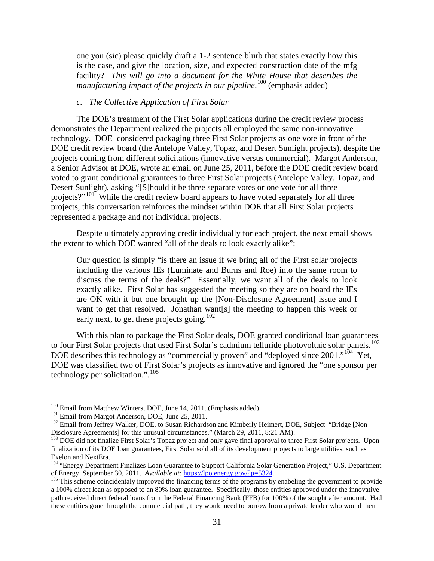one you (sic) please quickly draft a 1-2 sentence blurb that states exactly how this is the case, and give the location, size, and expected construction date of the mfg facility? *This will go into a document for the White House that describes the manufacturing impact of the projects in our pipeline*. [100](#page-30-0) (emphasis added)

### *c. The Collective Application of First Solar*

The DOE's treatment of the First Solar applications during the credit review process demonstrates the Department realized the projects all employed the same non-innovative technology. DOE considered packaging three First Solar projects as one vote in front of the DOE credit review board (the Antelope Valley, Topaz, and Desert Sunlight projects), despite the projects coming from different solicitations (innovative versus commercial). Margot Anderson, a Senior Advisor at DOE, wrote an email on June 25, 2011, before the DOE credit review board voted to grant conditional guarantees to three First Solar projects (Antelope Valley, Topaz, and Desert Sunlight), asking "[S]hould it be three separate votes or one vote for all three projects?"<sup>[101](#page-30-1)</sup> While the credit review board appears to have voted separately for all three projects, this conversation reinforces the mindset within DOE that all First Solar projects represented a package and not individual projects.

Despite ultimately approving credit individually for each project, the next email shows the extent to which DOE wanted "all of the deals to look exactly alike":

Our question is simply "is there an issue if we bring all of the First solar projects including the various IEs (Luminate and Burns and Roe) into the same room to discuss the terms of the deals?" Essentially, we want all of the deals to look exactly alike. First Solar has suggested the meeting so they are on board the IEs are OK with it but one brought up the [Non-Disclosure Agreement] issue and I want to get that resolved. Jonathan want[s] the meeting to happen this week or early next, to get these projects going.<sup>[102](#page-30-2)</sup>

With this plan to package the First Solar deals, DOE granted conditional loan guarantees to four First Solar projects that used First Solar's cadmium telluride photovoltaic solar panels.<sup>[103](#page-30-3)</sup> DOE describes this technology as "commercially proven" and "deployed since 2001."<sup>[104](#page-30-4)</sup> Yet, DOE was classified two of First Solar's projects as innovative and ignored the "one sponsor per technology per solicitation.".<sup>[105](#page-30-5)</sup>

<span id="page-30-0"></span> $100$  Email from Matthew Winters, DOE, June 14, 2011. (Emphasis added).  $101$  Email from Margot Anderson, DOE, June 25, 2011.

<span id="page-30-2"></span><span id="page-30-1"></span> $102$  Email from Jeffrey Walker, DOE, to Susan Richardson and Kimberly Heimert, DOE, Subject "Bridge [Non Disclosure Agreements] for this unusual circumstances," (March 29, 2011, 8:21 AM).

<span id="page-30-3"></span><sup>&</sup>lt;sup>103</sup> DOE did not finalize First Solar's Topaz project and only gave final approval to three First Solar projects. Upon finalization of its DOE loan guarantees, First Solar sold all of its development projects to large utilities, such as Exelon and NextEra.

<span id="page-30-4"></span><sup>&</sup>lt;sup>104</sup> "Energy Department Finalizes Loan Guarantee to Support California Solar Generation Project," U.S. Department of Energy, September 30, 2011. Available at: https://lpo.energy.gov/?p=5324.

<span id="page-30-5"></span><sup>&</sup>lt;sup>105</sup> This scheme coincidentaly improved the financing terms of the programs by enabeling the government to provide a 100% direct loan as opposed to an 80% loan guarantee. Specifically, those entities approved under the innovative path received direct federal loans from the Federal Financing Bank (FFB) for 100% of the sought after amount. Had these entities gone through the commercial path, they would need to borrow from a private lender who would then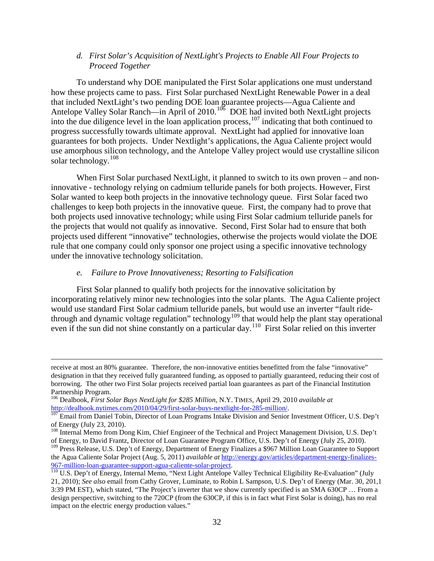### *d. First Solar's Acquisition of NextLight's Projects to Enable All Four Projects to Proceed Together*

To understand why DOE manipulated the First Solar applications one must understand how these projects came to pass. First Solar purchased NextLight Renewable Power in a deal that included NextLight's two pending DOE loan guarantee projects—Agua Caliente and Antelope Valley Solar Ranch—in April of 2010.<sup>[106](#page-31-0)</sup> DOE had invited both NextLight projects into the due diligence level in the loan application process,  $107$  indicating that both continued to progress successfully towards ultimate approval. NextLight had applied for innovative loan guarantees for both projects. Under Nextlight's applications, the Agua Caliente project would use amorphous silicon technology, and the Antelope Valley project would use crystalline silicon solar technology.<sup>[108](#page-31-2)</sup>

When First Solar purchased NextLight, it planned to switch to its own proven – and noninnovative - technology relying on cadmium telluride panels for both projects. However, First Solar wanted to keep both projects in the innovative technology queue. First Solar faced two challenges to keep both projects in the innovative queue. First, the company had to prove that both projects used innovative technology; while using First Solar cadmium telluride panels for the projects that would not qualify as innovative. Second, First Solar had to ensure that both projects used different "innovative" technologies, otherwise the projects would violate the DOE rule that one company could only sponsor one project using a specific innovative technology under the innovative technology solicitation.

#### *e. Failure to Prove Innovativeness; Resorting to Falsification*

 $\overline{a}$ 

First Solar planned to qualify both projects for the innovative solicitation by incorporating relatively minor new technologies into the solar plants. The Agua Caliente project would use standard First Solar cadmium telluride panels, but would use an inverter "fault ride-through and dynamic voltage regulation" technology<sup>[109](#page-31-3)</sup> that would help the plant stay operational even if the sun did not shine constantly on a particular day.<sup>[110](#page-31-4)</sup> First Solar relied on this inverter

receive at most an 80% guarantee. Therefore, the non-innovative entities benefitted from the false "innovative" designation in that they received fully guaranteed funding, as opposed to partially guaranteed, reducing their cost of borrowing. The other two First Solar projects received partial loan guarantees as part of the Financial Institution Partnership Program.

<sup>106</sup> Dealbook, *First Solar Buys NextLight for \$285 Million*, N.Y. TIMES*,* April 29, 2010 *available at* 

<span id="page-31-1"></span><span id="page-31-0"></span>[http://dealbook.nytimes.com/2010/04/29/first-solar-buys-nextlight-for-285-million/.](http://dealbook.nytimes.com/2010/04/29/first-solar-buys-nextlight-for-285-million/)<br><sup>107</sup> Email from Daniel Tobin, Director of Loan Programs Intake Division and Senior Investment Officer, U.S. Dep't<br>of Energy (July 23, 201

<span id="page-31-2"></span><sup>&</sup>lt;sup>108</sup> Internal Memo from Dong Kim, Chief Engineer of the Technical and Project Management Division, U.S. Dep't of Energy, to David Frantz, Director of Loan Guarantee Program Office, U.S. Dep't of Energy (July 25, 2010).

<span id="page-31-3"></span><sup>&</sup>lt;sup>109</sup> Press Release, U.S. Dep't of Energy, Department of Energy Finalizes a \$967 Million Loan Guarantee to Support the Agua Caliente Solar Project (Aug. 5, 2011) *available at http://energy.gov/articles/department-energy-finalizes-*<br>967-million-loan-guarantee-support-agua-caliente-solar-project.

<span id="page-31-4"></span><sup>&</sup>lt;sup>110</sup> U.S. Dep't of Energy, Internal Memo, "Next Light Antelope Valley Technical Eligibility Re-Evaluation" (July 21, 2010); *See also* email from Cathy Grover, Luminate, to Robin L Sampson, U.S. Dep't of Energy (Mar. 30, 201,1 3:39 PM EST), which stated, "The Project's inverter that we show currently specified is an SMA 630CP … From a design perspective, switching to the 720CP (from the 630CP, if this is in fact what First Solar is doing), has no real impact on the electric energy production values."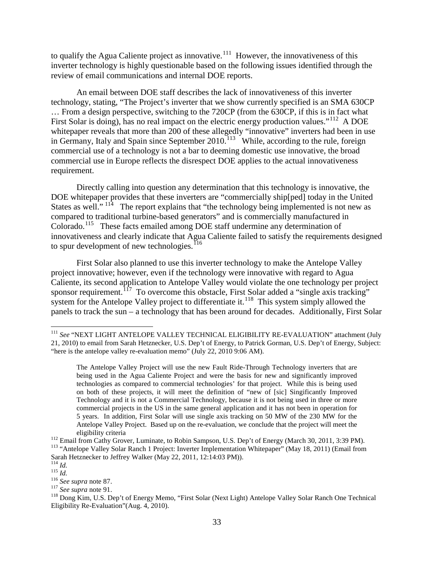to qualify the Agua Caliente project as innovative.<sup>[111](#page-32-0)</sup> However, the innovativeness of this inverter technology is highly questionable based on the following issues identified through the review of email communications and internal DOE reports.

An email between DOE staff describes the lack of innovativeness of this inverter technology, stating, "The Project's inverter that we show currently specified is an SMA 630CP … From a design perspective, switching to the 720CP (from the 630CP, if this is in fact what First Solar is doing), has no real impact on the electric energy production values."<sup>112</sup> A DOE whitepaper reveals that more than 200 of these allegedly "innovative" inverters had been in use in Germany, Italy and Spain since September  $2010$ .<sup>[113](#page-32-2)</sup> While, according to the rule, foreign commercial use of a technology is not a bar to deeming domestic use innovative, the broad commercial use in Europe reflects the disrespect DOE applies to the actual innovativeness requirement.

Directly calling into question any determination that this technology is innovative, the DOE whitepaper provides that these inverters are "commercially ship[ped] today in the United States as well."  $11^2$  The report explains that "the technology being implemented is not new as compared to traditional turbine-based generators" and is commercially manufactured in Colorado.<sup>[115](#page-32-4)</sup> These facts emailed among DOE staff undermine any determination of innovativeness and clearly indicate that Agua Caliente failed to satisfy the requirements designed to spur development of new technologies.<sup>[116](#page-32-5)</sup>

First Solar also planned to use this inverter technology to make the Antelope Valley project innovative; however, even if the technology were innovative with regard to Agua Caliente, its second application to Antelope Valley would violate the one technology per project sponsor requirement.<sup>[117](#page-32-6)</sup> To overcome this obstacle, First Solar added a "single axis tracking" system for the Antelope Valley project to differentiate it.<sup>[118](#page-32-7)</sup> This system simply allowed the panels to track the sun – a technology that has been around for decades. Additionally, First Solar

<span id="page-32-0"></span><sup>&</sup>lt;sup>111</sup> See "NEXT LIGHT ANTELOPE VALLEY TECHNICAL ELIGIBILITY RE-EVALUATION" attachment (July 21, 2010) to email from Sarah Hetznecker, U.S. Dep't of Energy, to Patrick Gorman, U.S. Dep't of Energy, Subject: "here is the antelope valley re-evaluation memo" (July 22, 2010 9:06 AM).

The Antelope Valley Project will use the new Fault Ride-Through Technology inverters that are being used in the Agua Caliente Project and were the basis for new and significantly improved technologies as compared to commercial technologies' for that project. While this is being used on both of these projects, it will meet the definition of "new of [sic] Singificantly Improved Technology and it is not a Commercial Technology, because it is not being used in three or more commercial projects in the US in the same general application and it has not been in operation for 5 years. In addition, First Solar will use single axis tracking on 50 MW of the 230 MW for the Antelope Valley Project. Based up on the re-evaluation, we conclude that the project will meet the

<span id="page-32-2"></span><span id="page-32-1"></span>eligibility criteria<br>
<sup>112</sup> Email from Cathy Grover, Luminate, to Robin Sampson, U.S. Dep't of Energy (March 30, 2011, 3:39 PM).<br>
<sup>113</sup> "Antelope Vallev Solar Ranch 1 Project: Inverter Implementation Whitepaper" (May 18, 2 Sarah Hetznecker to Jeffrey Walker (May 22, 2011, 12:14:03 PM)).<br><sup>114</sup> *Id.*<br><sup>115</sup> *Id.* 

<span id="page-32-3"></span>

<span id="page-32-7"></span>

<span id="page-32-6"></span><span id="page-32-5"></span><span id="page-32-4"></span><sup>&</sup>lt;sup>116</sup> *See supra* note 87.<br><sup>117</sup> *See supra* note 91.<br><sup>118</sup> Dong Kim, U.S. Dep't of Energy Memo, "First Solar (Next Light) Antelope Valley Solar Ranch One Technical Eligibility Re-Evaluation"(Aug. 4, 2010).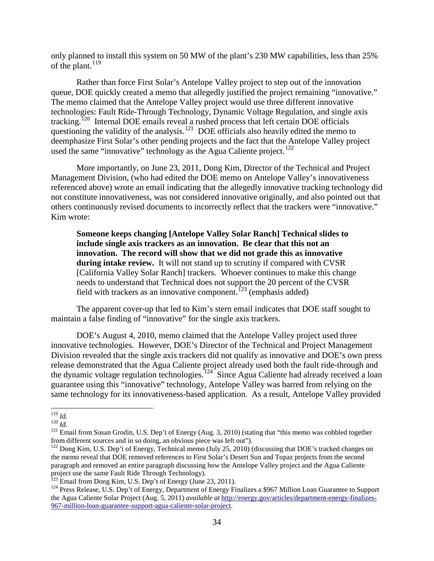only planned to install this system on 50 MW of the plant's 230 MW capabilities, less than 25% of the plant.  $119$ 

Rather than force First Solar's Antelope Valley project to step out of the innovation queue, DOE quickly created a memo that allegedly justified the project remaining "innovative." The memo claimed that the Antelope Valley project would use three different innovative technologies: Fault Ride-Through Technology, Dynamic Voltage Regulation, and single axis tracking.<sup>[120](#page-33-1)</sup> Internal DOE emails reveal a rushed process that left certain DOE officials questioning the validity of the analysis.<sup>[121](#page-33-2)</sup> DOE officials also heavily edited the memo to deemphasize First Solar's other pending projects and the fact that the Antelope Valley project used the same "innovative" technology as the Agua Caliente project.<sup>[122](#page-33-3)</sup>

More importantly, on June 23, 2011, Dong Kim, Director of the Technical and Project Management Division, (who had edited the DOE memo on Antelope Valley's innovativeness referenced above) wrote an email indicating that the allegedly innovative tracking technology did not constitute innovativeness, was not considered innovative originally, and also pointed out that others continuously revised documents to incorrectly reflect that the trackers were "innovative." Kim wrote:

**Someone keeps changing [Antelope Valley Solar Ranch] Technical slides to include single axis trackers as an innovation. Be clear that this not an innovation. The record will show that we did not grade this as innovative during intake review.** It will not stand up to scrutiny if compared with CVSR [California Valley Solar Ranch] trackers. Whoever continues to make this change needs to understand that Technical does not support the 20 percent of the CVSR field with trackers as an innovative component.<sup>[123](#page-33-4)</sup> (emphasis added)

The apparent cover-up that led to Kim's stern email indicates that DOE staff sought to maintain a false finding of "innovative" for the single axis trackers.

DOE's August 4, 2010, memo claimed that the Antelope Valley project used three innovative technologies. However, DOE's Director of the Technical and Project Management Division revealed that the single axis trackers did not qualify as innovative and DOE's own press release demonstrated that the Agua Caliente project already used both the fault ride-through and the dynamic voltage regulation technologies.<sup>[124](#page-33-5)</sup> Since Agua Caliente had already received a loan guarantee using this "innovative" technology, Antelope Valley was barred from relying on the same technology for its innovativeness-based application. As a result, Antelope Valley provided

<span id="page-33-1"></span><span id="page-33-0"></span> <sup>119</sup> *Id.*

<span id="page-33-2"></span><sup>&</sup>lt;sup>121</sup> Email from Susan Grodin, U.S. Dep't of Energy (Aug. 3, 2010) (stating that "this memo was cobbled together from different sources and in so doing, an obvious piece was left out").

<span id="page-33-3"></span> $f<sup>122</sup>$  Dong Kim, U.S. Dep't of Energy, Technical memo (July 25, 2010) (discussing that DOE's tracked changes on the memo reveal that DOE removed references to First Solar's Desert Sun and Topaz projects from the second paragraph and removed an entire paragraph discussing how the Antelope Valley project and the Agua Caliente project use the same Fault Ride Through Technology).<br><sup>123</sup> Email from Dong Kim, U.S. Dep't of Energy (June 23, 2011).

<span id="page-33-5"></span><span id="page-33-4"></span><sup>&</sup>lt;sup>124</sup> Press Release, U.S. Dep't of Energy, Department of Energy Finalizes a \$967 Million Loan Guarantee to Support the Agua Caliente Solar Project (Aug. 5, 2011) *available at* [http://energy.gov/articles/department-energy-finalizes-](http://energy.gov/articles/department-energy-finalizes-967-million-loan-guarantee-support-agua-caliente-solar-project)[967-million-loan-guarantee-support-agua-caliente-solar-project.](http://energy.gov/articles/department-energy-finalizes-967-million-loan-guarantee-support-agua-caliente-solar-project)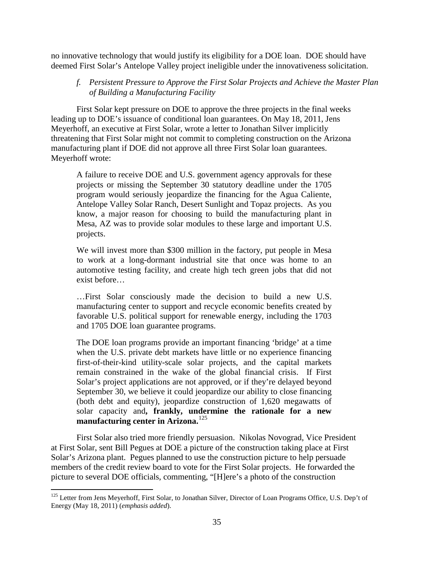no innovative technology that would justify its eligibility for a DOE loan. DOE should have deemed First Solar's Antelope Valley project ineligible under the innovativeness solicitation.

*f. Persistent Pressure to Approve the First Solar Projects and Achieve the Master Plan of Building a Manufacturing Facility*

First Solar kept pressure on DOE to approve the three projects in the final weeks leading up to DOE's issuance of conditional loan guarantees. On May 18, 2011, Jens Meyerhoff, an executive at First Solar, wrote a letter to Jonathan Silver implicitly threatening that First Solar might not commit to completing construction on the Arizona manufacturing plant if DOE did not approve all three First Solar loan guarantees. Meyerhoff wrote:

A failure to receive DOE and U.S. government agency approvals for these projects or missing the September 30 statutory deadline under the 1705 program would seriously jeopardize the financing for the Agua Caliente, Antelope Valley Solar Ranch, Desert Sunlight and Topaz projects. As you know, a major reason for choosing to build the manufacturing plant in Mesa, AZ was to provide solar modules to these large and important U.S. projects.

We will invest more than \$300 million in the factory, put people in Mesa to work at a long-dormant industrial site that once was home to an automotive testing facility, and create high tech green jobs that did not exist before…

…First Solar consciously made the decision to build a new U.S. manufacturing center to support and recycle economic benefits created by favorable U.S. political support for renewable energy, including the 1703 and 1705 DOE loan guarantee programs.

The DOE loan programs provide an important financing 'bridge' at a time when the U.S. private debt markets have little or no experience financing first-of-their-kind utility-scale solar projects, and the capital markets remain constrained in the wake of the global financial crisis. If First Solar's project applications are not approved, or if they're delayed beyond September 30, we believe it could jeopardize our ability to close financing (both debt and equity), jeopardize construction of 1,620 megawatts of solar capacity and**, frankly, undermine the rationale for a new manufacturing center in Arizona.**[125](#page-34-0)

First Solar also tried more friendly persuasion. Nikolas Novograd, Vice President at First Solar, sent Bill Pegues at DOE a picture of the construction taking place at First Solar's Arizona plant. Pegues planned to use the construction picture to help persuade members of the credit review board to vote for the First Solar projects. He forwarded the picture to several DOE officials, commenting, "[H]ere's a photo of the construction

<span id="page-34-0"></span><sup>&</sup>lt;sup>125</sup> Letter from Jens Meyerhoff, First Solar, to Jonathan Silver, Director of Loan Programs Office, U.S. Dep't of Energy (May 18, 2011) (*emphasis added*).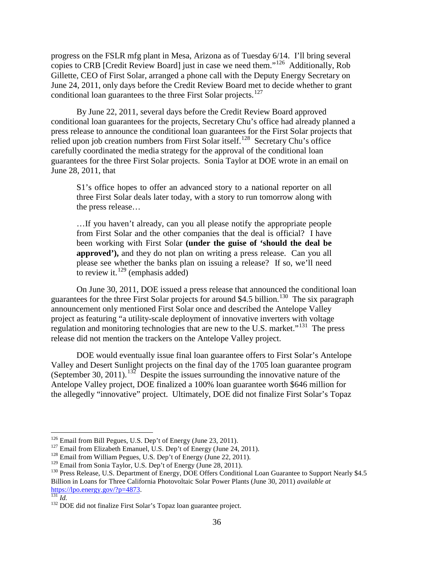progress on the FSLR mfg plant in Mesa, Arizona as of Tuesday 6/14. I'll bring several copies to CRB [Credit Review Board] just in case we need them."[126](#page-35-0) Additionally, Rob Gillette, CEO of First Solar, arranged a phone call with the Deputy Energy Secretary on June 24, 2011, only days before the Credit Review Board met to decide whether to grant conditional loan guarantees to the three First Solar projects.<sup>[127](#page-35-1)</sup>

By June 22, 2011, several days before the Credit Review Board approved conditional loan guarantees for the projects, Secretary Chu's office had already planned a press release to announce the conditional loan guarantees for the First Solar projects that relied upon job creation numbers from First Solar itself.<sup>[128](#page-35-2)</sup> Secretary Chu's office carefully coordinated the media strategy for the approval of the conditional loan guarantees for the three First Solar projects. Sonia Taylor at DOE wrote in an email on June 28, 2011, that

S1's office hopes to offer an advanced story to a national reporter on all three First Solar deals later today, with a story to run tomorrow along with the press release…

…If you haven't already, can you all please notify the appropriate people from First Solar and the other companies that the deal is official? I have been working with First Solar **(under the guise of 'should the deal be approved'),** and they do not plan on writing a press release. Can you all please see whether the banks plan on issuing a release? If so, we'll need to review it.<sup>[129](#page-35-3)</sup> (emphasis added)

On June 30, 2011, DOE issued a press release that announced the conditional loan guarantees for the three First Solar projects for around \$4.5 billion.<sup>130</sup> The six paragraph announcement only mentioned First Solar once and described the Antelope Valley project as featuring "a utility-scale deployment of innovative inverters with voltage regulation and monitoring technologies that are new to the U.S. market."<sup>[131](#page-35-5)</sup> The press release did not mention the trackers on the Antelope Valley project.

DOE would eventually issue final loan guarantee offers to First Solar's Antelope Valley and Desert Sunlight projects on the final day of the 1705 loan guarantee program (September 30, 2011).<sup>[132](#page-35-6)</sup> Despite the issues surrounding the innovative nature of the Antelope Valley project, DOE finalized a 100% loan guarantee worth \$646 million for the allegedly "innovative" project. Ultimately, DOE did not finalize First Solar's Topaz

<span id="page-35-0"></span><sup>&</sup>lt;sup>126</sup> Email from Bill Pegues, U.S. Dep't of Energy (June 23, 2011).<br><sup>127</sup> Email from Elizabeth Emanuel, U.S. Dep't of Energy (June 24, 2011).

<span id="page-35-4"></span>

<span id="page-35-3"></span><span id="page-35-2"></span><span id="page-35-1"></span><sup>&</sup>lt;sup>128</sup> Email from William Pegues, U.S. Dep't of Energy (June 22, 2011).<br><sup>129</sup> Email from Sonia Taylor, U.S. Dep't of Energy (June 28, 2011).<br><sup>129</sup> Press Release, U.S. Department of Energy, DOE Offers Conditional Loan Guaran Billion in Loans for Three California Photovoltaic Solar Power Plants (June 30, 2011) *available at* 

<span id="page-35-6"></span><span id="page-35-5"></span>[https://lpo.energy.gov/?p=4873.](https://lpo.energy.gov/?p=4873)<br><sup>131</sup> *Id.* 132 DOE did not finalize First Solar's Topaz loan guarantee project.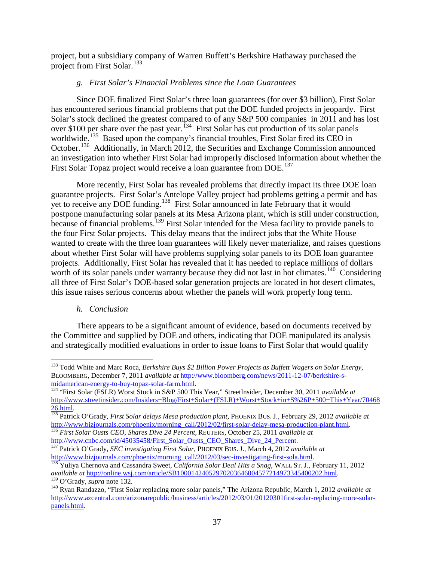project, but a subsidiary company of Warren Buffett's Berkshire Hathaway purchased the project from First Solar.<sup>[133](#page-36-0)</sup>

### *g. First Solar's Financial Problems since the Loan Guarantees*

Since DOE finalized First Solar's three loan guarantees (for over \$3 billion), First Solar has encountered serious financial problems that put the DOE funded projects in jeopardy. First Solar's stock declined the greatest compared to of any S&P 500 companies in 2011 and has lost over \$100 per share over the past year.<sup>134</sup> First Solar has cut production of its solar panels worldwide.<sup>[135](#page-36-2)</sup> Based upon the company's financial troubles, First Solar fired its CEO in October.<sup>[136](#page-36-3)</sup> Additionally, in March 2012, the Securities and Exchange Commission announced an investigation into whether First Solar had improperly disclosed information about whether the First Solar Topaz project would receive a loan guarantee from DOE.<sup>[137](#page-36-4)</sup>

More recently, First Solar has revealed problems that directly impact its three DOE loan guarantee projects. First Solar's Antelope Valley project had problems getting a permit and has yet to receive any DOE funding.<sup>138</sup> First Solar announced in late February that it would postpone manufacturing solar panels at its Mesa Arizona plant, which is still under construction, because of financial problems.<sup>[139](#page-36-6)</sup> First Solar intended for the Mesa facility to provide panels to the four First Solar projects. This delay means that the indirect jobs that the White House wanted to create with the three loan guarantees will likely never materialize, and raises questions about whether First Solar will have problems supplying solar panels to its DOE loan guarantee projects. Additionally, First Solar has revealed that it has needed to replace millions of dollars worth of its solar panels under warranty because they did not last in hot climates.<sup>[140](#page-36-7)</sup> Considering all three of First Solar's DOE-based solar generation projects are located in hot desert climates, this issue raises serious concerns about whether the panels will work properly long term.

### *h. Conclusion*

There appears to be a significant amount of evidence, based on documents received by the Committee and supplied by DOE and others, indicating that DOE manipulated its analysis and strategically modified evaluations in order to issue loans to First Solar that would qualify

<span id="page-36-0"></span> <sup>133</sup> Todd White and Marc Roca, *Berkshire Buys \$2 Billion Power Projects as Buffett Wagers on Solar Energy,* BLOOMBERG, December 7, 2011 *available at* [http://www.bloomberg.com/news/2011-12-07/berkshire-s](http://www.bloomberg.com/news/2011-12-07/berkshire-s-midamerican-energy-to-buy-topaz-solar-farm.html)[midamerican-energy-to-buy-topaz-solar-farm.html.](http://www.bloomberg.com/news/2011-12-07/berkshire-s-midamerican-energy-to-buy-topaz-solar-farm.html) <sup>134</sup> "First Solar (FSLR) Worst Stock in S&P 500 This Year," StreetInsider, December 30, 2011 *available at* 

<span id="page-36-1"></span>[http://www.streetinsider.com/Insiders+Blog/First+Solar+\(FSLR\)+Worst+Stock+in+S%26P+500+This+Year/70468](http://www.streetinsider.com/Insiders+Blog/First+Solar+(FSLR)+Worst+Stock+in+S%26P+500+This+Year/7046826.html)

<span id="page-36-2"></span>[<sup>26.</sup>html.](http://www.streetinsider.com/Insiders+Blog/First+Solar+(FSLR)+Worst+Stock+in+S%26P+500+This+Year/7046826.html) <sup>135</sup> Patrick O'Grady, *First Solar delays Mesa production plant*, PHOENIX BUS. J., February 29, 2012 *available at*  [http://www.bizjournals.com/phoenix/morning\\_call/2012/02/first-solar-delay-mesa-production-plant.html.](http://www.bizjournals.com/phoenix/morning_call/2012/02/first-solar-delay-mesa-production-plant.html) <sup>136</sup> *First Solar Ousts CEO, Shares Dive 24 Percent,* REUTERS*,* October 25, 2011 *available at* 

<span id="page-36-3"></span>[http://www.cnbc.com/id/45035458/First\\_Solar\\_Ousts\\_CEO\\_Shares\\_Dive\\_24\\_Percent.](http://www.cnbc.com/id/45035458/First_Solar_Ousts_CEO_Shares_Dive_24_Percent) <sup>137</sup> Patrick O'Grady, *SEC investigating First Solar*, PHOENIX BUS. J.*,* March 4, 2012 *available at* 

<span id="page-36-5"></span><span id="page-36-4"></span>[http://www.bizjournals.com/phoenix/morning\\_call/2012/03/sec-investigating-first-sola.html.](http://www.bizjournals.com/phoenix/morning_call/2012/03/sec-investigating-first-sola.html)<br><sup>138</sup> Yuliya Chernova and Cassandra Sweet, *California Solar Deal Hits a Snag*, WALL ST. J., February 11, 2012<br>*available at http:/* 

<span id="page-36-7"></span><span id="page-36-6"></span><sup>&</sup>lt;sup>139</sup> O'Grady, *supra* note 132.<br><sup>140</sup> Ryan Randazzo, "First Solar replacing more solar panels," The Arizona Republic, March 1, 2012 *available at* [http://www.azcentral.com/arizonarepublic/business/articles/2012/03/01/20120301first-solar-replacing-more-solar](http://www.azcentral.com/arizonarepublic/business/articles/2012/03/01/20120301first-solar-replacing-more-solar-panels.html)[panels.html.](http://www.azcentral.com/arizonarepublic/business/articles/2012/03/01/20120301first-solar-replacing-more-solar-panels.html)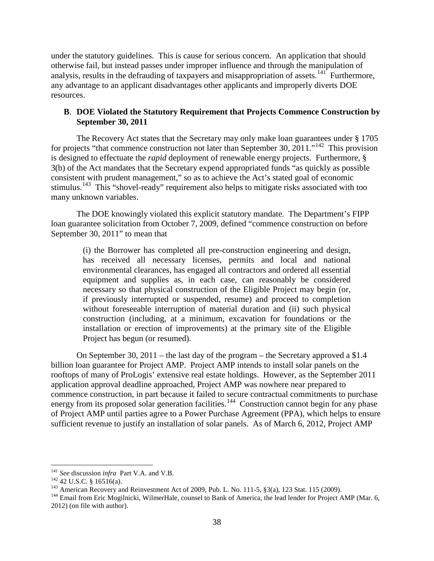under the statutory guidelines. This is cause for serious concern. An application that should otherwise fail, but instead passes under improper influence and through the manipulation of analysis, results in the defrauding of taxpayers and misappropriation of assets.<sup>[141](#page-37-0)</sup> Furthermore, any advantage to an applicant disadvantages other applicants and improperly diverts DOE resources.

### **B**. **DOE Violated the Statutory Requirement that Projects Commence Construction by September 30, 2011**

The Recovery Act states that the Secretary may only make loan guarantees under § 1705 for projects "that commence construction not later than September 30, 2011."<sup>[142](#page-37-1)</sup> This provision is designed to effectuate the *rapid* deployment of renewable energy projects. Furthermore, § 3(b) of the Act mandates that the Secretary expend appropriated funds "as quickly as possible consistent with prudent management," so as to achieve the Act's stated goal of economic stimulus.<sup>[143](#page-37-2)</sup> This "shovel-ready" requirement also helps to mitigate risks associated with too many unknown variables.

 The DOE knowingly violated this explicit statutory mandate. The Department's FIPP loan guarantee solicitation from October 7, 2009, defined "commence construction on before September 30, 2011" to mean that

(i) the Borrower has completed all pre-construction engineering and design, has received all necessary licenses, permits and local and national environmental clearances, has engaged all contractors and ordered all essential equipment and supplies as, in each case, can reasonably be considered necessary so that physical construction of the Eligible Project may begin (or, if previously interrupted or suspended, resume) and proceed to completion without foreseeable interruption of material duration and (ii) such physical construction (including, at a minimum, excavation for foundations or the installation or erection of improvements) at the primary site of the Eligible Project has begun (or resumed).

On September 30, 2011 – the last day of the program – the Secretary approved a \$1.4 billion loan guarantee for Project AMP. Project AMP intends to install solar panels on the rooftops of many of ProLogis' extensive real estate holdings. However, as the September 2011 application approval deadline approached, Project AMP was nowhere near prepared to commence construction, in part because it failed to secure contractual commitments to purchase energy from its proposed solar generation facilities.<sup>[144](#page-37-3)</sup> Construction cannot begin for any phase of Project AMP until parties agree to a Power Purchase Agreement (PPA), which helps to ensure sufficient revenue to justify an installation of solar panels. As of March 6, 2012, Project AMP

<span id="page-37-0"></span><sup>&</sup>lt;sup>141</sup> *See* discussion *infra* Part V.A. and V.B.<br><sup>142</sup> 42 U.S.C. § 16516(a).

<span id="page-37-2"></span><span id="page-37-1"></span><sup>&</sup>lt;sup>143</sup> American Recovery and Reinvestment Act of 2009, Pub. L. No. 111-5,  $\S3(a)$ , 123 Stat. 115 (2009).<br><sup>144</sup> Email from Eric Mogilnicki, WilmerHale, counsel to Bank of America, the lead lender for Project AMP (Mar. 6,

<span id="page-37-3"></span><sup>2012) (</sup>on file with author).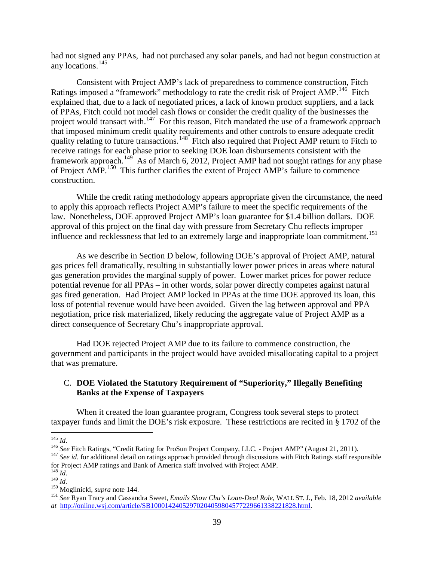had not signed any PPAs, had not purchased any solar panels, and had not begun construction at any locations.<sup>[145](#page-38-0)</sup>

Consistent with Project AMP's lack of preparedness to commence construction, Fitch Ratings imposed a "framework" methodology to rate the credit risk of Project AMP.<sup>[146](#page-38-1)</sup> Fitch explained that, due to a lack of negotiated prices, a lack of known product suppliers, and a lack of PPAs, Fitch could not model cash flows or consider the credit quality of the businesses the project would transact with.<sup>147</sup> For this reason, Fitch mandated the use of a framework approach that imposed minimum credit quality requirements and other controls to ensure adequate credit quality relating to future transactions.<sup>[148](#page-38-3)</sup> Fitch also required that Project AMP return to Fitch to receive ratings for each phase prior to seeking DOE loan disbursements consistent with the framework approach.<sup>[149](#page-38-4)</sup> As of March 6, 2012, Project AMP had not sought ratings for any phase of Project AMP.<sup>[150](#page-38-5)</sup> This further clarifies the extent of Project AMP's failure to commence construction.

While the credit rating methodology appears appropriate given the circumstance, the need to apply this approach reflects Project AMP's failure to meet the specific requirements of the law. Nonetheless, DOE approved Project AMP's loan guarantee for \$1.4 billion dollars. DOE approval of this project on the final day with pressure from Secretary Chu reflects improper influence and recklessness that led to an extremely large and inappropriate loan commitment. [151](#page-38-6)

As we describe in Section D below, following DOE's approval of Project AMP, natural gas prices fell dramatically, resulting in substantially lower power prices in areas where natural gas generation provides the marginal supply of power. Lower market prices for power reduce potential revenue for all PPAs – in other words, solar power directly competes against natural gas fired generation. Had Project AMP locked in PPAs at the time DOE approved its loan, this loss of potential revenue would have been avoided. Given the lag between approval and PPA negotiation, price risk materialized, likely reducing the aggregate value of Project AMP as a direct consequence of Secretary Chu's inappropriate approval.

Had DOE rejected Project AMP due to its failure to commence construction, the government and participants in the project would have avoided misallocating capital to a project that was premature.

## C. **DOE Violated the Statutory Requirement of "Superiority," Illegally Benefiting Banks at the Expense of Taxpayers**

When it created the loan guarantee program, Congress took several steps to protect taxpayer funds and limit the DOE's risk exposure. These restrictions are recited in § 1702 of the

<span id="page-38-2"></span>

<span id="page-38-1"></span><span id="page-38-0"></span><sup>&</sup>lt;sup>145</sup> *Id.*<br><sup>146</sup> See Fitch Ratings, "Credit Rating for ProSun Project Company, LLC. - Project AMP" (August 21, 2011).<br><sup>147</sup> See id. for additional detail on ratings approach provided through discussions with Fitch Rating for Project AMP ratings and Bank of America staff involved with Project AMP.  $^{148}$   $\emph{Id.}$ 

<span id="page-38-6"></span>

<span id="page-38-5"></span><span id="page-38-4"></span><span id="page-38-3"></span><sup>148</sup> *Id*. <sup>149</sup> *Id*. <sup>150</sup> Mogilnicki, *supra* note 144. <sup>151</sup> *See* Ryan Tracy and Cassandra Sweet, *Emails Show Chu's Loan-Deal Role,* WALL ST. J., Feb. 18, 2012 *available at* [http://online.wsj.com/article/SB10001424052970204059804577229661338221828.html.](http://online.wsj.com/article/SB10001424052970204059804577229661338221828.html)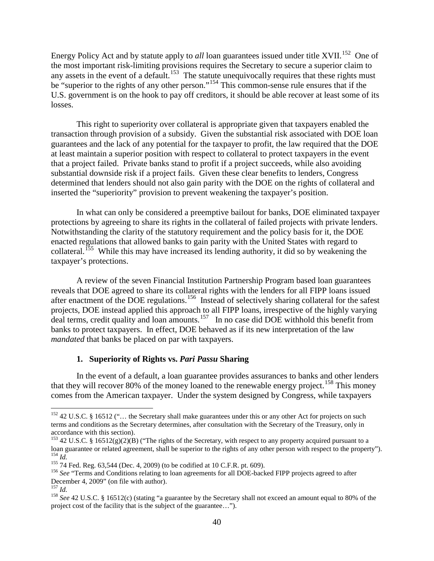Energy Policy Act and by statute apply to *all* loan guarantees issued under title XVII.<sup>[152](#page-39-0)</sup> One of the most important risk-limiting provisions requires the Secretary to secure a superior claim to any assets in the event of a default.<sup>153</sup> The statute unequivocally requires that these rights must be "superior to the rights of any other person."<sup>[154](#page-39-2)</sup> This common-sense rule ensures that if the U.S. government is on the hook to pay off creditors, it should be able recover at least some of its losses.

This right to superiority over collateral is appropriate given that taxpayers enabled the transaction through provision of a subsidy. Given the substantial risk associated with DOE loan guarantees and the lack of any potential for the taxpayer to profit, the law required that the DOE at least maintain a superior position with respect to collateral to protect taxpayers in the event that a project failed. Private banks stand to profit if a project succeeds, while also avoiding substantial downside risk if a project fails. Given these clear benefits to lenders, Congress determined that lenders should not also gain parity with the DOE on the rights of collateral and inserted the "superiority" provision to prevent weakening the taxpayer's position.

In what can only be considered a preemptive bailout for banks, DOE eliminated taxpayer protections by agreeing to share its rights in the collateral of failed projects with private lenders. Notwithstanding the clarity of the statutory requirement and the policy basis for it, the DOE enacted regulations that allowed banks to gain parity with the United States with regard to collateral.<sup>[155](#page-39-3)</sup> While this may have increased its lending authority, it did so by weakening the taxpayer's protections.

A review of the seven Financial Institution Partnership Program based loan guarantees reveals that DOE agreed to share its collateral rights with the lenders for all FIPP loans issued after enactment of the DOE regulations.[156](#page-39-4) Instead of selectively sharing collateral for the safest projects, DOE instead applied this approach to all FIPP loans, irrespective of the highly varying deal terms, credit quality and loan amounts.<sup>157</sup> In no case did DOE withhold this benefit from banks to protect taxpayers. In effect, DOE behaved as if its new interpretation of the law *mandated* that banks be placed on par with taxpayers.

#### **1. Superiority of Rights vs.** *Pari Passu* **Sharing**

In the event of a default, a loan guarantee provides assurances to banks and other lenders that they will recover 80% of the money loaned to the renewable energy project.<sup>[158](#page-39-6)</sup> This money comes from the American taxpayer. Under the system designed by Congress, while taxpayers

<span id="page-39-0"></span><sup>&</sup>lt;sup>152</sup> 42 U.S.C. § 16512 ("... the Secretary shall make guarantees under this or any other Act for projects on such terms and conditions as the Secretary determines, after consultation with the Secretary of the Treasury, only in accordance with this section).

<span id="page-39-1"></span><sup>&</sup>lt;sup>153</sup> 42 U.S.C. § 16512(g)(2)(B) ("The rights of the Secretary, with respect to any property acquired pursuant to a<br>loan guarantee or related agreement, shall be superior to the rights of any other person with respect to <sup>154</sup> *Id.*<br><sup>155</sup> 74 Fed. Reg. 63,544 (Dec. 4, 2009) (to be codified at 10 C.F.R. pt. 609).<br><sup>156</sup> *See* "Terms and Conditions relating to loan agreements for all DOE-backed FIPP projects agreed to after

<span id="page-39-3"></span><span id="page-39-2"></span>

<span id="page-39-4"></span>December 4, 2009" (on file with author).<br> $^{157}$  *Id.* 

<span id="page-39-5"></span>

<span id="page-39-6"></span><sup>&</sup>lt;sup>158</sup> See 42 U.S.C. § 16512(c) (stating "a guarantee by the Secretary shall not exceed an amount equal to 80% of the project cost of the facility that is the subject of the guarantee…").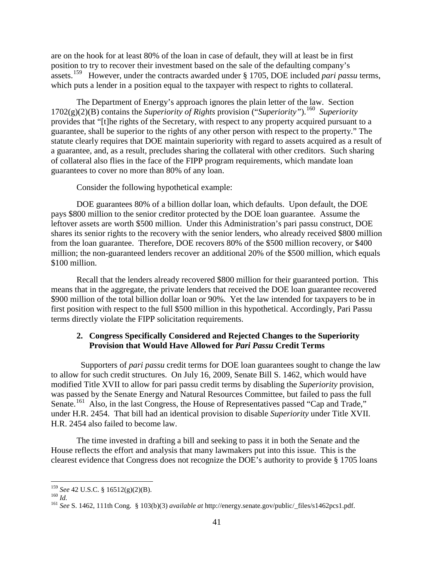are on the hook for at least 80% of the loan in case of default, they will at least be in first position to try to recover their investment based on the sale of the defaulting company's assets.<sup>[159](#page-40-0)</sup> However, under the contracts awarded under § 1705, DOE included *pari passu* terms, which puts a lender in a position equal to the taxpayer with respect to rights to collateral.

The Department of Energy's approach ignores the plain letter of the law. Section 1702(g)(2)(B) contains the *Superiority of Rights* provision ("*Superiority"*). [160](#page-40-1) *Superiority*  provides that "[t]he rights of the Secretary, with respect to any property acquired pursuant to a guarantee, shall be superior to the rights of any other person with respect to the property." The statute clearly requires that DOE maintain superiority with regard to assets acquired as a result of a guarantee, and, as a result, precludes sharing the collateral with other creditors. Such sharing of collateral also flies in the face of the FIPP program requirements, which mandate loan guarantees to cover no more than 80% of any loan.

Consider the following hypothetical example:

DOE guarantees 80% of a billion dollar loan, which defaults. Upon default, the DOE pays \$800 million to the senior creditor protected by the DOE loan guarantee. Assume the leftover assets are worth \$500 million. Under this Administration's pari passu construct, DOE shares its senior rights to the recovery with the senior lenders, who already received \$800 million from the loan guarantee. Therefore, DOE recovers 80% of the \$500 million recovery, or \$400 million; the non-guaranteed lenders recover an additional 20% of the \$500 million, which equals \$100 million.

Recall that the lenders already recovered \$800 million for their guaranteed portion. This means that in the aggregate, the private lenders that received the DOE loan guarantee recovered \$900 million of the total billion dollar loan or 90%. Yet the law intended for taxpayers to be in first position with respect to the full \$500 million in this hypothetical. Accordingly, Pari Passu terms directly violate the FIPP solicitation requirements.

# **2. Congress Specifically Considered and Rejected Changes to the Superiority Provision that Would Have Allowed for** *Pari Passu* **Credit Terms**

Supporters of *pari passu* credit terms for DOE loan guarantees sought to change the law to allow for such credit structures. On July 16, 2009, Senate Bill S. 1462, which would have modified Title XVII to allow for pari passu credit terms by disabling the *Superiority* provision, was passed by the Senate Energy and Natural Resources Committee, but failed to pass the full Senate.<sup>[161](#page-40-2)</sup> Also, in the last Congress, the House of Representatives passed "Cap and Trade," under H.R. 2454. That bill had an identical provision to disable *Superiority* under Title XVII. H.R. 2454 also failed to become law.

The time invested in drafting a bill and seeking to pass it in both the Senate and the House reflects the effort and analysis that many lawmakers put into this issue. This is the clearest evidence that Congress does not recognize the DOE's authority to provide § 1705 loans

<span id="page-40-2"></span><span id="page-40-1"></span>

<span id="page-40-0"></span><sup>159</sup> *See* 42 U.S.C. § 16512(g)(2)(B). 160 *Id.* <sup>161</sup> *See* S. 1462, 111th Cong. § 103(b)(3) *available at* http://energy.senate.gov/public/\_files/s1462pcs1.pdf.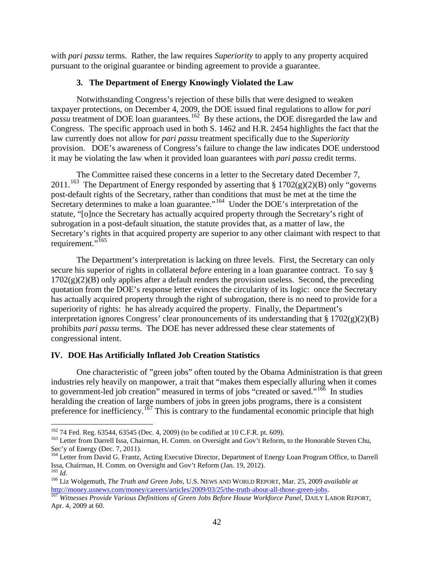with *pari passu* terms. Rather, the law requires *Superiority* to apply to any property acquired pursuant to the original guarantee or binding agreement to provide a guarantee.

## **3. The Department of Energy Knowingly Violated the Law**

Notwithstanding Congress's rejection of these bills that were designed to weaken taxpayer protections, on December 4, 2009, the DOE issued final regulations to allow for *pari*  passu treatment of DOE loan guarantees.<sup>[162](#page-41-0)</sup> By these actions, the DOE disregarded the law and Congress. The specific approach used in both S. 1462 and H.R. 2454 highlights the fact that the law currently does not allow for *pari passu* treatment specifically due to the *Superiority* provision. DOE's awareness of Congress's failure to change the law indicates DOE understood it may be violating the law when it provided loan guarantees with *pari passu* credit terms.

The Committee raised these concerns in a letter to the Secretary dated December 7, 2011.<sup>163</sup> The Department of Energy responded by asserting that § 1702(g)(2)(B) only "governs post-default rights of the Secretary, rather than conditions that must be met at the time the Secretary determines to make a loan guarantee."<sup>164</sup> Under the DOE's interpretation of the statute, "[o]nce the Secretary has actually acquired property through the Secretary's right of subrogation in a post-default situation, the statute provides that, as a matter of law, the Secretary's rights in that acquired property are superior to any other claimant with respect to that requirement."<sup>[165](#page-41-3)</sup>

The Department's interpretation is lacking on three levels. First, the Secretary can only secure his superior of rights in collateral *before* entering in a loan guarantee contract. To say §  $1702(g)(2)(B)$  only applies after a default renders the provision useless. Second, the preceding quotation from the DOE's response letter evinces the circularity of its logic: once the Secretary has actually acquired property through the right of subrogation, there is no need to provide for a superiority of rights: he has already acquired the property. Finally, the Department's interpretation ignores Congress' clear pronouncements of its understanding that  $\S 1702(g)(2)(B)$ prohibits *pari passu* terms. The DOE has never addressed these clear statements of congressional intent.

# **IV. DOE Has Artificially Inflated Job Creation Statistics**

One characteristic of "green jobs" often touted by the Obama Administration is that green industries rely heavily on manpower, a trait that "makes them especially alluring when it comes to government-led job creation" measured in terms of jobs "created or saved."<sup>166</sup> In studies heralding the creation of large numbers of jobs in green jobs programs, there is a consistent preference for inefficiency.<sup>[167](#page-41-5)</sup> This is contrary to the fundamental economic principle that high

 <sup>162</sup> 74 Fed. Reg. 63544, 63545 (Dec. 4, 2009) (to be codified at 10 C.F.R. pt. 609).

<span id="page-41-1"></span><span id="page-41-0"></span><sup>&</sup>lt;sup>163</sup> Letter from Darrell Issa, Chairman, H. Comm. on Oversight and Gov't Reform, to the Honorable Steven Chu, Sec'y of Energy (Dec. 7, 2011).

<span id="page-41-2"></span><sup>&</sup>lt;sup>164</sup> Letter from David G. Frantz, Acting Executive Director, Department of Energy Loan Program Office, to Darrell Issa, Chairman, H. Comm. on Oversight and Gov't Reform (Jan. 19, 2012).

<span id="page-41-4"></span><span id="page-41-3"></span><sup>165</sup> *Id.* <sup>166</sup> Liz Wolgemuth, *The Truth and Green Jobs*, U.S. NEWS AND WORLD REPORT, Mar. 25, 2009 *available at*  [http://money.usnews.com/money/careers/articles/2009/03/25/the-truth-about-all-those-green-jobs.](http://money.usnews.com/money/careers/articles/2009/03/25/the-truth-about-all-those-green-jobs) [167](http://money.usnews.com/money/careers/articles/2009/03/25/the-truth-about-all-those-green-jobs) *Witnesses Provide Various Definitions of Green Jobs Before House Workforce Panel*, DAILY LABOR REPORT,

<span id="page-41-5"></span>Apr. 4, 2009 at 60.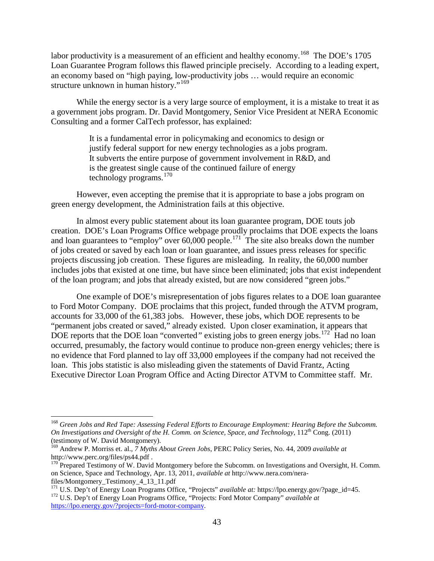labor productivity is a measurement of an efficient and healthy economy.<sup>[168](#page-42-0)</sup> The DOE's 1705 Loan Guarantee Program follows this flawed principle precisely. According to a leading expert, an economy based on "high paying, low-productivity jobs … would require an economic structure unknown in human history."<sup>[169](#page-42-1)</sup>

While the energy sector is a very large source of employment, it is a mistake to treat it as a government jobs program. Dr. David Montgomery, Senior Vice President at NERA Economic Consulting and a former CalTech professor, has explained:

> It is a fundamental error in policymaking and economics to design or justify federal support for new energy technologies as a jobs program. It subverts the entire purpose of government involvement in R&D, and is the greatest single cause of the continued failure of energy technology programs.[170](#page-42-2)

However, even accepting the premise that it is appropriate to base a jobs program on green energy development, the Administration fails at this objective.

In almost every public statement about its loan guarantee program, DOE touts job creation. DOE's Loan Programs Office webpage proudly proclaims that DOE expects the loans and loan guarantees to "employ" over  $60,000$  people.<sup>[171](#page-42-3)</sup> The site also breaks down the number of jobs created or saved by each loan or loan guarantee, and issues press releases for specific projects discussing job creation. These figures are misleading. In reality, the 60,000 number includes jobs that existed at one time, but have since been eliminated; jobs that exist independent of the loan program; and jobs that already existed, but are now considered "green jobs."

One example of DOE's misrepresentation of jobs figures relates to a DOE loan guarantee to Ford Motor Company. DOE proclaims that this project, funded through the ATVM program, accounts for 33,000 of the 61,383 jobs. However, these jobs, which DOE represents to be "permanent jobs created or saved," already existed. Upon closer examination, it appears that DOE reports that the DOE loan "converted" existing jobs to green energy jobs.<sup>[172](#page-42-4)</sup> Had no loan occurred, presumably, the factory would continue to produce non-green energy vehicles; there is no evidence that Ford planned to lay off 33,000 employees if the company had not received the loan. This jobs statistic is also misleading given the statements of David Frantz, Acting Executive Director Loan Program Office and Acting Director ATVM to Committee staff. Mr.

<span id="page-42-0"></span> <sup>168</sup> *Green Jobs and Red Tape: Assessing Federal Efforts to Encourage Employment: Hearing Before the Subcomm. On Investigations and Oversight of the H. Comm. on Science, Space, and Technology*, 112<sup>th</sup> Cong. (2011) (testimony of W. David Montgomery).

<span id="page-42-1"></span><sup>&</sup>lt;sup>169</sup> [Andrew](http://www.perc.org/files/ps44.pdf) P. Morriss et. al., *7 Myths About Green Jobs*, PERC Policy Series, No. 44, 2009 *available at* http://www.perc.org/files/ps44.pdf .

<span id="page-42-2"></span> $170$  Prepared Testimony of W. David Montgomery before the Subcomm. on Investigations and Oversight, H. Comm. on Science, Space and Technology, Apr. 13, 2011, *available at* http://www.nera.com/nerafiles/Montgomery\_Testimony\_4\_13\_11.pdf

<span id="page-42-4"></span><span id="page-42-3"></span><sup>&</sup>lt;sup>171</sup> U.S. Dep't of Energy Loan Programs Office, "Projects" *available at:* https://lpo.energy.gov/?page\_id=45. <sup>172</sup> U.S. Dep't of Energy Loan Programs Office, "Projects: Ford Motor Company" *available at* [https://lpo.energy.gov/?projects=ford-motor-company.](https://lpo.energy.gov/?projects=ford-motor-company)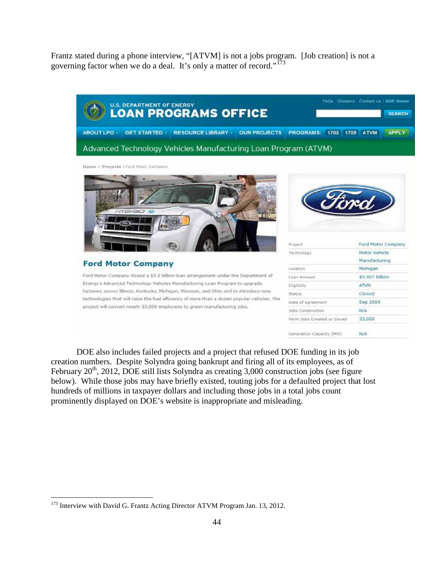Frantz stated during a phone interview, "[ATVM] is not a jobs program. [Job creation] is not a governing factor when we do a deal. It's only a matter of record."<sup>[173](#page-43-0)</sup>



Home > Projects >Ford Motor Company



**Ford Motor Company** 

Ford Motor Company dosed a \$5.9 billion loan arrangement under the Department of Energy's Advanced Technology Vehicles Manufacturing Loan Program to upgrade. factories across Illinois, Kentucky, Michigan, Missouri, and Ohio and to introduce new technologies that will raise the fuel efficiency of more than a dozen popular vehicles. The project will convert nearly 33,000 employees to green manufacturing jobs.



| Project                    | Ford Motor Company |
|----------------------------|--------------------|
| Technology                 | Motor Vehicle      |
|                            | Manufacturing      |
| Location                   | Michigan           |
| Loan Amount                | \$5,907 billion    |
| Eligibility                | <b>ATVM</b>        |
| <b>Status</b>              | Closed             |
| Date of agreement          | Sep 2009           |
| Jobs Construction          | N/A                |
| Perm Jobs Created or Saved | 33,000             |
| Generation Capacity (MW)   | N/A                |

DOE also includes failed projects and a project that refused DOE funding in its job creation numbers. Despite Solyndra going bankrupt and firing all of its employees, as of February  $20<sup>th</sup>$ , 2012, DOE still lists Solyndra as creating 3,000 construction jobs (see figure below). While those jobs may have briefly existed, touting jobs for a defaulted project that lost hundreds of millions in taxpayer dollars and including those jobs in a total jobs count prominently displayed on DOE's website is inappropriate and misleading.

<span id="page-43-0"></span><sup>&</sup>lt;sup>173</sup> Interview with David G. Frantz Acting Director ATVM Program Jan. 13, 2012.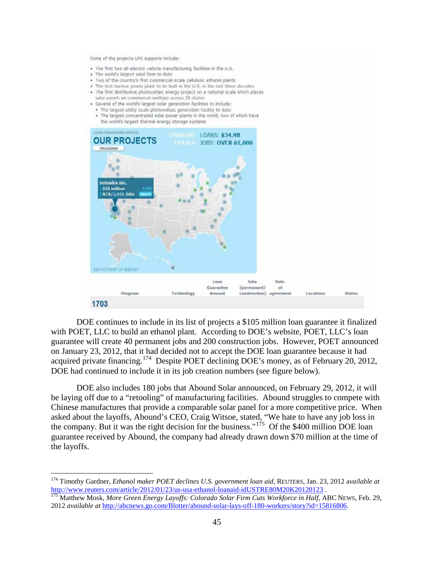Some of the projects LPO supports include:

- · The first two all-electric vehicle manufacturing facilities in the U.S.
- . The world's largest wind farm to date
- . Two of the country's first commercial-scale cellulosic ethanol plants
- . The first nuclear power plant to be built in the U.S. in the last three decades
- . The first distributive photovoltaic energy project on a national scale which places
- solar panels on commercial rooftops across 28 states
- · Several of the world's largest solar generation facilities to include: . The largest utility scale photovoltaic generation facility to date
- . The largest concentrated solar power plants in the world, two of which have the world's largest thermal energy storage systems



DOE continues to include in its list of projects a \$105 million loan guarantee it finalized with POET, LLC to build an ethanol plant. According to DOE's website, POET, LLC's loan guarantee will create 40 permanent jobs and 200 construction jobs. However, POET announced on January 23, 2012, that it had decided not to accept the DOE loan guarantee because it had acquired private financing.<sup>[174](#page-44-0)</sup> Despite POET declining DOE's money, as of February 20, 2012, DOE had continued to include it in its job creation numbers (see figure below).

DOE also includes 180 jobs that Abound Solar announced, on February 29, 2012, it will be laying off due to a "retooling" of manufacturing facilities. Abound struggles to compete with Chinese manufactures that provide a comparable solar panel for a more competitive price. When asked about the layoffs, Abound's CEO, Craig Witsoe, stated, "We hate to have any job loss in the company. But it was the right decision for the business."<sup>[175](#page-44-1)</sup> Of the \$400 million DOE loan guarantee received by Abound, the company had already drawn down \$70 million at the time of the layoffs.

<span id="page-44-0"></span> <sup>174</sup> Timothy Gardner, *Ethanol maker POET declines U.S. government loan aid*, REUTERS*,* Jan. 23, 2012 a*vailable at*  <http://www.reuters.com/article/2012/01/23/us-usa-ethanol-loanaid-idUSTRE80M20K20120123> . <sup>175</sup> Matthew Mosk, *More Green Energy Layoffs: Colorado Solar Firm Cuts Workforce in Half*, ABC NEWS, Feb. 29,

<span id="page-44-1"></span><sup>2012</sup> *available at* [http://abcnews.go.com/Blotter/abound-solar-lays-off-180-workers/story?id=15816806.](http://abcnews.go.com/Blotter/abound-solar-lays-off-180-workers/story?id=15816806)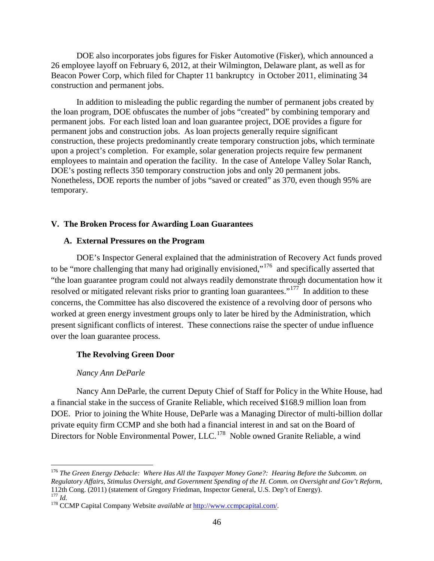DOE also incorporates jobs figures for Fisker Automotive (Fisker), which announced a 26 employee layoff on February 6, 2012, at their Wilmington, Delaware plant, as well as for Beacon Power Corp, which filed for Chapter 11 bankruptcy in October 2011, eliminating 34 construction and permanent jobs.

In addition to misleading the public regarding the number of permanent jobs created by the loan program, DOE obfuscates the number of jobs "created" by combining temporary and permanent jobs. For each listed loan and loan guarantee project, DOE provides a figure for permanent jobs and construction jobs. As loan projects generally require significant construction, these projects predominantly create temporary construction jobs, which terminate upon a project's completion. For example, solar generation projects require few permanent employees to maintain and operation the facility. In the case of Antelope Valley Solar Ranch, DOE's posting reflects 350 temporary construction jobs and only 20 permanent jobs. Nonetheless, DOE reports the number of jobs "saved or created" as 370, even though 95% are temporary.

#### **V. The Broken Process for Awarding Loan Guarantees**

#### **A. External Pressures on the Program**

DOE's Inspector General explained that the administration of Recovery Act funds proved to be "more challenging that many had originally envisioned,"<sup>[176](#page-45-0)</sup> and specifically asserted that "the loan guarantee program could not always readily demonstrate through documentation how it resolved or mitigated relevant risks prior to granting loan guarantees."<sup>[177](#page-45-1)</sup> In addition to these concerns, the Committee has also discovered the existence of a revolving door of persons who worked at green energy investment groups only to later be hired by the Administration, which present significant conflicts of interest. These connections raise the specter of undue influence over the loan guarantee process.

#### **The Revolving Green Door**

#### *Nancy Ann DeParle*

Nancy Ann DeParle, the current Deputy Chief of Staff for Policy in the White House, had a financial stake in the success of Granite Reliable, which received \$168.9 million loan from DOE. Prior to joining the White House, DeParle was a Managing Director of multi-billion dollar private equity firm CCMP and she both had a financial interest in and sat on the Board of Directors for Noble Environmental Power, LLC.<sup>[178](#page-45-2)</sup> Noble owned Granite Reliable, a wind

<span id="page-45-0"></span> <sup>176</sup> *The Green Energy Debacle: Where Has All the Taxpayer Money Gone?: Hearing Before the Subcomm. on Regulatory Affairs, Stimulus Oversight, and Government Spending of the H. Comm. on Oversight and Gov't Reform*, 112th Cong. (2011) (statement of Gregory Friedman, Inspector General, U.S. Dep't of Energy).<br><sup>177</sup> Id

<span id="page-45-2"></span><span id="page-45-1"></span><sup>&</sup>lt;sup>178</sup> CCMP Capital Company Website *available at* [http://www.ccmpcapital.com/.](http://www.ccmpcapital.com/)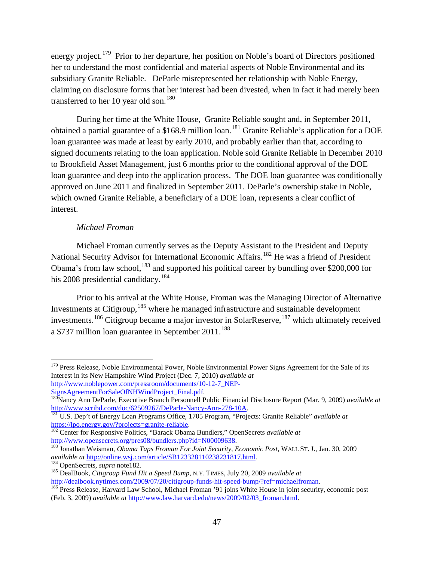energy project.<sup>[179](#page-46-0)</sup> Prior to her departure, her position on Noble's board of Directors positioned her to understand the most confidential and material aspects of Noble Environmental and its subsidiary Granite Reliable. DeParle misrepresented her relationship with Noble Energy, claiming on disclosure forms that her interest had been divested, when in fact it had merely been transferred to her 10 year old son.<sup>[180](#page-46-1)</sup>

During her time at the White House, Granite Reliable sought and, in September 2011, obtained a partial guarantee of a \$168.9 million loan.<sup>[181](#page-46-2)</sup> Granite Reliable's application for a DOE loan guarantee was made at least by early 2010, and probably earlier than that, according to signed documents relating to the loan application. Noble sold Granite Reliable in December 2010 to Brookfield Asset Management, just 6 months prior to the conditional approval of the DOE loan guarantee and deep into the application process. The DOE loan guarantee was conditionally approved on June 2011 and finalized in September 2011. DeParle's ownership stake in Noble, which owned Granite Reliable, a beneficiary of a DOE loan, represents a clear conflict of interest.

### *Michael Froman*

Michael Froman currently serves as the Deputy Assistant to the President and Deputy National Security Advisor for International Economic Affairs.<sup>[182](#page-46-3)</sup> He was a friend of President Obama's from law school,<sup>[183](#page-46-4)</sup> and supported his political career by bundling over \$200,000 for his 2008 presidential candidacy.  $184$ 

Prior to his arrival at the White House, Froman was the Managing Director of Alternative Investments at Citigroup,  $185$  where he managed infrastructure and sustainable development investments.<sup>[186](#page-46-7)</sup> Citigroup became a major investor in SolarReserve,<sup>[187](#page-46-8)</sup> which ultimately received a \$737 million loan guarantee in September  $2011$ .<sup>[188](#page-46-9)</sup>

<span id="page-46-9"></span><span id="page-46-8"></span><span id="page-46-0"></span><sup>&</sup>lt;sup>179</sup> Press Release, Noble Environmental Power, Noble Environmental Power Signs Agreement for the Sale of its Interest in its New Hampshire Wind Project (Dec. 7, 2010) *available at*  [http://www.noblepower.com/pressroom/documents/10-12-7\\_NEP-](http://www.noblepower.com/pressroom/documents/10-12-7_NEP-SignsAgreementForSaleOfNHWindProject_Final.pdf)

[SignsAgreementForSaleOfNHWindProject\\_Final.pdf.](http://www.noblepower.com/pressroom/documents/10-12-7_NEP-SignsAgreementForSaleOfNHWindProject_Final.pdf) 180Nancy Ann DeParle, Executive Branch Personnell Public Financial Disclosure Report (Mar. 9, 2009) *available at*

<span id="page-46-2"></span><span id="page-46-1"></span>[http://www.scribd.com/doc/62509267/DeParle-Nancy-Ann-278-10A.](http://www.scribd.com/doc/62509267/DeParle-Nancy-Ann-278-10A)<br><sup>181</sup> U.S. Dep't of Energy Loan Programs Office, 1705 Program, "Projects: Granite Reliable" *available at* https://lpo.energy.gov/?projects=granite-reliable.

<span id="page-46-3"></span>http://www.opensecrets.org/pres08/bundlers.php?id=N00009638.

<span id="page-46-4"></span>http://onathan Weisman, *Obama Taps Froman For Joint Security, Economic Post*, WALL ST. J., Jan. 30, 2009 available at http://online.wsj.com/article/SB123328110238231817.html.

<span id="page-46-6"></span><span id="page-46-5"></span><sup>&</sup>lt;sup>184</sup> OpenSecrets, *supra* note182.<br><sup>185</sup> DealBook, *Citigroup Fund Hit a Speed Bump*, N.Y. TIMES, July 20, 2009 *available at*<br>http://dealbook.nytimes.com/2009/07/20/citigroup-funds-hit-speed-bump/?ref=michaelfroman.

<span id="page-46-7"></span><sup>&</sup>lt;sup>186</sup> Press Release, Harvard Law School, Michael Froman '91 joins White House in joint security, economic post (Feb. 3, 2009) *available at* [http://www.law.harvard.edu/news/2009/02/03\\_froman.html.](http://www.law.harvard.edu/news/2009/02/03_froman.html)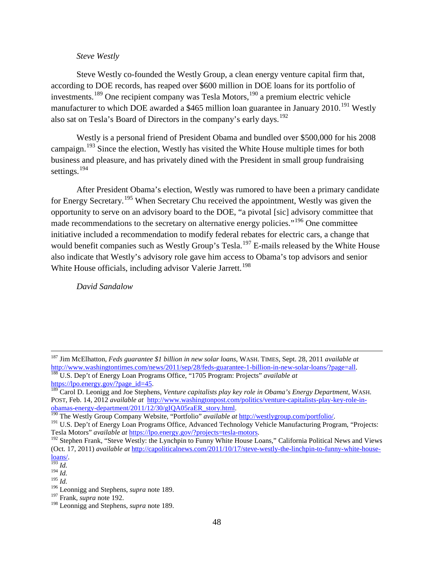#### *Steve Westly*

Steve Westly co-founded the Westly Group, a clean energy venture capital firm that, according to DOE records, has reaped over \$600 million in DOE loans for its portfolio of investments.[189](#page-47-0) One recipient company was Tesla Motors,[190](#page-47-1) a premium electric vehicle manufacturer to which DOE awarded a \$465 million loan guarantee in January 2010.<sup>[191](#page-47-2)</sup> Westly also sat on Tesla's Board of Directors in the company's early days.<sup>[192](#page-47-3)</sup>

Westly is a personal friend of President Obama and bundled over \$500,000 for his 2008 campaign.<sup>[193](#page-47-4)</sup> Since the election, Westly has visited the White House multiple times for both business and pleasure, and has privately dined with the President in small group fundraising settings.<sup>[194](#page-47-5)</sup>

After President Obama's election, Westly was rumored to have been a primary candidate for Energy Secretary.[195](#page-47-6) When Secretary Chu received the appointment, Westly was given the opportunity to serve on an advisory board to the DOE, "a pivotal [sic] advisory committee that made recommendations to the secretary on alternative energy policies."<sup>[196](#page-47-7)</sup> One committee initiative included a recommendation to modify federal rebates for electric cars, a change that would benefit companies such as Westly Group's Tesla.<sup>[197](#page-47-8)</sup> E-mails released by the White House also indicate that Westly's advisory role gave him access to Obama's top advisors and senior White House officials, including advisor Valerie Jarrett.<sup>[198](#page-47-9)</sup>

*David Sandalow*

<sup>&</sup>lt;sup>187</sup> Jim McElhatton, *Feds guarantee \$1 billion in new solar loans*, WASH. TIMES, Sept. 28, 2011 *available at* http://www.washingtontimes.com/news/2011/sep/28/feds-guarantee-1-billion-in-new-solar-loans/?page=all. <sup>188</sup> U.S. Dep't of Energy Loan Programs Office, "1705 Program: Projects" *available at* 

<span id="page-47-0"></span>[https://lpo.energy.gov/?page\\_id=45.](https://lpo.energy.gov/?page_id=45)<br><sup>189</sup> Carol D. Leonigg and Joe Stephens, *Venture capitalists play key role in Obama's Energy Department*, WASH. POST, Feb. 14, 2012 *available at* [http://www.washingtonpost.com/politics/venture-capitalists-play-key-role-in-](http://www.washingtonpost.com/politics/venture-capitalists-play-key-role-in-obamas-energy-department/2011/12/30/gIQA05raER_story.html)

<span id="page-47-2"></span>

<span id="page-47-1"></span>[obamas-energy-department/2011/12/30/gIQA05raER\\_story.html.](http://www.washingtonpost.com/politics/venture-capitalists-play-key-role-in-obamas-energy-department/2011/12/30/gIQA05raER_story.html)<br>
<sup>[190](http://www.washingtonpost.com/politics/venture-capitalists-play-key-role-in-obamas-energy-department/2011/12/30/gIQA05raER_story.html)</sup> The Westly Group Company Website, "Portfolio" *available at* [http://westlygroup.com/portfolio/.](http://westlygroup.com/portfolio/)<br>
<sup>191</sup> U.S. Dep't of Energy Loan Programs Office, Advanced T

<span id="page-47-3"></span><sup>&</sup>lt;sup>192</sup> Stephen Frank, "Steve Westly: the Lynchpin to Funny White House Loans," California Political News and Views (Oct. 17, 2011) *available at* [http://capoliticalnews.com/2011/10/17/steve-westly-the-linchpin-to-funny-white-house](http://capoliticalnews.com/2011/10/17/steve-westly-the-linchpin-to-funny-white-house-loans/) $rac{\text{loans}}{^{193} \text{Id}}$ .

<span id="page-47-5"></span><span id="page-47-4"></span> $^{194}$  *Id.* 

<span id="page-47-6"></span><sup>195</sup> *Id.*

<span id="page-47-7"></span><sup>196</sup> Leonnigg and Stephens, *supra* note 189.

<span id="page-47-8"></span><sup>197</sup> Frank, *supra* note 192.

<span id="page-47-9"></span><sup>198</sup> Leonnigg and Stephens, *supra* note 189.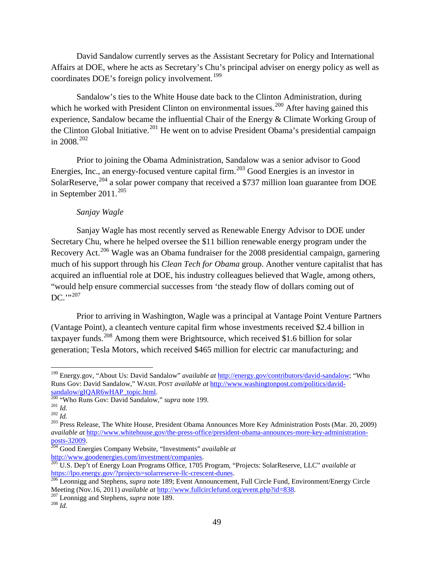David Sandalow currently serves as the Assistant Secretary for Policy and International Affairs at DOE, where he acts as Secretary's Chu's principal adviser on energy policy as well as coordinates DOE's foreign policy involvement.<sup>[199](#page-48-0)</sup>

Sandalow's ties to the White House date back to the Clinton Administration, during which he worked with President Clinton on environmental issues.<sup>[200](#page-48-1)</sup> After having gained this experience, Sandalow became the influential Chair of the Energy & Climate Working Group of the Clinton Global Initiative.<sup>[201](#page-48-2)</sup> He went on to advise President Obama's presidential campaign in 2008. $^{202}$  $^{202}$  $^{202}$ 

Prior to joining the Obama Administration, Sandalow was a senior advisor to Good Energies, Inc., an energy-focused venture capital firm.<sup>[203](#page-48-4)</sup> Good Energies is an investor in SolarReserve,<sup>[204](#page-48-5)</sup> a solar power company that received a \$737 million loan guarantee from DOE in September 2011. $^{205}$  $^{205}$  $^{205}$ 

## *Sanjay Wagle*

Sanjay Wagle has most recently served as Renewable Energy Advisor to DOE under Secretary Chu, where he helped oversee the \$11 billion renewable energy program under the Recovery Act.<sup>[206](#page-48-7)</sup> Wagle was an Obama fundraiser for the 2008 presidential campaign, garnering much of his support through his *Clean Tech for Obama* group. Another venture capitalist that has acquired an influential role at DOE, his industry colleagues believed that Wagle, among others, "would help ensure commercial successes from 'the steady flow of dollars coming out of  $DC$ .",  $^{207}$  $^{207}$  $^{207}$ 

Prior to arriving in Washington, Wagle was a principal at Vantage Point Venture Partners (Vantage Point), a cleantech venture capital firm whose investments received \$2.4 billion in taxpayer funds.<sup>[208](#page-48-9)</sup> Among them were Brightsource, which received \$1.6 billion for solar generation; Tesla Motors, which received \$465 million for electric car manufacturing; and

<span id="page-48-0"></span> <sup>199</sup> Energy.gov, "About Us: David Sandalow" *available at* [http://energy.gov/contributors/david-sandalow;](http://energy.gov/contributors/david-sandalow) "Who Runs Gov: David Sandalow," WASH. POST *available at* http://www.washingtonpost.com/politics/david-<br>sandalow/gIQAR6wHAP\_topic.html.<br><sup>200</sup> "Who Runs Gov: David Sandalow," *supra* note 199.

<span id="page-48-4"></span>

<span id="page-48-3"></span><span id="page-48-2"></span><span id="page-48-1"></span><sup>&</sup>lt;sup>201</sup> *Id.*<br><sup>202</sup> *Id.*<br><sup>202</sup> Press Release, The White House, President Obama Announces More Key Administration Posts (Mar. 20, 2009) *available at* [http://www.whitehouse.gov/the-press-office/president-obama-announces-more-key-administration](http://www.whitehouse.gov/the-press-office/president-obama-announces-more-key-administration-posts-32009)[posts-32009.](http://www.whitehouse.gov/the-press-office/president-obama-announces-more-key-administration-posts-32009) <sup>204</sup> Good Energies Company Website, "Investments" *available at* 

<span id="page-48-6"></span><span id="page-48-5"></span>[http://www.goodenergies.com/investment/companies.](http://www.goodenergies.com/investment/companies)<br><sup>205</sup> U.S. Dep't of Energy Loan Programs Office, 1705 Program, "Projects: SolarReserve, LLC" *available at* https://lpo.energy.gov/?projects=solarreserve-llc-crescent-dunes

<span id="page-48-7"></span><sup>&</sup>lt;sup>206</sup> Leonnigg and Stephens, *supra* note 189; Event Announcement, Full Circle Fund, Environment/Energy Circle Meeting (Nov.16, 2011) *available at* [http://www.fullcirclefund.org/event.php?id=838.](http://www.fullcirclefund.org/event.php?id=838) <sup>207</sup> Leonnigg and Stephens, *supra* note 189. <sup>208</sup> *Id.*

<span id="page-48-8"></span>

<span id="page-48-9"></span>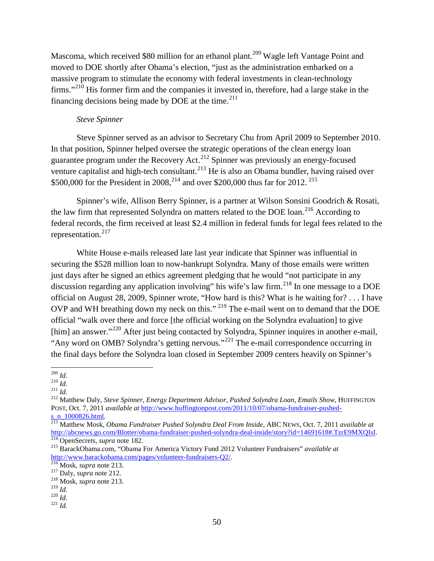Mascoma, which received \$80 million for an ethanol plant.<sup>[209](#page-49-0)</sup> Wagle left Vantage Point and moved to DOE shortly after Obama's election, "just as the administration embarked on a massive program to stimulate the economy with federal investments in clean-technology firms."<sup>[210](#page-49-1)</sup> His former firm and the companies it invested in, therefore, had a large stake in the financing decisions being made by DOE at the time. $^{211}$  $^{211}$  $^{211}$ 

#### *Steve Spinner*

Steve Spinner served as an advisor to Secretary Chu from April 2009 to September 2010. In that position, Spinner helped oversee the strategic operations of the clean energy loan guarantee program under the Recovery Act.<sup>[212](#page-49-3)</sup> Spinner was previously an energy-focused venture capitalist and high-tech consultant.<sup>[213](#page-49-4)</sup> He is also an Obama bundler, having raised over \$500,000 for the President in 2008, <sup>[214](#page-49-5)</sup> and over \$200,000 thus far for 2012.<sup>[215](#page-49-6)</sup>

Spinner's wife, Allison Berry Spinner, is a partner at Wilson Sonsini Goodrich & Rosati, the law firm that represented Solyndra on matters related to the DOE loan.<sup>[216](#page-49-7)</sup> According to federal records, the firm received at least \$2.4 million in federal funds for legal fees related to the representation.<sup>[217](#page-49-8)</sup>

White House e-mails released late last year indicate that Spinner was influential in securing the \$528 million loan to now-bankrupt Solyndra. Many of those emails were written just days after he signed an ethics agreement pledging that he would "not participate in any discussion regarding any application involving" his wife's law firm.<sup>[218](#page-49-9)</sup> In one message to a DOE official on August 28, 2009, Spinner wrote, "How hard is this? What is he waiting for? . . . I have OVP and WH breathing down my neck on this." [219](#page-49-10) The e-mail went on to demand that the DOE official "walk over there and force [the official working on the Solyndra evaluation] to give [him] an answer."<sup>[220](#page-49-11)</sup> After just being contacted by Solyndra, Spinner inquires in another e-mail, "Any word on OMB? Solyndra's getting nervous."<sup>[221](#page-49-12)</sup> The e-mail correspondence occurring in the final days before the Solyndra loan closed in September 2009 centers heavily on Spinner's

<span id="page-49-0"></span> $\frac{^{209}}{^{210}}$ *Id.* 

<span id="page-49-3"></span><span id="page-49-2"></span><span id="page-49-1"></span><sup>210</sup> *Id.* <sup>211</sup> *Id.* <sup>212</sup> Matthew Daly, *Steve Spinner, Energy Department Advisor, Pushed Solyndra Loan, Emails Show*, HUFFINGTON POST, Oct. 7, 2011 *available at* [http://www.huffingtonpost.com/2011/10/07/obama-fundraiser-pushed-](http://www.huffingtonpost.com/2011/10/07/obama-fundraiser-pushed-s_n_1000826.html)

<span id="page-49-4"></span>[s\\_n\\_1000826.html.](http://www.huffingtonpost.com/2011/10/07/obama-fundraiser-pushed-s_n_1000826.html) <sup>213</sup> Matthew Mosk, *Obama Fundraiser Pushed Solyndra Deal From Inside*, ABC NEWS, Oct. 7, 2011 *available at* [http://abcnews.go.com/Blotter/obama-fundraiser-pushed-solyndra-deal-inside/story?id=14691618#.TzrE9MXQIsI.](http://abcnews.go.com/Blotter/obama-fundraiser-pushed-solyndra-deal-inside/story?id=14691618#.TzrE9MXQIsI)<br><sup>[214](http://abcnews.go.com/Blotter/obama-fundraiser-pushed-solyndra-deal-inside/story?id=14691618#.TzrE9MXQIsI)</sup> OpenSecrets, *supra* note 182.<br><sup>215</sup> BarackObama.com, "Obama For America Victory Fund 2012 Volunteer Fundrais

<span id="page-49-6"></span><span id="page-49-5"></span>[http://www.barackobama.com/pages/volunteer-fundraisers-Q2/.](http://www.barackobama.com/pages/volunteer-fundraisers-Q2/) <sup>216</sup> Mosk, *supra* note 213. <sup>217</sup> Daly, *supra* note 212. <sup>218</sup> Mosk, *supra* note 213. <sup>219</sup> *Id.* <sup>220</sup> *Id.* <sup>221</sup> *Id.*

<span id="page-49-7"></span>

<span id="page-49-9"></span><span id="page-49-8"></span>

<span id="page-49-11"></span><span id="page-49-10"></span>

<span id="page-49-12"></span>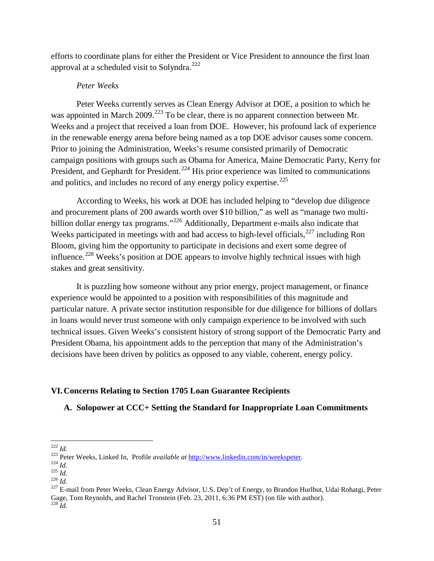efforts to coordinate plans for either the President or Vice President to announce the first loan approval at a scheduled visit to Solyndra.<sup>[222](#page-50-0)</sup>

### *Peter Weeks*

Peter Weeks currently serves as Clean Energy Advisor at DOE, a position to which he was appointed in March 2009.<sup>[223](#page-50-1)</sup> To be clear, there is no apparent connection between Mr. Weeks and a project that received a loan from DOE. However, his profound lack of experience in the renewable energy arena before being named as a top DOE advisor causes some concern. Prior to joining the Administration, Weeks's resume consisted primarily of Democratic campaign positions with groups such as Obama for America, Maine Democratic Party, Kerry for President, and Gephardt for President.<sup>[224](#page-50-2)</sup> His prior experience was limited to communications and politics, and includes no record of any energy policy expertise.<sup>[225](#page-50-3)</sup>

According to Weeks, his work at DOE has included helping to "develop due diligence and procurement plans of 200 awards worth over \$10 billion," as well as "manage two multi-billion dollar energy tax programs."<sup>[226](#page-50-4)</sup> Additionally, Department e-mails also indicate that Weeks participated in meetings with and had access to high-level officials, $227$  including Ron Bloom, giving him the opportunity to participate in decisions and exert some degree of influence.<sup>[228](#page-50-6)</sup> Weeks's position at DOE appears to involve highly technical issues with high stakes and great sensitivity.

It is puzzling how someone without any prior energy, project management, or finance experience would be appointed to a position with responsibilities of this magnitude and particular nature. A private sector institution responsible for due diligence for billions of dollars in loans would never trust someone with only campaign experience to be involved with such technical issues. Given Weeks's consistent history of strong support of the Democratic Party and President Obama, his appointment adds to the perception that many of the Administration's decisions have been driven by politics as opposed to any viable, coherent, energy policy.

### **VI.Concerns Relating to Section 1705 Loan Guarantee Recipients**

# **A. Solopower at CCC+ Setting the Standard for Inappropriate Loan Commitments**

<span id="page-50-2"></span>

<span id="page-50-3"></span>

<span id="page-50-6"></span><span id="page-50-5"></span><span id="page-50-4"></span>

<span id="page-50-1"></span><span id="page-50-0"></span><sup>&</sup>lt;sup>222</sup> *Id.*<br><sup>223</sup> Peter Weeks, Linked In, Profile *available at* [http://www.linkedin.com/in/weekspeter.](http://www.linkedin.com/in/weekspeter)<br><sup>224</sup> *Id.*<br><sup>226</sup> *Id.*<br><sup>226</sup> *Id.*<br><sup>226</sup> *Id.*<br><sup>226</sup> *Id.*<br><sup>226</sup> *Id.* Gage, Tom Reynolds, and Rachel Tronstein (Feb. 23, 2011, 6:36 PM EST) (on file with author). <sup>228</sup> *Id.*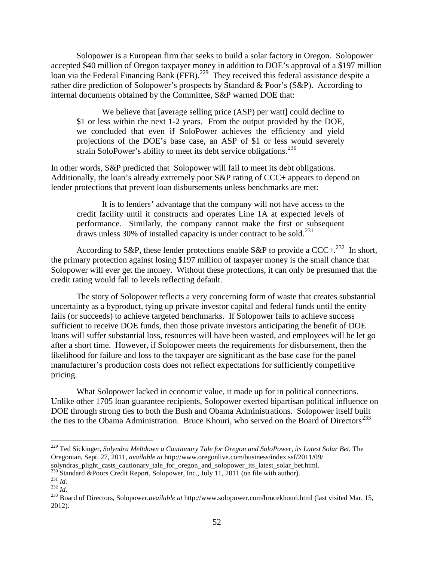Solopower is a European firm that seeks to build a solar factory in Oregon. Solopower accepted \$40 million of Oregon taxpayer money in addition to DOE's approval of a \$197 million loan via the Federal Financing Bank (FFB).<sup>[229](#page-51-0)</sup> They received this federal assistance despite a rather dire prediction of Solopower's prospects by Standard & Poor's (S&P). According to internal documents obtained by the Committee, S&P warned DOE that:

We believe that [average selling price (ASP) per watt] could decline to \$1 or less within the next 1-2 years. From the output provided by the DOE, we concluded that even if SoloPower achieves the efficiency and yield projections of the DOE's base case, an ASP of \$1 or less would severely strain SoloPower's ability to meet its debt service obligations.<sup>[230](#page-51-1)</sup>

In other words, S&P predicted that Solopower will fail to meet its debt obligations. Additionally, the loan's already extremely poor S&P rating of CCC+ appears to depend on lender protections that prevent loan disbursements unless benchmarks are met:

It is to lenders' advantage that the company will not have access to the credit facility until it constructs and operates Line 1A at expected levels of performance. Similarly, the company cannot make the first or subsequent draws unless 30% of installed capacity is under contract to be sold.<sup>[231](#page-51-2)</sup>

According to S&P, these lender protections enable S&P to provide a CCC+.<sup>[232](#page-51-3)</sup> In short, the primary protection against losing \$197 million of taxpayer money is the small chance that Solopower will ever get the money. Without these protections, it can only be presumed that the credit rating would fall to levels reflecting default.

The story of Solopower reflects a very concerning form of waste that creates substantial uncertainty as a byproduct, tying up private investor capital and federal funds until the entity fails (or succeeds) to achieve targeted benchmarks. If Solopower fails to achieve success sufficient to receive DOE funds, then those private investors anticipating the benefit of DOE loans will suffer substantial loss, resources will have been wasted, and employees will be let go after a short time. However, if Solopower meets the requirements for disbursement, then the likelihood for failure and loss to the taxpayer are significant as the base case for the panel manufacturer's production costs does not reflect expectations for sufficiently competitive pricing.

What Solopower lacked in economic value, it made up for in political connections. Unlike other 1705 loan guarantee recipients, Solopower exerted bipartisan political influence on DOE through strong ties to both the Bush and Obama Administrations. Solopower itself built the ties to the Obama Administration. Bruce Khouri, who served on the Board of Directors<sup>[233](#page-51-4)</sup>

<span id="page-51-0"></span><sup>&</sup>lt;sup>229</sup> Ted Sickinger, *Solyndra Meltdown a Cautionary Tale for Oregon and SoloPower, its Latest Solar Bet, The* Oregonian, Sept. 27, 2011, *available at* http://www.oregonlive.com/business/index.ssf/2011/09/

<span id="page-51-2"></span><span id="page-51-1"></span>

<span id="page-51-4"></span><span id="page-51-3"></span>

solyndras\_plight\_casts\_cautionary\_tale\_for\_oregon\_and\_solopower\_its\_latest\_solar\_bet.html.<br>
<sup>230</sup> Standard &Poors Credit Report, Solopower, Inc., July 11, 2011 (on file with author).<br>
<sup>231</sup> Id.<br>
<sup>232</sup> Id.<br>
<sup>233</sup> Board of 2012).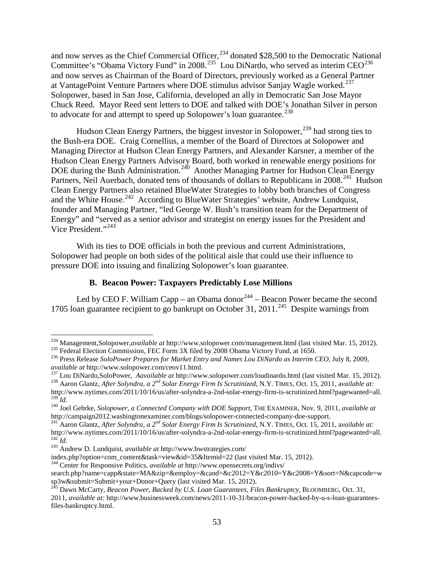and now serves as the Chief Commercial Officer, $^{234}$  $^{234}$  $^{234}$  donated \$28,500 to the Democratic National Committee's "Obama Victory Fund" in 2008.<sup>235</sup> Lou DiNardo, who served as interim CEO<sup>[236](#page-52-2)</sup> and now serves as Chairman of the Board of Directors, previously worked as a General Partner at VantagePoint Venture Partners where DOE stimulus advisor Sanjay Wagle worked.<sup>237</sup> Solopower, based in San Jose, California, developed an ally in Democratic San Jose Mayor Chuck Reed. Mayor Reed sent letters to DOE and talked with DOE's Jonathan Silver in person to advocate for and attempt to speed up Solopower's loan guarantee.<sup>[238](#page-52-4)</sup>

Hudson Clean Energy Partners, the biggest investor in Solopower,<sup>[239](#page-52-5)</sup> had strong ties to the Bush-era DOE. Craig Cornellius, a member of the Board of Directors at Solopower and Managing Director at Hudson Clean Energy Partners, and Alexander Karsner, a member of the Hudson Clean Energy Partners Advisory Board, both worked in renewable energy positions for DOE during the Bush Administration.<sup>240</sup> Another Managing Partner for Hudson Clean Energy Partners, Neil Auerbach, donated tens of thousands of dollars to Republicans in 2008.<sup>[241](#page-52-7)</sup> Hudson Clean Energy Partners also retained BlueWater Strategies to lobby both branches of Congress and the White House.<sup>242</sup> According to BlueWater Strategies' website, Andrew Lundquist, founder and Managing Partner, "led George W. Bush's transition team for the Department of Energy" and "served as a senior advisor and strategist on energy issues for the President and Vice President."[243](#page-52-9)

With its ties to DOE officials in both the previous and current Administrations, Solopower had people on both sides of the political aisle that could use their influence to pressure DOE into issuing and finalizing Solopower's loan guarantee.

#### **B. Beacon Power: Taxpayers Predictably Lose Millions**

Led by CEO F. William Capp – an Obama donor  $244$  – Beacon Power became the second 1705 loan guarantee recipient to go bankrupt on October 31, 2011.<sup>[245](#page-52-11)</sup> Despite warnings from

<span id="page-52-0"></span><sup>&</sup>lt;sup>234</sup> Management,Solopower,*available at* http://www.solopower.com/management.html (last visited Mar. 15, 2012).<br><sup>235</sup> Federal Election Commission, FEC Form 3X filed by 2008 Obama Victory Fund, at 1650.

<span id="page-52-2"></span><span id="page-52-1"></span><sup>&</sup>lt;sup>236</sup> Press Release SoloPower Prepares for Market Entry and Names Lou DiNardo as Interim CEO, July 8, 2009, available at [http://www.solopower.com/ceov11.html.](http://www.solopower.com/ceov11.html)<br><sup>237</sup> Lou DiNardo,SoloPower, Aavailable at <http://www.solopower.com/loudinardo.html> (last visited Mar. 15, 2012).<br><sup>238</sup> Aaron Glantz, After Solyndra, a 2<sup>nd</sup> Solar Energy

<span id="page-52-4"></span><span id="page-52-3"></span>[http://www.nytimes.com/2011/10/16/us/after-solyndra-a-2nd-solar-energy-firm-is-scrutinized.html?pagewanted=all.](http://www.nytimes.com/2011/10/16/us/after-solyndra-a-2nd-solar-energy-firm-is-scrutinized.html?pagewanted=all)<br><sup>239</sup> Id.<br><sup>240</sup> Joel Gehrke, *Solopower*, a Connected Company with DOE Support, THE EXAMINER, Nov. 9, 2011, av

<span id="page-52-5"></span>

<span id="page-52-7"></span><span id="page-52-6"></span>[http://campaign2012.washingtonexaminer.com/blogs/solopower-connected-company-doe-support.](http://campaign2012.washingtonexaminer.com/blogs/solopower-connected-company-doe-support)<br><sup>241</sup> Aaron Glantz, *After Solyndra, a 2<sup>nd</sup> Solar Energy Firm Is Scrutinized*, N.Y. TIMES, Oct. 15, 2011, available at:<br>http://www. <sup>242</sup>*Id.*<br><sup>243</sup> Andrew D. Lundquist, *available at* http://www.bwstrategies.com/<br>index.php?option=com\_content&task=view&id=35&Itemid=22 (last visited Mar. 15, 2012).

<span id="page-52-9"></span><span id="page-52-8"></span>

<span id="page-52-10"></span><sup>&</sup>lt;sup>244</sup> Center for Responsive Politics, *available at* http://www.opensecrets.org/indivs/

search.php?name=capp&state=MA&zip=&employ=&cand=&c2012=Y&c2010=Y&c2008=Y&sort=N&capcode=w sp3w&submit=Submit+your+Donor+Query (last visited Mar. 15, 2012). <sup>245</sup> Dawn McCarty, *Beacon Power, Backed by U.S. Loan Guarantees, Files Bankruptcy*, BLOOMBERG*,* Oct. 31,

<span id="page-52-11"></span>

<sup>2011,</sup> *available at:* [http://www.businessweek.com/news/2011-10-31/beacon-power-backed-by-u-s-loan-guarantees](http://www.businessweek.com/news/2011-10-31/beacon-power-backed-by-u-s-loan-guarantees-files-bankruptcy.html)[files-bankruptcy.html.](http://www.businessweek.com/news/2011-10-31/beacon-power-backed-by-u-s-loan-guarantees-files-bankruptcy.html)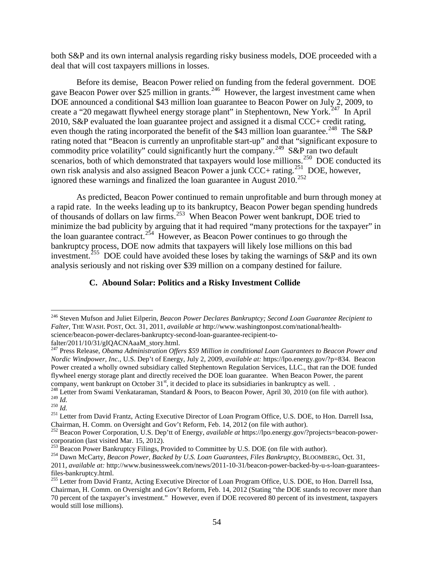both S&P and its own internal analysis regarding risky business models, DOE proceeded with a deal that will cost taxpayers millions in losses.

Before its demise, Beacon Power relied on funding from the federal government. DOE gave Beacon Power over \$25 million in grants.<sup>246</sup> However, the largest investment came when DOE announced a conditional \$43 million loan guarantee to Beacon Power on July 2, 2009, to create a "20 megawatt flywheel energy storage plant" in Stephentown, New York.<sup>247</sup> In April 2010, S&P evaluated the loan guarantee project and assigned it a dismal CCC+ credit rating, even though the rating incorporated the benefit of the \$43 million loan guarantee.<sup>248</sup> The S&P rating noted that "Beacon is currently an unprofitable start-up" and that "significant exposure to commodity price volatility" could significantly hurt the company.<sup>249</sup> S&P ran two default scenarios, both of which demonstrated that taxpayers would lose millions.<sup>[250](#page-53-4)</sup> DOE conducted its own risk analysis and also assigned Beacon Power a junk CCC+ rating.<sup>[251](#page-53-5)</sup> DOE, however, ignored these warnings and finalized the loan guarantee in August 2010.<sup>[252](#page-53-6)</sup>

As predicted, Beacon Power continued to remain unprofitable and burn through money at a rapid rate. In the weeks leading up to its bankruptcy, Beacon Power began spending hundreds of thousands of dollars on law firms.<sup>[253](#page-53-7)</sup> When Beacon Power went bankrupt, DOE tried to minimize the bad publicity by arguing that it had required "many protections for the taxpayer" in the loan guarantee contract.<sup>[254](#page-53-8)</sup> However, as Beacon Power continues to go through the bankruptcy process, DOE now admits that taxpayers will likely lose millions on this bad investment.<sup>[255](#page-53-9)</sup> DOE could have avoided these loses by taking the warnings of S&P and its own analysis seriously and not risking over \$39 million on a company destined for failure.

# **C. Abound Solar: Politics and a Risky Investment Collide**

<span id="page-53-0"></span> <sup>246</sup> Steven Mufson and Juliet Eilperin, *Beacon Power Declares Bankruptcy; Second Loan Guarantee Recipient to Falter*, THE WASH. POST*,* Oct. 31, 2011, *available at* [http://www.washingtonpost.com/national/health](http://www.washingtonpost.com/national/health-science/beacon-power-declares-bankruptcy-second-loan-guarantee-recipient-to-falter/2011/10/31/gIQACNAaaM_story.html)[science/beacon-power-declares-bankruptcy-second-loan-guarantee-recipient-to-](http://www.washingtonpost.com/national/health-science/beacon-power-declares-bankruptcy-second-loan-guarantee-recipient-to-falter/2011/10/31/gIQACNAaaM_story.html)

<span id="page-53-1"></span>[falter/2011/10/31/gIQACNAaaM\\_story.html.](http://www.washingtonpost.com/national/health-science/beacon-power-declares-bankruptcy-second-loan-guarantee-recipient-to-falter/2011/10/31/gIQACNAaaM_story.html) <sup>247</sup> Press Release, *Obama Administration Offers \$59 Million in conditional Loan Guarantees to Beacon Power and Nordic Windpower, Inc.*, U.S. Dep't of Energy, July 2, 2009, *available at:* [https://lpo.energy.gov/?p=834.](https://lpo.energy.gov/?p=834) Beacon Power created a wholly owned subsidiary called Stephentown Regulation Services, LLC., that ran the DOE funded flywheel energy storage plant and directly received the DOE loan guarantee. When Beacon Power, the parent company, went bankrupt on October 31<sup>st</sup>, it decided to place its subsidiaries in bankruptcy as well.

<span id="page-53-3"></span><span id="page-53-2"></span><sup>&</sup>lt;sup>248</sup> Letter from Swami Venkataraman, Standard & Poors, to Beacon Power, April 30, 2010 (on file with author).<br><sup>249</sup> *Id.*<br><sup>250</sup> *Id.*<br><sup>250</sup> *Id.*<br><sup>251</sup> Letter from David Frantz, Acting Executive Director of Loan Program

<span id="page-53-5"></span><span id="page-53-4"></span>Chairman, H. Comm. on Oversight and Gov't Reform, Feb. 14, 2012 (on file with author). <sup>252</sup> Beacon Power Corporation, U.S. Dep'tt of Energy, *available at* [https://lpo.energy.gov/?projects=beacon-power-](https://lpo.energy.gov/?projects=beacon-power-corporation)

<span id="page-53-6"></span>[corporation](https://lpo.energy.gov/?projects=beacon-power-corporation) (last visited Mar. 15, 2012).<br>
<sup>253</sup> Beacon Power Bankruptcy Filings, Provided to Committee by U.S. DOE (on file with author).<br>
<sup>254</sup> Dawn McCarty, *Beacon Power, Backed by U.S. Loan Guarantees, Files Bankruptc* 

<span id="page-53-7"></span>

<span id="page-53-8"></span><sup>2011,</sup> *available at:* [http://www.businessweek.com/news/2011-10-31/beacon-power-backed-by-u-s-loan-guarantees-](http://www.businessweek.com/news/2011-10-31/beacon-power-backed-by-u-s-loan-guarantees-files-bankruptcy.html)

<span id="page-53-9"></span>[files-bankruptcy.html.](http://www.businessweek.com/news/2011-10-31/beacon-power-backed-by-u-s-loan-guarantees-files-bankruptcy.html)<br><sup>255</sup> Letter from David Frantz, Acting Executive Director of Loan Program Office, U.S. DOE, to Hon. Darrell Issa, Chairman, H. Comm. on Oversight and Gov't Reform, Feb. 14, 2012 (Stating "the DOE stands to recover more than 70 percent of the taxpayer's investment." However, even if DOE recovered 80 percent of its investment, taxpayers would still lose millions).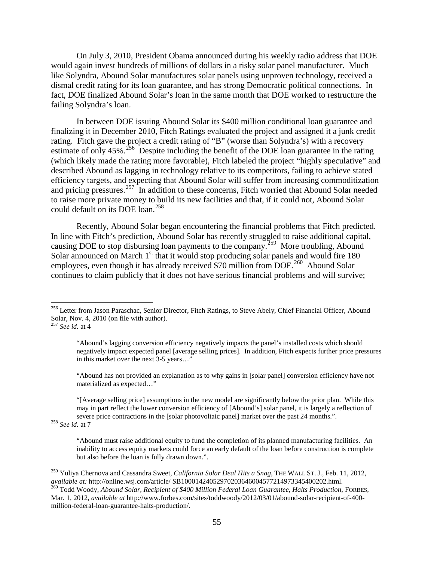On July 3, 2010, President Obama announced during his weekly radio address that DOE would again invest hundreds of millions of dollars in a risky solar panel manufacturer. Much like Solyndra, Abound Solar manufactures solar panels using unproven technology, received a dismal credit rating for its loan guarantee, and has strong Democratic political connections. In fact, DOE finalized Abound Solar's loan in the same month that DOE worked to restructure the failing Solyndra's loan.

In between DOE issuing Abound Solar its \$400 million conditional loan guarantee and finalizing it in December 2010, Fitch Ratings evaluated the project and assigned it a junk credit rating. Fitch gave the project a credit rating of "B" (worse than Solyndra's) with a recovery estimate of only 45%.<sup>[256](#page-54-0)</sup> Despite including the benefit of the DOE loan guarantee in the rating (which likely made the rating more favorable), Fitch labeled the project "highly speculative" and described Abound as lagging in technology relative to its competitors, failing to achieve stated efficiency targets, and expecting that Abound Solar will suffer from increasing commoditization and pricing pressures.<sup>257</sup> In addition to these concerns, Fitch worried that Abound Solar needed to raise more private money to build its new facilities and that, if it could not, Abound Solar could default on its DOE loan.<sup>[258](#page-54-2)</sup>

Recently, Abound Solar began encountering the financial problems that Fitch predicted. In line with Fitch's prediction, Abound Solar has recently struggled to raise additional capital, causing DOE to stop disbursing loan payments to the company.<sup>[259](#page-54-3)</sup> More troubling, Abound Solar announced on March  $1<sup>st</sup>$  that it would stop producing solar panels and would fire 180 employees, even though it has already received \$70 million from  $DOE<sup>260</sup>$  $DOE<sup>260</sup>$  $DOE<sup>260</sup>$  Abound Solar continues to claim publicly that it does not have serious financial problems and will survive;

"Abound has not provided an explanation as to why gains in [solar panel] conversion efficiency have not materialized as expected…"

"[Average selling price] assumptions in the new model are significantly below the prior plan. While this may in part reflect the lower conversion efficiency of [Abound's] solar panel, it is largely a reflection of severe price contractions in the [solar photovoltaic panel] market over the past 24 months.". <sup>258</sup> *See id.* at 7

<span id="page-54-2"></span>

"Abound must raise additional equity to fund the completion of its planned manufacturing facilities. An inability to access equity markets could force an early default of the loan before construction is complete but also before the loan is fully drawn down.".

<span id="page-54-0"></span><sup>&</sup>lt;sup>256</sup> Letter from Jason Paraschac, Senior Director, Fitch Ratings, to Steve Abely, Chief Financial Officer, Abound Solar, Nov. 4, 2010 (on file with author).

<span id="page-54-1"></span><sup>257</sup> *See id.* at 4

<sup>&</sup>quot;Abound's lagging conversion efficiency negatively impacts the panel's installed costs which should negatively impact expected panel [average selling prices]. In addition, Fitch expects further price pressures in this market over the next 3-5 years…"

<span id="page-54-4"></span><span id="page-54-3"></span><sup>259</sup> Yuliya Chernova and Cassandra Sweet, *California Solar Deal Hits a Snag*, THE WALL ST. J., Feb. 11, 2012, *available at:* http://online.wsj.com/article/ SB10001424052970203646004577214973345400202.html. <sup>260</sup> Todd Woody, *Abound Solar, Recipient of \$400 Million Federal Loan Guarantee, Halts Production*, FORBES*,*  Mar. 1, 2012, *available at* http://www.forbes.com/sites/toddwoody/2012/03/01/abound-solar-recipient-of-400 million-federal-loan-guarantee-halts-production/.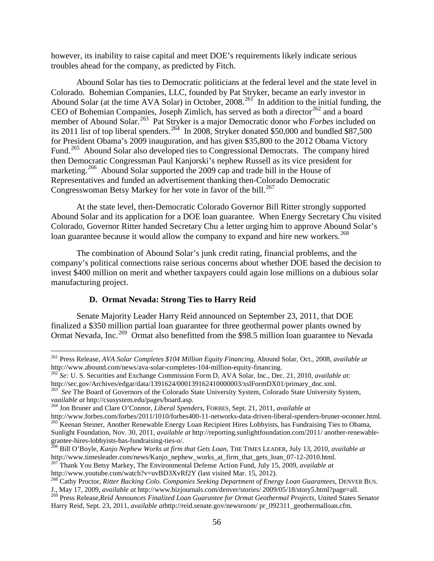however, its inability to raise capital and meet DOE's requirements likely indicate serious troubles ahead for the company, as predicted by Fitch.

Abound Solar has ties to Democratic politicians at the federal level and the state level in Colorado. Bohemian Companies, LLC, founded by Pat Stryker, became an early investor in Abound Solar (at the time AVA Solar) in October,  $2008$ <sup>261</sup> In addition to the initial funding, the CEO of Bohemian Companies, Joseph Zimlich, has served as both a director<sup>[262](#page-55-1)</sup> and a board member of Abound Solar.[263](#page-55-2) Pat Stryker is a major Democratic donor who *Forbes* included on its 2011 list of top liberal spenders.<sup>264</sup> In 2008, Stryker donated \$50,000 and bundled \$87,500 for President Obama's 2009 inauguration, and has given \$35,800 to the 2012 Obama Victory Fund.<sup>[265](#page-55-4)</sup> Abound Solar also developed ties to Congressional Democrats. The company hired then Democratic Congressman Paul Kanjorski's nephew Russell as its vice president for marketing.<sup>[266](#page-55-5)</sup> Abound Solar supported the 2009 cap and trade bill in the House of Representatives and funded an advertisement thanking then-Colorado Democratic Congresswoman Betsy Markey for her vote in favor of the bill.<sup>[267](#page-55-6)</sup>

At the state level, then-Democratic Colorado Governor Bill Ritter strongly supported Abound Solar and its application for a DOE loan guarantee. When Energy Secretary Chu visited Colorado, Governor Ritter handed Secretary Chu a letter urging him to approve Abound Solar's loan guarantee because it would allow the company to expand and hire new workers.<sup>[268](#page-55-7)</sup>

The combination of Abound Solar's junk credit rating, financial problems, and the company's political connections raise serious concerns about whether DOE based the decision to invest \$400 million on merit and whether taxpayers could again lose millions on a dubious solar manufacturing project.

# **D. Ormat Nevada: Strong Ties to Harry Reid**

Senate Majority Leader Harry Reid announced on September 23, 2011, that DOE finalized a \$350 million partial loan guarantee for three geothermal power plants owned by Ormat Nevada, Inc.<sup>[269](#page-55-8)</sup> Ormat also benefitted from the \$98.5 million loan guarantee to Nevada

<span id="page-55-0"></span><sup>&</sup>lt;sup>261</sup> Press Release, *AVA Solar Completes \$104 Million Equity Financing*, Abound Solar, Oct., 2008, *available at* http://www.abound.com/news/ava-solar-completes-104-million-equity-financing.

<span id="page-55-1"></span><sup>&</sup>lt;sup>262</sup> *Se: U. S. Securities and Exchange Commission Form D, AVA Solar, Inc., Dec. 21, 2010, <i>available at:* http://sec.gov/Archives/edgar/data/1391624/000139162410000003/xslFormDX01/primary\_doc.xml.

<span id="page-55-2"></span><sup>&</sup>lt;sup>263</sup> See The Board of Governors of the Colorado State University System, Colorado State University System, *vaailable at* http://csusystem.edu/pages/board.asp.

<span id="page-55-3"></span>*variable at networds and Clare O'Connor, Liberal Spenders, FORBES, Sept. 21, 2011, <i>available at*  $http://www.forbes.com/forebs/2011/1010/forebs400-11-networks-data-driven-liberal-spenders-bruner-cochner.html.$ <sup>265</sup> Keenan Steiner, Another Renewable Energy Loan Recipient Hires Lobbyists, has Fundraising Ties to Obama, Sunlight Foundation, Nov. 30, 2011, *available at* http://reporting.sunlightfoundation.com/2011/ another-renewable-

<span id="page-55-5"></span><span id="page-55-4"></span>grantee-hires-lobbyists-has-fundraising-ties-o/.<br><sup>266</sup> Bill O'Boyle, *Kanjo Nephew Works at firm that Gets Loan*, THE TIMES LEADER, July 13, 2010, *available at* http://www.timesleader.com/news/Kanjo\_nephew\_works\_at\_firm\_t

<span id="page-55-6"></span><sup>&</sup>lt;sup>267</sup> Thank You Betsy Markey, The Environmental Defense Action Fund, July 15, 2009, *available at* http://www.youtube.com/watch?v=uvBD3XvRf2Y (last visited Mar. 15, 2012).

<span id="page-55-7"></span><sup>&</sup>lt;sup>268</sup> Cathy Proctor, Ritter Backing Colo. Companies Seeking Department of Energy Loan Guarantees, DENVER BUS. J., May 17, 2009, available at http://www.bizjournals.com/denver/stories/ 2009/05/18/story5.html?page=all.<br><sup>269</sup> Press Release, Reid Announces Finalized Loan Guarantee for Ormat Geothermal Projects, United States Senator

<span id="page-55-8"></span>Harry Reid, Sept. 23, 2011, *available at*http://reid.senate.gov/newsroom/ pr\_092311\_geothermalloan.cfm.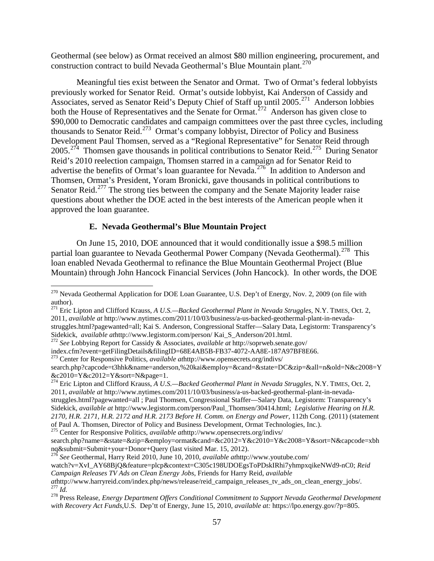Geothermal (see below) as Ormat received an almost \$80 million engineering, procurement, and construction contract to build Nevada Geothermal's Blue Mountain plant.<sup>[270](#page-56-0)</sup>

Meaningful ties exist between the Senator and Ormat. Two of Ormat's federal lobbyists previously worked for Senator Reid. Ormat's outside lobbyist, Kai Anderson of Cassidy and Associates, served as Senator Reid's Deputy Chief of Staff up until 2005.<sup>271</sup> Anderson lobbies both the House of Representatives and the Senate for Ormat.<sup>[272](#page-56-2)</sup> Anderson has given close to \$90,000 to Democratic candidates and campaign committees over the past three cycles, including thousands to Senator Reid.[273](#page-56-3) Ormat's company lobbyist, Director of Policy and Business Development Paul Thomsen, served as a "Regional Representative" for Senator Reid through  $2005.<sup>274</sup>$  Thomsen gave thousands in political contributions to Senator Reid.<sup>[275](#page-56-5)</sup> During Senator Reid's 2010 reelection campaign, Thomsen starred in a campaign ad for Senator Reid to advertise the benefits of Ormat's loan guarantee for Nevada.<sup>[276](#page-56-6)</sup> In addition to Anderson and Thomsen, Ormat's President, Yoram Bronicki, gave thousands in political contributions to Senator Reid.<sup>[277](#page-56-7)</sup> The strong ties between the company and the Senate Majority leader raise questions about whether the DOE acted in the best interests of the American people when it approved the loan guarantee.

### **E. Nevada Geothermal's Blue Mountain Project**

On June 15, 2010, DOE announced that it would conditionally issue a \$98.5 million partial loan guarantee to Nevada Geothermal Power Company (Nevada Geothermal).<sup>[278](#page-56-8)</sup> This loan enabled Nevada Geothermal to refinance the Blue Mountain Geothermal Project (Blue Mountain) through John Hancock Financial Services (John Hancock). In other words, the DOE

<span id="page-56-2"></span>

<span id="page-56-3"></span><sup>273</sup> Center for Responsive Politics, *available athttp://www.opensecrets.org/indivs/* search.php?capcode=t3hhk&name=anderson,%20kai&employ=&cand=&state=DC&zip=&all=n&old=N&c2008=Y<br>&c2010=Y&c2012=Y&sort=N&page=1.

<span id="page-56-4"></span><sup>274</sup> Eric Lipton and Clifford Krauss, *A U.S.—Backed Geothermal Plant in Nevada Struggles*, N.Y. TIMES, Oct. 2, 2011, *available at* [http://www.nytimes.com/2011/10/03/business/a-us-backed-geothermal-plant-in-nevada](http://www.nytimes.com/2011/10/03/business/a-us-backed-geothermal-plant-in-nevada-struggles.html?pagewanted=all)[struggles.html?pagewanted=all](http://www.nytimes.com/2011/10/03/business/a-us-backed-geothermal-plant-in-nevada-struggles.html?pagewanted=all) ; Paul Thomsen, Congressional Staffer—Salary Data, Legistorm: Transparency's Sidekick, *available at* http://www.legistorm.com/person/Paul\_Thomsen/30414.html; *Legislative Hearing on H.R. 2170, H.R. 2171, H.R. 2172 and H.R. 2173 Before H. Comm. on Energy and Power,* 112th Cong. (2011) (statement <sup>275</sup> Center for Responsive Politics, *available athttp://www.opensecrets.org/indivs/* 

<span id="page-56-6"></span><sup>276</sup> See Geothermal, Harry Reid 2010, June 10, 2010, *available athttp://www.youtube.com/* 

watch?v=XvI\_AY68BjQ&feature=plcp&context=C305c198UDOEgsToPDskIRhi7yhmpxqikeNWd9-nC0; *Reid* 

<span id="page-56-0"></span><sup>&</sup>lt;sup>270</sup> Nevada Geothermal Application for DOE Loan Guarantee, U.S. Dep't of Energy, Nov. 2, 2009 (on file with author).

<span id="page-56-1"></span><sup>271</sup> Eric Lipton and Clifford Krauss, *A U.S.—Backed Geothermal Plant in Nevada Struggles*, N.Y. TIMES*,* Oct. 2, 2011, *available at* [http://www.nytimes.com/2011/10/03/business/a-us-backed-geothermal-plant-in-nevada](http://www.nytimes.com/2011/10/03/business/a-us-backed-geothermal-plant-in-nevada-struggles.html?pagewanted=all)[struggles.html?pagewanted=all;](http://www.nytimes.com/2011/10/03/business/a-us-backed-geothermal-plant-in-nevada-struggles.html?pagewanted=all) Kai S. Anderson, Congressional Staffer—Salary Data, Legistorm: Transparency's Sidekick, *available athttp://www.legistorm.com/person/* Kai\_S\_Anderson/201.html.<br><sup>272</sup> *See* Lobbying Report for Cassidy & Associates, *available at http://soprweb.senate.gov/*<br>index.cfm?event=getFilingDetails&filingID=68

<span id="page-56-5"></span>search.php?name=&state=&zip=&employ=ormat&cand=&c2012=Y&c2010=Y&c2008=Y&sort=N&capcode=xbh<br>nq&submit=Submit+your+Donor+Ouery (last visited Mar. 15, 2012).

*Campaign Releases TV Ads on Clean Energy Jobs*, Friends for Harry Reid, *available*   $\frac{277}{16}$  *Id.*<br><sup>278</sup> Press Release, *Energy Department Offers Conditional Commitment to Support Nevada Geothermal Development* 

<span id="page-56-8"></span><span id="page-56-7"></span>*with Recovery Act Funds*,U.S. Dep'tt of Energy, June 15, 2010, *available at:* https://lpo.energy.gov/?p=805.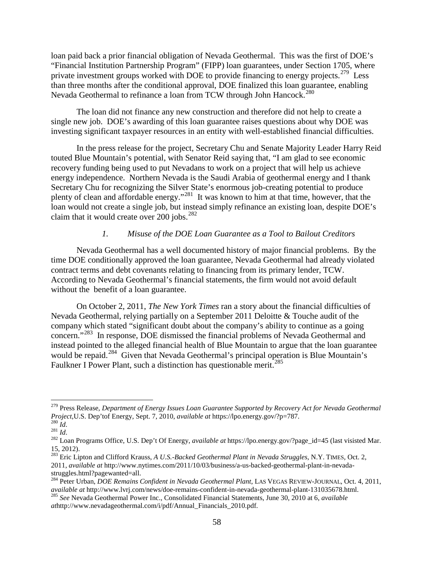loan paid back a prior financial obligation of Nevada Geothermal. This was the first of DOE's "Financial Institution Partnership Program" (FIPP) loan guarantees, under Section 1705, where private investment groups worked with DOE to provide financing to energy projects.<sup>279</sup> Less than three months after the conditional approval, DOE finalized this loan guarantee, enabling Nevada Geothermal to refinance a loan from TCW through John Hancock.<sup>[280](#page-57-1)</sup>

The loan did not finance any new construction and therefore did not help to create a single new job. DOE's awarding of this loan guarantee raises questions about why DOE was investing significant taxpayer resources in an entity with well-established financial difficulties.

In the press release for the project, Secretary Chu and Senate Majority Leader Harry Reid touted Blue Mountain's potential, with Senator Reid saying that, "I am glad to see economic recovery funding being used to put Nevadans to work on a project that will help us achieve energy independence. Northern Nevada is the Saudi Arabia of geothermal energy and I thank Secretary Chu for recognizing the Silver State's enormous job-creating potential to produce plenty of clean and affordable energy."[281](#page-57-2) It was known to him at that time, however, that the loan would not create a single job, but instead simply refinance an existing loan, despite DOE's claim that it would create over 200 jobs. $^{282}$  $^{282}$  $^{282}$ 

### *1. Misuse of the DOE Loan Guarantee as a Tool to Bailout Creditors*

Nevada Geothermal has a well documented history of major financial problems. By the time DOE conditionally approved the loan guarantee, Nevada Geothermal had already violated contract terms and debt covenants relating to financing from its primary lender, TCW. According to Nevada Geothermal's financial statements, the firm would not avoid default without the benefit of a loan guarantee.

On October 2, 2011, *The New York Times* ran a story about the financial difficulties of Nevada Geothermal, relying partially on a September 2011 Deloitte & Touche audit of the company which stated "significant doubt about the company's ability to continue as a going concern."[283](#page-57-4) In response, DOE dismissed the financial problems of Nevada Geothermal and instead pointed to the alleged financial health of Blue Mountain to argue that the loan guarantee would be repaid.<sup>[284](#page-57-5)</sup> Given that Nevada Geothermal's principal operation is Blue Mountain's Faulkner I Power Plant, such a distinction has questionable merit.<sup>[285](#page-57-6)</sup>

<span id="page-57-0"></span> <sup>279</sup> Press Release, *Department of Energy Issues Loan Guarantee Supported by Recovery Act for Nevada Geothermal Project*, U.S. Dep'tof Energy, Sept. 7, 2010, *available at* https://lpo.energy.gov/?p=787.<br><sup>280</sup> *Id.*<br><sup>281</sup> *Id.*<br><sup>282</sup> Loan Programs Office, U.S. Dep't Of Energy, *available at* https://lpo.energy.gov/?page\_id=45 (last

<span id="page-57-2"></span><span id="page-57-1"></span>

<span id="page-57-3"></span><sup>15, 2012).</sup>

<span id="page-57-4"></span><sup>283</sup> Eric Lipton and Clifford Krauss, *A U.S.-Backed Geothermal Plant in Nevada Struggles*, N.Y. TIMES*,* Oct. 2, 2011, *available at* http://www.nytimes.com/2011/10/03/business/a-us-backed-geothermal-plant-in-nevadastruggles.html?pagewanted=all.<br><sup>284</sup> Peter Urban, *DOE Remains Confident in Nevada Geothermal Plant*, LAS VEGAS REVIEW-JOURNAL, Oct. 4, 2011,

<span id="page-57-5"></span>available at http://www.lvrj.com/news/doe-remains-confident-in-nevada-geothermal-plant-131035678.html.<br><sup>285</sup> See Nevada Geothermal Power Inc., Consolidated Financial Statements, June 30, 2010 at 6, available

<span id="page-57-6"></span>*at*http://www.nevadageothermal.com/i/pdf/Annual\_Financials\_2010.pdf.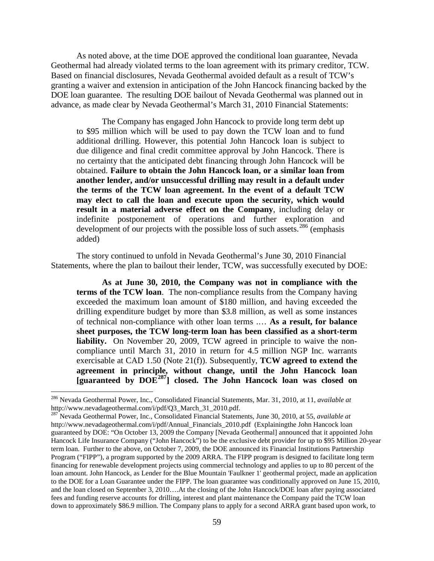As noted above, at the time DOE approved the conditional loan guarantee, Nevada Geothermal had already violated terms to the loan agreement with its primary creditor, TCW. Based on financial disclosures, Nevada Geothermal avoided default as a result of TCW's granting a waiver and extension in anticipation of the John Hancock financing backed by the DOE loan guarantee. The resulting DOE bailout of Nevada Geothermal was planned out in advance, as made clear by Nevada Geothermal's March 31, 2010 Financial Statements:

The Company has engaged John Hancock to provide long term debt up to \$95 million which will be used to pay down the TCW loan and to fund additional drilling. However, this potential John Hancock loan is subject to due diligence and final credit committee approval by John Hancock. There is no certainty that the anticipated debt financing through John Hancock will be obtained. **Failure to obtain the John Hancock loan, or a similar loan from another lender, and/or unsuccessful drilling may result in a default under the terms of the TCW loan agreement. In the event of a default TCW may elect to call the loan and execute upon the security, which would result in a material adverse effect on the Company**, including delay or indefinite postponement of operations and further exploration and development of our projects with the possible loss of such assets.<sup>[286](#page-58-0)</sup> (emphasis added)

The story continued to unfold in Nevada Geothermal's June 30, 2010 Financial Statements, where the plan to bailout their lender, TCW, was successfully executed by DOE:

**As at June 30, 2010, the Company was not in compliance with the terms of the TCW loan**. The non-compliance results from the Company having exceeded the maximum loan amount of \$180 million, and having exceeded the drilling expenditure budget by more than \$3.8 million, as well as some instances of technical non-compliance with other loan terms .… **As a result, for balance sheet purposes, the TCW long-term loan has been classified as a short-term liability.** On November 20, 2009, TCW agreed in principle to waive the noncompliance until March 31, 2010 in return for 4.5 million NGP Inc. warrants exercisable at CAD 1.50 (Note 21(f)). Subsequently, **TCW agreed to extend the agreement in principle, without change, until the John Hancock loan [guaranteed by DOE[287](#page-58-1) ] closed. The John Hancock loan was closed on** 

<span id="page-58-0"></span> <sup>286</sup> Nevada Geothermal Power, Inc., Consolidated Financial Statements, Mar. 31, 2010, at 11, *available at*  http://www.nevadageothermal.com/i/pdf/Q3\_March\_31\_2010.pdf.

<span id="page-58-1"></span><sup>287</sup> Nevada Geothermal Power, Inc., Consolidated Financial Statements, June 30, 2010, at 55, *available at* http://www.nevadageothermal.com/i/pdf/Annual Financials 2010.pdf (Explainingthe John Hancock loan guaranteed by DOE: "On October 13, 2009 the Company [Nevada Geothermal] announced that it appointed John Hancock Life Insurance Company ("John Hancock") to be the exclusive debt provider for up to \$95 Million 20-year term loan. Further to the above, on October 7, 2009, the DOE announced its Financial Institutions Partnership Program ("FIPP"), a program supported by the 2009 ARRA. The FIPP program is designed to facilitate long term financing for renewable development projects using commercial technology and applies to up to 80 percent of the loan amount. John Hancock, as Lender for the Blue Mountain 'Faulkner 1' geothermal project, made an application to the DOE for a Loan Guarantee under the FIPP. The loan guarantee was conditionally approved on June 15, 2010, and the loan closed on September 3, 2010….At the closing of the John Hancock/DOE loan after paying associated fees and funding reserve accounts for drilling, interest and plant maintenance the Company paid the TCW loan down to approximately \$86.9 million. The Company plans to apply for a second ARRA grant based upon work, to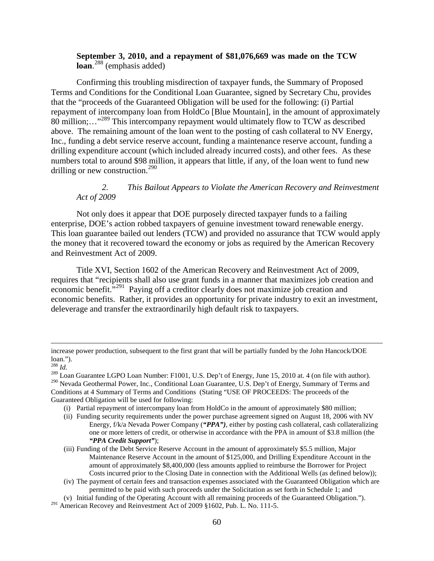## **September 3, 2010, and a repayment of \$81,076,669 was made on the TCW loan**. [288](#page-59-0) (emphasis added)

Confirming this troubling misdirection of taxpayer funds, the Summary of Proposed Terms and Conditions for the Conditional Loan Guarantee, signed by Secretary Chu, provides that the "proceeds of the Guaranteed Obligation will be used for the following: (i) Partial repayment of intercompany loan from HoldCo [Blue Mountain], in the amount of approximately 80 million;..."<sup>[289](#page-59-1)</sup> This intercompany repayment would ultimately flow to TCW as described above. The remaining amount of the loan went to the posting of cash collateral to NV Energy, Inc., funding a debt service reserve account, funding a maintenance reserve account, funding a drilling expenditure account (which included already incurred costs), and other fees. As these numbers total to around \$98 million, it appears that little, if any, of the loan went to fund new drilling or new construction.<sup>[290](#page-59-2)</sup>

### *2. This Bailout Appears to Violate the American Recovery and Reinvestment Act of 2009*

Not only does it appear that DOE purposely directed taxpayer funds to a failing enterprise, DOE's action robbed taxpayers of genuine investment toward renewable energy. This loan guarantee bailed out lenders (TCW) and provided no assurance that TCW would apply the money that it recovered toward the economy or jobs as required by the American Recovery and Reinvestment Act of 2009.

Title XVI, Section 1602 of the American Recovery and Reinvestment Act of 2009, requires that "recipients shall also use grant funds in a manner that maximizes job creation and economic benefit.<sup>7[291](#page-59-3)</sup> Paying off a creditor clearly does not maximize job creation and economic benefits. Rather, it provides an opportunity for private industry to exit an investment, deleverage and transfer the extraordinarily high default risk to taxpayers.

increase power production, subsequent to the first grant that will be partially funded by the John Hancock/DOE loan.").

<span id="page-59-2"></span>

<span id="page-59-1"></span><span id="page-59-0"></span><sup>&</sup>lt;sup>288</sup> Id.<br><sup>289</sup> Loan Guarantee LGPO Loan Number: F1001, U.S. Dep't of Energy, June 15, 2010 at. 4 (on file with author). <sup>290</sup> Nevada Geothermal Power, Inc., Conditional Loan Guarantee, U.S. Dep't of Energy, Summary of Terms and Conditions at 4 Summary of Terms and Conditions (Stating "USE OF PROCEEDS: The proceeds of the Guaranteed Obligation will be used for following:

<sup>(</sup>i) Partial repayment of intercompany loan from HoldCo in the amount of approximately \$80 million;

<sup>(</sup>ii) Funding security requirements under the power purchase agreement signed on August 18, 2006 with NV Energy, f/k/a Nevada Power Company (*"PPA")*, either by posting cash collateral, cash collateralizing one or more letters of credit, or otherwise in accordance with the PPA in amount of \$3.8 million (the *"PPA Credit Support"*);

<sup>(</sup>iii) Funding of the Debt Service Reserve Account in the amount of approximately \$5.5 million, Major Maintenance Reserve Account in the amount of \$125,000, and Drilling Expenditure Account in the amount of approximately \$8,400,000 (less amounts applied to reimburse the Borrower for Project Costs incurred prior to the Closing Date in connection with the Additional Wells (as defined below));

<sup>(</sup>iv) The payment of certain fees and transaction expenses associated with the Guaranteed Obligation which are permitted to be paid with such proceeds under the Solicitation as set forth in Schedule 1; and

<sup>(</sup>v) Initial funding of the Operating Account with all remaining proceeds of the Guaranteed Obligation.").

<span id="page-59-3"></span><sup>&</sup>lt;sup>291</sup> American Recovey and Reinvestment Act of 2009 §1602, Pub. L. No. 111-5.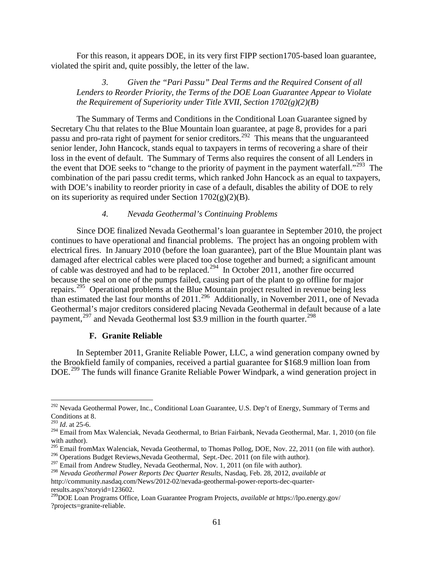For this reason, it appears DOE, in its very first FIPP section1705-based loan guarantee, violated the spirit and, quite possibly, the letter of the law.

## *3. Given the "Pari Passu" Deal Terms and the Required Consent of all Lenders to Reorder Priority, the Terms of the DOE Loan Guarantee Appear to Violate the Requirement of Superiority under Title XVII, Section 1702(g)(2)(B)*

The Summary of Terms and Conditions in the Conditional Loan Guarantee signed by Secretary Chu that relates to the Blue Mountain loan guarantee, at page 8, provides for a pari passu and pro-rata right of payment for senior creditors.[292](#page-60-0) This means that the unguaranteed senior lender, John Hancock, stands equal to taxpayers in terms of recovering a share of their loss in the event of default. The Summary of Terms also requires the consent of all Lenders in the event that DOE seeks to "change to the priority of payment in the payment waterfall."<sup>[293](#page-60-1)</sup> The combination of the pari passu credit terms, which ranked John Hancock as an equal to taxpayers, with DOE's inability to reorder priority in case of a default, disables the ability of DOE to rely on its superiority as required under Section  $1702(g)(2)(B)$ .

#### *4. Nevada Geothermal's Continuing Problems*

Since DOE finalized Nevada Geothermal's loan guarantee in September 2010, the project continues to have operational and financial problems. The project has an ongoing problem with electrical fires. In January 2010 (before the loan guarantee), part of the Blue Mountain plant was damaged after electrical cables were placed too close together and burned; a significant amount of cable was destroyed and had to be replaced.<sup>[294](#page-60-2)</sup> In October 2011, another fire occurred because the seal on one of the pumps failed, causing part of the plant to go offline for major repairs.[295](#page-60-3) Operational problems at the Blue Mountain project resulted in revenue being less than estimated the last four months of 2011.<sup>[296](#page-60-4)</sup> Additionally, in November 2011, one of Nevada Geothermal's major creditors considered placing Nevada Geothermal in default because of a late payment,<sup>[297](#page-60-5)</sup> and Nevada Geothermal lost \$3.9 million in the fourth quarter.<sup>[298](#page-60-6)</sup>

#### **F. Granite Reliable**

In September 2011, Granite Reliable Power, LLC, a wind generation company owned by the Brookfield family of companies, received a partial guarantee for \$168.9 million loan from DOE.<sup>[299](#page-60-7)</sup> The funds will finance Granite Reliable Power Windpark, a wind generation project in

<span id="page-60-0"></span><sup>&</sup>lt;sup>292</sup> Nevada Geothermal Power, Inc., Conditional Loan Guarantee, U.S. Dep't of Energy, Summary of Terms and Conditions at 8.

<sup>293</sup> *Id*. at 25-6.

<span id="page-60-2"></span><span id="page-60-1"></span><sup>&</sup>lt;sup>294</sup> Email from Max Walenciak, Nevada Geothermal, to Brian Fairbank, Nevada Geothermal, Mar. 1, 2010 (on file with author).

<span id="page-60-3"></span> $^{295}$  Email fromMax Walenciak, Nevada Geothermal, to Thomas Pollog, DOE, Nov. 22, 2011 (on file with author).

<span id="page-60-4"></span><sup>&</sup>lt;sup>296</sup> Operations Budget Reviews, Nevada Geothermal, Sept.-Dec. 2011 (on file with author).

<span id="page-60-5"></span><sup>&</sup>lt;sup>297</sup> Email from Andrew Studley, Nevada Geothermal, Nov. 1, 2011 (on file with author).

<span id="page-60-6"></span><sup>298</sup> *Nevada Geothermal Power Reports Dec Quarter Results*, Nasdaq, Feb. 28, 2012, *available at*  http://community.nasdaq.com/News/2012-02/nevada-geothermal-power-reports-dec-quarter-

<span id="page-60-7"></span><sup>&</sup>lt;sup>299</sup>DOE Loan Programs Office, Loan Guarantee Program Projects, *available at* https://lpo.energy.gov/ ?projects=granite-reliable.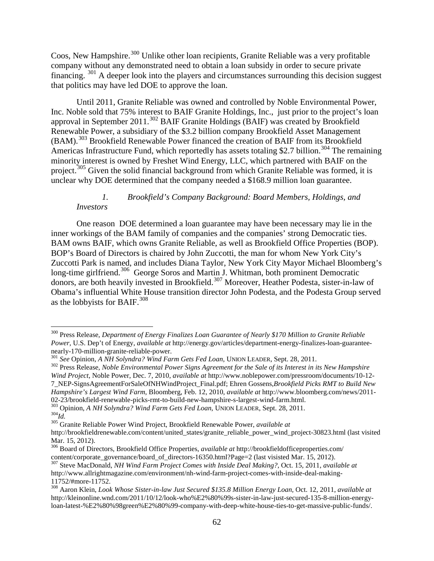Coos, New Hampshire.<sup>[300](#page-61-0)</sup> Unlike other loan recipients, Granite Reliable was a very profitable company without any demonstrated need to obtain a loan subsidy in order to secure private financing. <sup>[301](#page-61-1)</sup> A deeper look into the players and circumstances surrounding this decision suggest that politics may have led DOE to approve the loan.

Until 2011, Granite Reliable was owned and controlled by Noble Environmental Power, Inc. Noble sold that 75% interest to BAIF Granite Holdings, Inc., just prior to the project's loan approval in September 2011.<sup>[302](#page-61-2)</sup> BAIF Granite Holdings (BAIF) was created by Brookfield Renewable Power, a subsidiary of the \$3.2 billion company Brookfield Asset Management (BAM).<sup>[303](#page-61-3)</sup> Brookfield Renewable Power financed the creation of BAIF from its Brookfield Americas Infrastructure Fund, which reportedly has assets totaling \$2.7 billion.<sup>[304](#page-61-4)</sup> The remaining minority interest is owned by Freshet Wind Energy, LLC, which partnered with BAIF on the project.<sup>[305](#page-61-5)</sup> Given the solid financial background from which Granite Reliable was formed, it is unclear why DOE determined that the company needed a \$168.9 million loan guarantee.

## *1. Brookfield's Company Background: Board Members, Holdings, and Investors*

One reason DOE determined a loan guarantee may have been necessary may lie in the inner workings of the BAM family of companies and the companies' strong Democratic ties. BAM owns BAIF, which owns Granite Reliable, as well as Brookfield Office Properties (BOP). BOP's Board of Directors is chaired by John Zuccotti, the man for whom New York City's Zuccotti Park is named, and includes Diana Taylor, New York City Mayor Michael Bloomberg's long-time girlfriend.<sup>306</sup> George Soros and Martin J. Whitman, both prominent Democratic donors, are both heavily invested in Brookfield.<sup>[307](#page-61-7)</sup> Moreover, Heather Podesta, sister-in-law of Obama's influential White House transition director John Podesta, and the Podesta Group served as the lobbyists for BAIF.<sup>[308](#page-61-8)</sup>

<span id="page-61-0"></span> <sup>300</sup> Press Release, *Department of Energy Finalizes Loan Guarantee of Nearly \$170 Million to Granite Reliable Power, U.S. Dep't of Energy, available at http://energy.gov/articles/department-energy-finalizes-loan-guarantee-nearly-170-million-granite-reliable-power.* 

<span id="page-61-2"></span>

<span id="page-61-1"></span> $^{301}$  See Opinion, A NH Solyndra? Wind Farm Gets Fed Loan, UNION LEADER, Sept. 28, 2011.<br> $^{302}$  Press Release, Noble Environmental Power Signs Agreement for the Sale of its Interest in its New Hampshire *Wind Project*, Noble Power, Dec. 7, 2010, *available at* http://www.noblepower.com/pressroom/documents/10-12- 7\_NEP-SignsAgreementForSaleOfNHWindProject\_Final.pdf; Ehren Gossens,*Brookfield Picks RMT to Build New Hampshire's Largest Wind Farm*, Bloomberg, Feb. 12, 2010, *available at* http://www.bloomberg.com/news/2011-

<span id="page-61-4"></span><span id="page-61-3"></span><sup>&</sup>lt;sup>303</sup> Opinion, *A NH Solyndra?* Wind Farm Gets Fed Loan, UNION LEADER, Sept. 28, 2011.<br><sup>304</sup>Id. <sup>305</sup> Granite Reliable Power Wind Project, Brookfield Renewable Power, *available at* 

<span id="page-61-5"></span>http://brookfieldrenewable.com/content/united\_states/granite\_reliable\_power\_wind\_project-30823.html (last visited Mar. 15, 2012).

<span id="page-61-6"></span><sup>306</sup> Board of Directors, Brookfield Office Properties, *available at* http://brookfieldofficeproperties.com/

<span id="page-61-7"></span><sup>&</sup>lt;sup>307</sup> Steve MacDonald, *NH Wind Farm Project Comes with Inside Deal Making?*, Oct. 15, 2011, *available at* http://www.allrightmagazine.com/environment/nh-wind-farm-project-comes-with-inside-deal-making-11752/#more-11752. <sup>308</sup> Aaron Klein, *Look Whose Sister-in-law Just Secured \$135.8 Million Energy Loan,* Oct. 12, 2011, *available at* 

<span id="page-61-8"></span>http://kleinonline.wnd.com/2011/10/12/look-who%E2%80%99s-sister-in-law-just-secured-135-8-million-energyloan-latest-%E2%80%98green%E2%80%99-company-with-deep-white-house-ties-to-get-massive-public-funds/.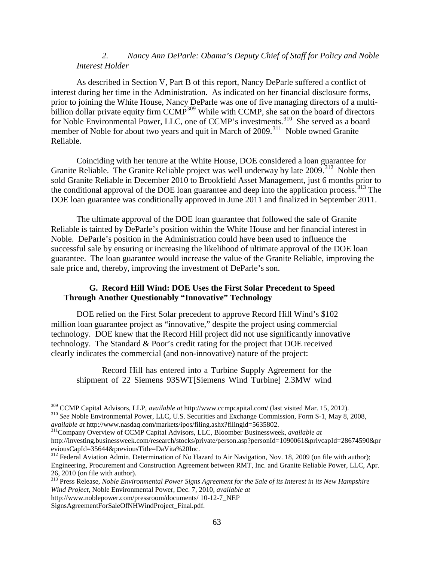## *2. Nancy Ann DeParle: Obama's Deputy Chief of Staff for Policy and Noble Interest Holder*

As described in Section V, Part B of this report, Nancy DeParle suffered a conflict of interest during her time in the Administration. As indicated on her financial disclosure forms, prior to joining the White House, Nancy DeParle was one of five managing directors of a multi-billion dollar private equity firm CCMP<sup>[309](#page-62-0)</sup> While with CCMP, she sat on the board of directors for Noble Environmental Power, LLC, one of CCMP's investments.<sup>[310](#page-62-1)</sup> She served as a board member of Noble for about two years and quit in March of 2009.<sup>[311](#page-62-2)</sup> Noble owned Granite Reliable.

Coinciding with her tenure at the White House, DOE considered a loan guarantee for Granite Reliable. The Granite Reliable project was well underway by late 2009.<sup>[312](#page-62-3)</sup> Noble then sold Granite Reliable in December 2010 to Brookfield Asset Management, just 6 months prior to the conditional approval of the DOE loan guarantee and deep into the application process.<sup>[313](#page-62-4)</sup> The DOE loan guarantee was conditionally approved in June 2011 and finalized in September 2011.

The ultimate approval of the DOE loan guarantee that followed the sale of Granite Reliable is tainted by DeParle's position within the White House and her financial interest in Noble. DeParle's position in the Administration could have been used to influence the successful sale by ensuring or increasing the likelihood of ultimate approval of the DOE loan guarantee. The loan guarantee would increase the value of the Granite Reliable, improving the sale price and, thereby, improving the investment of DeParle's son.

## **G. Record Hill Wind: DOE Uses the First Solar Precedent to Speed Through Another Questionably "Innovative" Technology**

DOE relied on the First Solar precedent to approve Record Hill Wind's \$102 million loan guarantee project as "innovative," despite the project using commercial technology. DOE knew that the Record Hill project did not use significantly innovative technology. The Standard & Poor's credit rating for the project that DOE received clearly indicates the commercial (and non-innovative) nature of the project:

Record Hill has entered into a Turbine Supply Agreement for the shipment of 22 Siemens 93SWT[Siemens Wind Turbine] 2.3MW wind

<span id="page-62-4"></span><sup>313</sup> Press Release, *Noble Environmental Power Signs Agreement for the Sale of its Interest in its New Hampshire Wind Project,* Noble Environmental Power, Dec. 7, 2010, *available at* 

<span id="page-62-1"></span><span id="page-62-0"></span><sup>&</sup>lt;sup>309</sup> CCMP Capital Advisors, LLP, *available at* http://www.ccmpcapital.com/ (last visited Mar. 15, 2012).<br><sup>310</sup> *See* Noble Environmental Power, LLC, U.S. Securities and Exchange Commission, Form S-1, May 8, 2008, *availa* 

<span id="page-62-2"></span><sup>&</sup>lt;sup>311</sup>Company Overview of CCMP Capital Advisors, LLC, Bloomber Businessweek, *available at* http://investing.businessweek.com/research/stocks/private/person.asp?personId=1090061&privcapId=28674590&pr

<span id="page-62-3"></span><sup>&</sup>lt;sup>312</sup> Federal Aviation Admin. Determination of No Hazard to Air Navigation, Nov. 18, 2009 (on file with author); Engineering, Procurement and Construction Agreement between RMT, Inc. and Granite Reliable Power, LLC, Apr. 26, 2010 (on file with author).

http://www.noblepower.com/pressroom/documents/ 10-12-7\_NEP

SignsAgreementForSaleOfNHWindProject\_Final.pdf.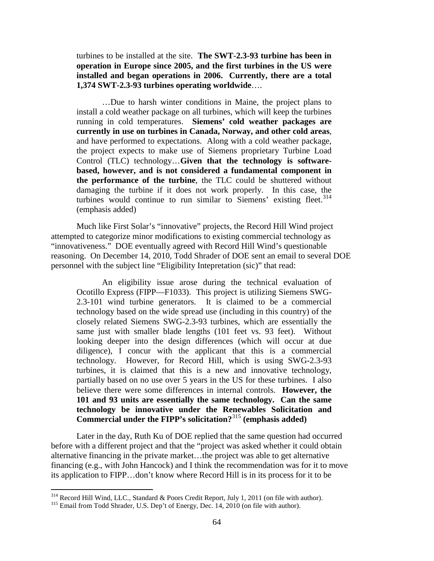turbines to be installed at the site. **The SWT-2.3-93 turbine has been in operation in Europe since 2005, and the first turbines in the US were installed and began operations in 2006. Currently, there are a total 1,374 SWT-2.3-93 turbines operating worldwide**….

…Due to harsh winter conditions in Maine, the project plans to install a cold weather package on all turbines, which will keep the turbines running in cold temperatures. **Siemens' cold weather packages are currently in use on turbines in Canada, Norway, and other cold areas**, and have performed to expectations. Along with a cold weather package, the project expects to make use of Siemens proprietary Turbine Load Control (TLC) technology…**Given that the technology is softwarebased, however, and is not considered a fundamental component in the performance of the turbine**, the TLC could be shuttered without damaging the turbine if it does not work properly. In this case, the turbines would continue to run similar to Siemens' existing fleet. $314$ (emphasis added)

Much like First Solar's "innovative" projects, the Record Hill Wind project attempted to categorize minor modifications to existing commercial technology as "innovativeness." DOE eventually agreed with Record Hill Wind's questionable reasoning. On December 14, 2010, Todd Shrader of DOE sent an email to several DOE personnel with the subject line "Eligibility Intepretation (sic)" that read:

An eligibility issue arose during the technical evaluation of Ocotillo Express (FIPP—F1033). This project is utilizing Siemens SWG-2.3-101 wind turbine generators. It is claimed to be a commercial technology based on the wide spread use (including in this country) of the closely related Siemens SWG-2.3-93 turbines, which are essentially the same just with smaller blade lengths (101 feet vs. 93 feet). Without looking deeper into the design differences (which will occur at due diligence), I concur with the applicant that this is a commercial technology. However, for Record Hill, which is using SWG-2.3-93 turbines, it is claimed that this is a new and innovative technology, partially based on no use over 5 years in the US for these turbines. I also believe there were some differences in internal controls. **However, the 101 and 93 units are essentially the same technology. Can the same technology be innovative under the Renewables Solicitation and Commercial under the FIPP's solicitation?**[315](#page-63-1) **(emphasis added)**

Later in the day, Ruth Ku of DOE replied that the same question had occurred before with a different project and that the "project was asked whether it could obtain alternative financing in the private market…the project was able to get alternative financing (e.g., with John Hancock) and I think the recommendation was for it to move its application to FIPP…don't know where Record Hill is in its process for it to be

<span id="page-63-0"></span><sup>&</sup>lt;sup>314</sup> Record Hill Wind, LLC., Standard & Poors Credit Report, July 1, 2011 (on file with author).<br><sup>315</sup> Email from Todd Shrader, U.S. Dep't of Energy, Dec. 14, 2010 (on file with author).

<span id="page-63-1"></span>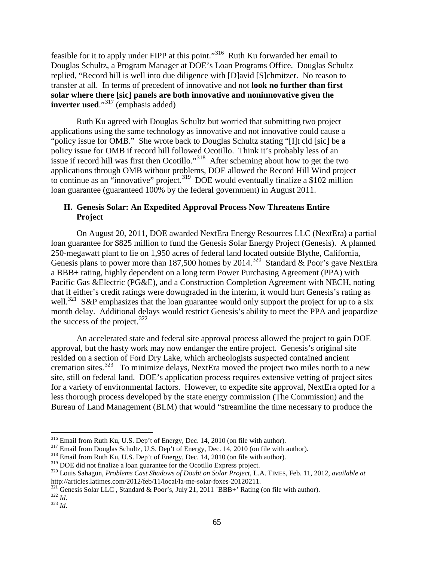feasible for it to apply under FIPP at this point."[316](#page-64-0) Ruth Ku forwarded her email to Douglas Schultz, a Program Manager at DOE's Loan Programs Office. Douglas Schultz replied, "Record hill is well into due diligence with [D]avid [S]chmitzer. No reason to transfer at all. In terms of precedent of innovative and not **look no further than first solar where there [sic] panels are both innovative and noninnovative given the inverter used.**"<sup>[317](#page-64-1)</sup> (emphasis added)

Ruth Ku agreed with Douglas Schultz but worried that submitting two project applications using the same technology as innovative and not innovative could cause a "policy issue for OMB." She wrote back to Douglas Schultz stating "[I]t cld [sic] be a policy issue for OMB if record hill followed Ocotillo. Think it's probably less of an issue if record hill was first then Ocotillo."<sup>[318](#page-64-2)</sup> After scheming about how to get the two applications through OMB without problems, DOE allowed the Record Hill Wind project to continue as an "innovative" project.<sup>[319](#page-64-3)</sup> DOE would eventually finalize a \$102 million loan guarantee (guaranteed 100% by the federal government) in August 2011.

## **H. Genesis Solar: An Expedited Approval Process Now Threatens Entire Project**

On August 20, 2011, DOE awarded NextEra Energy Resources LLC (NextEra) a partial loan guarantee for \$825 million to fund the Genesis Solar Energy Project (Genesis). A planned 250-megawatt plant to lie on 1,950 acres of federal land located outside Blythe, California, Genesis plans to power more than 187,500 homes by  $2014$ <sup>[320](#page-64-4)</sup> Standard & Poor's gave NextEra a BBB+ rating, highly dependent on a long term Power Purchasing Agreement (PPA) with Pacific Gas &Electric (PG&E), and a Construction Completion Agreement with NECH, noting that if either's credit ratings were downgraded in the interim, it would hurt Genesis's rating as well.<sup>[321](#page-64-5)</sup> S&P emphasizes that the loan guarantee would only support the project for up to a six month delay. Additional delays would restrict Genesis's ability to meet the PPA and jeopardize the success of the project. $322$ 

An accelerated state and federal site approval process allowed the project to gain DOE approval, but the hasty work may now endanger the entire project. Genesis's original site resided on a section of Ford Dry Lake, which archeologists suspected contained ancient cremation sites.<sup>[323](#page-64-7)</sup> To minimize delays, NextEra moved the project two miles north to a new site, still on federal land. DOE's application process requires extensive vetting of project sites for a variety of environmental factors. However, to expedite site approval, NextEra opted for a less thorough process developed by the state energy commission (The Commission) and the Bureau of Land Management (BLM) that would "streamline the time necessary to produce the

<span id="page-64-0"></span> <sup>316</sup> Email from Ruth Ku, U.S. Dep't of Energy, Dec. 14, 2010 (on file with author).

<span id="page-64-1"></span><sup>&</sup>lt;sup>317</sup> Email from Douglas Schultz, U.S. Dep't of Energy, Dec. 14, 2010 (on file with author).<br><sup>318</sup> Email from Ruth Ku, U.S. Dep't of Energy, Dec. 14, 2010 (on file with author).<br><sup>319</sup> DOE did not finalize a loan guarantee

<span id="page-64-2"></span>

<span id="page-64-4"></span><span id="page-64-3"></span><sup>&</sup>lt;sup>320</sup> Louis Sahagun, *Problems Cast Shadows of Doubt on Solar Project*, L.A. TIMES, Feb. 11, 2012, *available at* http://articles.latimes.com/2012/feb/11/local/la-me-solar-foxes-20120211.

<span id="page-64-5"></span><sup>&</sup>lt;sup>321</sup> Genesis Solar LLC , Standard & Poor's, July 21, 2011 `BBB+' Rating (on file with author). <sup>322</sup> *Id*. <sup>323</sup> *Id* 

<span id="page-64-7"></span><span id="page-64-6"></span>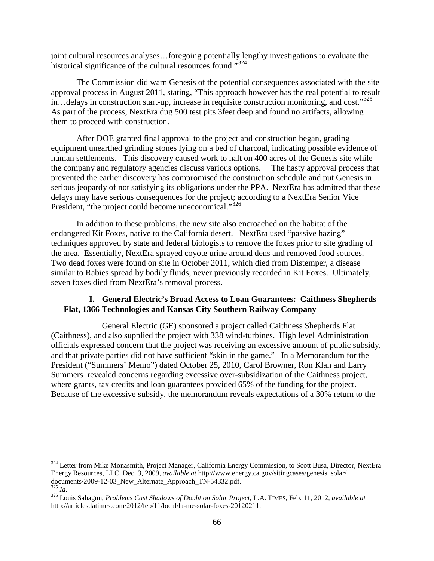joint cultural resources analyses…foregoing potentially lengthy investigations to evaluate the historical significance of the cultural resources found."<sup>[324](#page-65-0)</sup>

The Commission did warn Genesis of the potential consequences associated with the site approval process in August 2011, stating, "This approach however has the real potential to result in... delays in construction start-up, increase in requisite construction monitoring, and cost."<sup>[325](#page-65-1)</sup> As part of the process, NextEra dug 500 test pits 3feet deep and found no artifacts, allowing them to proceed with construction.

After DOE granted final approval to the project and construction began, grading equipment unearthed grinding stones lying on a bed of charcoal, indicating possible evidence of human settlements. This discovery caused work to halt on 400 acres of the Genesis site while the company and regulatory agencies discuss various options. The hasty approval process that prevented the earlier discovery has compromised the construction schedule and put Genesis in serious jeopardy of not satisfying its obligations under the PPA. NextEra has admitted that these delays may have serious consequences for the project; according to a NextEra Senior Vice President, "the project could become uneconomical."<sup>[326](#page-65-2)</sup>

In addition to these problems, the new site also encroached on the habitat of the endangered Kit Foxes, native to the California desert. NextEra used "passive hazing" techniques approved by state and federal biologists to remove the foxes prior to site grading of the area. Essentially, NextEra sprayed coyote urine around dens and removed food sources. Two dead foxes were found on site in October 2011, which died from Distemper, a disease similar to Rabies spread by bodily fluids, never previously recorded in Kit Foxes. Ultimately, seven foxes died from NextEra's removal process.

## **I. General Electric's Broad Access to Loan Guarantees: Caithness Shepherds Flat, 1366 Technologies and Kansas City Southern Railway Company**

General Electric (GE) sponsored a project called Caithness Shepherds Flat (Caithness), and also supplied the project with 338 wind-turbines. High level Administration officials expressed concern that the project was receiving an excessive amount of public subsidy, and that private parties did not have sufficient "skin in the game." In a Memorandum for the President ("Summers' Memo") dated October 25, 2010, Carol Browner, Ron Klan and Larry Summers revealed concerns regarding excessive over-subsidization of the Caithness project, where grants, tax credits and loan guarantees provided 65% of the funding for the project. Because of the excessive subsidy, the memorandum reveals expectations of a 30% return to the

<span id="page-65-0"></span><sup>&</sup>lt;sup>324</sup> Letter from Mike Monasmith, Project Manager, California Energy Commission, to Scott Busa, Director, NextEra Energy Resources, LLC, Dec. 3, 2009, *available at* http://www.energy.ca.gov/sitingcases/genesis\_solar/

<span id="page-65-2"></span><span id="page-65-1"></span><sup>&</sup>lt;sup>325</sup> *Id.* 326 *Id.* 326 *Id.* 326 *Id.* 326 *Iddite-approach Cast Shadows of Doubt on Solar Project, L.A. TIMES, Feb. 11, 2012, <i>available at 1* http://articles.latimes.com/2012/feb/11/local/la-me-solar-foxes-20120211.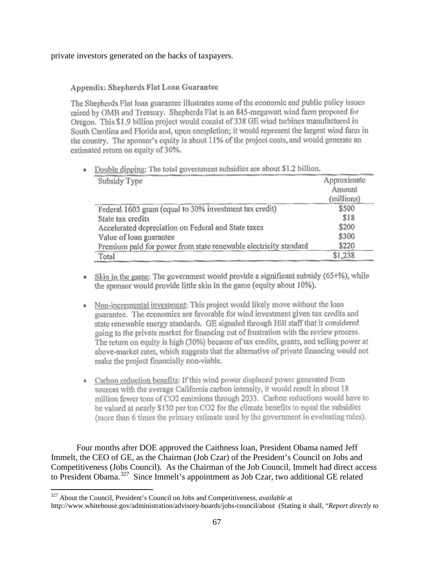#### private investors generated on the backs of taxpayers.

#### Appendix: Shepherds Flat Loan Guarantee

The Shepherds Flat loan guarantee illustrates some of the economic and public policy issues raised by OMB and Treasury. Shepherds Flat is an 845-megawatt wind farm proposed for Oregon. This \$1.9 billion project would consist of 338 GE wind turbines manufactured in South Carolina and Florida and, upon completion; it would represent the largest wind farm in the country. The sponsor's equity is about 11% of the project costs, and would generate an estimated return on equity of 30%.

| Subsidy Type                                                     | Approximate<br>Amount<br>(millions) |
|------------------------------------------------------------------|-------------------------------------|
| Federal 1603 grant (equal to 30% investment tax credit)          | \$500                               |
| State tax credits                                                | \$18                                |
| Accelerated depreciation on Federal and State taxes              | \$200                               |
| Value of loan guarantee                                          | \$300                               |
| Premium paid for power from state renewable electricity standard | \$220                               |
| Total                                                            | \$1,238                             |

• Double dipping: The total government subsidies are about \$1.2 billion.

- Skin in the game: The government would provide a significant subsidy (65+%), while the sponsor would provide little skin in the game (equity about 10%).
- Non-incremental investment: This project would likely move without the loan guarantee. The economics are favorable for wind investment given tax credits and state renewable energy standards. GE signaled through Hill staff that it considered going to the private market for financing out of frustration with the review process. The return on equity is high (30%) because of tax credits, grants, and selling power at above-market rates, which suggests that the alternative of private financing would not make the project financially non-viable.
- Carbon reduction benefits: If this wind power displaced power generated from sources with the average California carbon intensity, it would result in about 18 million fewer tons of CO2 emissions through 2033. Carbon reductions would have to be valued at nearly \$130 per ton CO2 for the climate benefits to equal the subsidies (more than 6 times the primary estimate used by the government in evaluating rules).

Four months after DOE approved the Caithness loan, President Obama named Jeff Immelt, the CEO of GE, as the Chairman (Job Czar) of the President's Council on Jobs and Competitiveness (Jobs Council). As the Chairman of the Job Council, Immelt had direct access to President Obama.<sup>[327](#page-66-0)</sup> Since Immelt's appointment as Job Czar, two additional GE related

<span id="page-66-0"></span> <sup>327</sup> About the Council, President's Council on Jobs and Competitiveness, *available* at

http://www.whitehouse.gov/administration/advisory-boards/jobs-council/about (Stating it shall, "*Report directly to*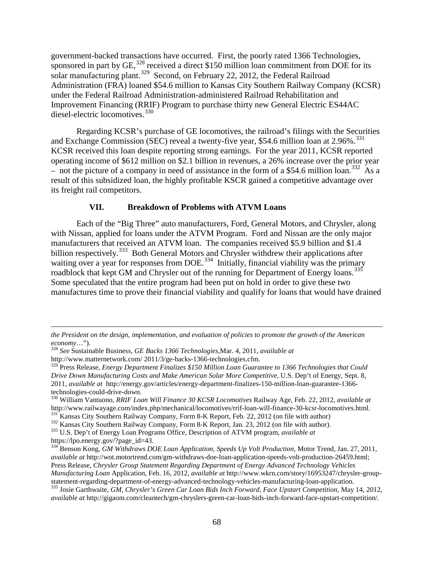government-backed transactions have occurred. First, the poorly rated 1366 Technologies, sponsored in part by  $GE$ ,  $328$  received a direct \$150 million loan commitment from DOE for its solar manufacturing plant.<sup>[329](#page-67-1)</sup> Second, on February 22, 2012, the Federal Railroad Administration (FRA) loaned \$54.6 million to Kansas City Southern Railway Company (KCSR) under the Federal Railroad Administration-administered Railroad Rehabilitation and Improvement Financing (RRIF) Program to purchase thirty new General Electric ES44AC diesel-electric locomotives.<sup>[330](#page-67-2)</sup>

Regarding KCSR's purchase of GE locomotives, the railroad's filings with the Securities and Exchange Commission (SEC) reveal a twenty-five year, \$54.6 million loan at  $2.96\%$ .<sup>[331](#page-67-3)</sup> KCSR received this loan despite reporting strong earnings. For the year 2011, KCSR reported operating income of \$612 million on \$2.1 billion in revenues, a 26% increase over the prior year – not the picture of a company in need of assistance in the form of a \$54.6 million loan.<sup>[332](#page-67-4)</sup> As a result of this subsidized loan, the highly profitable KSCR gained a competitive advantage over its freight rail competitors.

#### **VII. Breakdown of Problems with ATVM Loans**

Each of the "Big Three" auto manufacturers, Ford, General Motors, and Chrysler, along with Nissan, applied for loans under the ATVM Program. Ford and Nissan are the only major manufacturers that received an ATVM loan. The companies received \$5.9 billion and \$1.4 billion respectively.<sup>[333](#page-67-5)</sup> Both General Motors and Chrysler withdrew their applications after waiting over a year for responses from DOE.<sup>334</sup> Initially, financial viability was the primary roadblock that kept GM and Chrysler out of the running for Department of Energy loans.<sup>[335](#page-67-7)</sup> Some speculated that the entire program had been put on hold in order to give these two manufactures time to prove their financial viability and qualify for loans that would have drained

 $\overline{a}$ 

*the President on the design, implementation, and evaluation of policies to promote the growth of the American economy*…").

<span id="page-67-0"></span><sup>328</sup> *See* Sustainable Business, *GE Backs 1366 Technologies*,Mar. 4, 2011, *available at*

<span id="page-67-1"></span>http://www.matternetwork.com/ 2011/3/ge-backs-1366-technologies.cfm. <sup>329</sup> Press Release, *Energy Department Finalizes \$150 Million Loan Guarantee to 1366 Technologies that Could Drive Down Manufacturing Costs and Make American Solar More Competitive*, U.S. Dep't of Energy, Sept. 8, 2011, *available at* http://energy.gov/articles/energy-department-finalizes-150-million-loan-guarantee-1366-

<span id="page-67-2"></span><sup>330</sup> William Vantuono, *RRIF Loan Will Finance 30 KCSR Locomotives* Railway Age, Feb. 22, 2012, *available at* 

<span id="page-67-5"></span><span id="page-67-4"></span>

<span id="page-67-3"></span>http://www.railwayage.com/index.php/mechanical/locomotives/rrif-loan-will-finance-30-kcsr-locomotives.html.<br><sup>331</sup> Kansas City Southern Railway Company, Form 8-K Report, Feb. 22, 2012 (on file with author)<br><sup>332</sup> Kansas City

<span id="page-67-6"></span><sup>&</sup>lt;sup>334</sup> Benson Kong, *GM Withdraws DOE Loan Application, Speeds Up Volt Production, Motor Trend, Jan. 27, 2011, available at* http://wot.motortrend.com/gm-withdraws-doe-loan-application-speeds-volt-production-26459.html; Press Release, *Chrysler Group Statement Regarding Department of Energy Advanced Technology Vehicles Manufacturing Loan* Application, Feb. 16, 2012, *available at* http://www.wkrn.com/story/16953247/chrysler-group-

<span id="page-67-7"></span><sup>335</sup> Josie Garthwaite, GM, Chrysler's Green Car Loan Bids Inch Forward, Face Upstart Competition, May 14, 2012, *available at* http://gigaom.com/cleantech/gm-chryslers-green-car-loan-bids-inch-forward-face-upstart-competition/.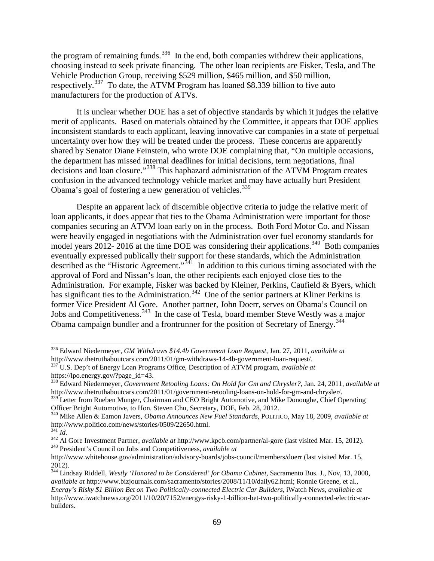the program of remaining funds.<sup>[336](#page-68-0)</sup> In the end, both companies withdrew their applications, choosing instead to seek private financing. The other loan recipients are Fisker, Tesla, and The Vehicle Production Group, receiving \$529 million, \$465 million, and \$50 million, respectively.<sup>[337](#page-68-1)</sup> To date, the ATVM Program has loaned \$8.339 billion to five auto manufacturers for the production of ATVs.

It is unclear whether DOE has a set of objective standards by which it judges the relative merit of applicants. Based on materials obtained by the Committee, it appears that DOE applies inconsistent standards to each applicant, leaving innovative car companies in a state of perpetual uncertainty over how they will be treated under the process. These concerns are apparently shared by Senator Diane Feinstein, who wrote DOE complaining that, "On multiple occasions, the department has missed internal deadlines for initial decisions, term negotiations, final decisions and loan closure."<sup>[338](#page-68-2)</sup> This haphazard administration of the ATVM Program creates confusion in the advanced technology vehicle market and may have actually hurt President Obama's goal of fostering a new generation of vehicles. $339$ 

Despite an apparent lack of discernible objective criteria to judge the relative merit of loan applicants, it does appear that ties to the Obama Administration were important for those companies securing an ATVM loan early on in the process. Both Ford Motor Co. and Nissan were heavily engaged in negotiations with the Administration over fuel economy standards for model years 2012- 2016 at the time DOE was considering their applications.<sup>[340](#page-68-4)</sup> Both companies eventually expressed publically their support for these standards, which the Administration described as the "Historic Agreement."<sup>[341](#page-68-5)</sup> In addition to this curious timing associated with the approval of Ford and Nissan's loan, the other recipients each enjoyed close ties to the Administration. For example, Fisker was backed by Kleiner, Perkins, Caufield & Byers, which has significant ties to the Administration.<sup>342</sup> One of the senior partners at Kliner Perkins is former Vice President Al Gore. Another partner, John Doerr, serves on Obama's Council on Jobs and Competitiveness.<sup>[343](#page-68-7)</sup> In the case of Tesla, board member Steve Westly was a major Obama campaign bundler and a frontrunner for the position of Secretary of Energy.<sup>[344](#page-68-8)</sup>

<span id="page-68-0"></span> <sup>336</sup> Edward Niedermeyer, *GM Withdraws \$14.4b Government Loan Request,* Jan. 27, 2011, *available at*  http://www.thetruthaboutcars.com/2011/01/gm-withdraws-14-4b-government-loan-request/.

<span id="page-68-1"></span><sup>337</sup> U.S. Dep't of Energy Loan Programs Office, Description of ATVM program, *available at*

<span id="page-68-2"></span><sup>&</sup>lt;sup>338</sup> Edward Niedermeyer, *Government Retooling Loans: On Hold for Gm and Chrysler?*, Jan. 24, 2011, *available at* http://www.thetruthaboutcars.com/2011/01/government-retooling-loans-on-hold-for-gm-and-chrysler/. <sup>339</sup> Letter from Rueben Munger, Chairman and CEO Bright Automotive, and Mike Donoughe, Chief Operating

<span id="page-68-4"></span><span id="page-68-3"></span>Officer Bright Automotive, to Hon. Steven Chu, Secretary, DOE, Feb. 28, 2012.<br><sup>340</sup> Mike Allen & Eamon Javers, *Obama Announces New Fuel Standards*, POLITICO, May 18, 2009, *available at*<br>http://www.politico.com/news/stori

<span id="page-68-6"></span><span id="page-68-5"></span><sup>&</sup>lt;sup>341</sup>Id.<br><sup>342</sup> Al Gore Investment Partner, *available at* http://www.kpcb.com/partner/al-gore (last visited Mar. 15, 2012).<br><sup>343</sup> President's Council on Jobs and Competitiveness, *available at* 

<span id="page-68-7"></span>http://www.whitehouse.gov/administration/advisory-boards/jobs-council/members/doerr (last visited Mar. 15, 2012).

<span id="page-68-8"></span><sup>344</sup> Lindsay Riddell, *Westly 'Honored to be Considered' for Obama Cabinet,* Sacramento Bus. J., Nov, 13, 2008, *available at* http://www.bizjournals.com/sacramento/stories/2008/11/10/daily62.html; Ronnie Greene, et al., *Energy's Risky \$1 Billion Bet on Two Politically-connected Electric Car Builders,* iWatch News, *available at*  http://www.iwatchnews.org/2011/10/20/7152/energys-risky-1-billion-bet-two-politically-connected-electric-carbuilders.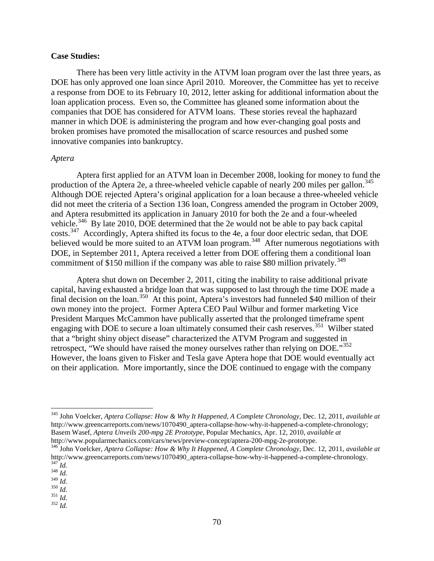#### **Case Studies:**

There has been very little activity in the ATVM loan program over the last three years, as DOE has only approved one loan since April 2010. Moreover, the Committee has yet to receive a response from DOE to its February 10, 2012, letter asking for additional information about the loan application process. Even so, the Committee has gleaned some information about the companies that DOE has considered for ATVM loans. These stories reveal the haphazard manner in which DOE is administering the program and how ever-changing goal posts and broken promises have promoted the misallocation of scarce resources and pushed some innovative companies into bankruptcy.

#### *Aptera*

Aptera first applied for an ATVM loan in December 2008, looking for money to fund the production of the Aptera 2e, a three-wheeled vehicle capable of nearly 200 miles per gallon.<sup>[345](#page-69-0)</sup> Although DOE rejected Aptera's original application for a loan because a three-wheeled vehicle did not meet the criteria of a Section 136 loan, Congress amended the program in October 2009, and Aptera resubmitted its application in January 2010 for both the 2e and a four-wheeled vehicle.<sup>[346](#page-69-1)</sup> By late 2010, DOE determined that the 2e would not be able to pay back capital costs.<sup>347</sup> Accordingly, Aptera shifted its focus to the 4e, a four door electric sedan, that DOE believed would be more suited to an ATVM loan program.<sup>[348](#page-69-3)</sup> After numerous negotiations with DOE, in September 2011, Aptera received a letter from DOE offering them a conditional loan commitment of \$150 million if the company was able to raise \$80 million privately.<sup>[349](#page-69-4)</sup>

Aptera shut down on December 2, 2011, citing the inability to raise additional private capital, having exhausted a bridge loan that was supposed to last through the time DOE made a final decision on the loan.<sup>[350](#page-69-5)</sup> At this point, Aptera's investors had funneled \$40 million of their own money into the project. Former Aptera CEO Paul Wilbur and former marketing Vice President Marques McCammon have publically asserted that the prolonged timeframe spent engaging with DOE to secure a loan ultimately consumed their cash reserves.<sup>351</sup> Wilber stated that a "bright shiny object disease" characterized the ATVM Program and suggested in retrospect, "We should have raised the money ourselves rather than relying on DOE."<sup>[352](#page-69-7)</sup> However, the loans given to Fisker and Tesla gave Aptera hope that DOE would eventually act on their application. More importantly, since the DOE continued to engage with the company

<span id="page-69-0"></span> <sup>345</sup> John Voelcker, *Aptera Collapse: How & Why It Happened, A Complete Chronology,* Dec. 12, 2011, *available at*  http://www.greencarreports.com/news/1070490\_aptera-collapse-how-why-it-happened-a-complete-chronology; Basem Wasef, *Aptera Unveils 200-mpg 2E Prototype,* Popular Mechanics, Apr. 12, 2010, *available at*  http://www.popularmechanics.com/cars/news/preview-concept/aptera-200-mpg-2e-prototype.

<span id="page-69-1"></span><sup>346</sup> John Voelcker, *Aptera Collapse: How & Why It Happened, A Complete Chronology,* Dec. 12, 2011, *available at*  http://www.greencarreports.com/news/1070490\_aptera-collapse-how-why-it-happened-a-complete-chronology.<br><sup>347</sup>*Id.* 348 *Id.* 350 *Id.* 350 *Id.* 351 *Id.* 352 *Id*.

<span id="page-69-3"></span><span id="page-69-2"></span>

<span id="page-69-4"></span>

<span id="page-69-6"></span><span id="page-69-5"></span>

<span id="page-69-7"></span>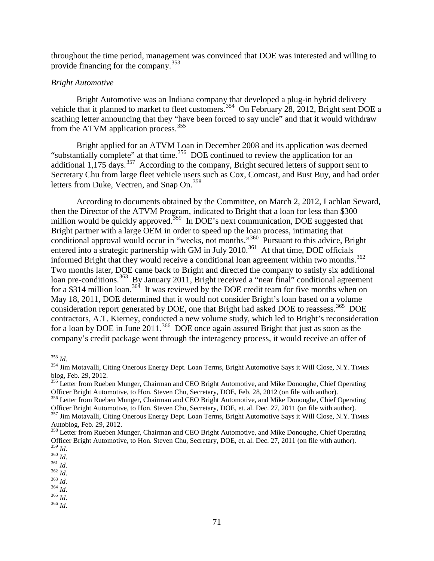throughout the time period, management was convinced that DOE was interested and willing to provide financing for the company.<sup>[353](#page-70-0)</sup>

#### *Bright Automotive*

Bright Automotive was an Indiana company that developed a plug-in hybrid delivery vehicle that it planned to market to fleet customers.<sup>[354](#page-70-1)</sup> On February 28, 2012, Bright sent DOE a scathing letter announcing that they "have been forced to say uncle" and that it would withdraw from the ATVM application process.<sup>[355](#page-70-2)</sup>

Bright applied for an ATVM Loan in December 2008 and its application was deemed "substantially complete" at that time.<sup>[356](#page-70-3)</sup> DOE continued to review the application for an additional  $1,175$  days.<sup>357</sup> According to the company, Bright secured letters of support sent to Secretary Chu from large fleet vehicle users such as Cox, Comcast, and Bust Buy, and had order letters from Duke, Vectren, and Snap On.<sup>[358](#page-70-5)</sup>

According to documents obtained by the Committee, on March 2, 2012, Lachlan Seward, then the Director of the ATVM Program, indicated to Bright that a loan for less than \$300 million would be quickly approved.<sup>[359](#page-70-6)</sup> In DOE's next communication, DOE suggested that Bright partner with a large OEM in order to speed up the loan process, intimating that conditional approval would occur in "weeks, not months."<sup>[360](#page-70-7)</sup> Pursuant to this advice, Bright entered into a strategic partnership with GM in July 2010.<sup>361</sup> At that time, DOE officials informed Bright that they would receive a conditional loan agreement within two months.<sup>362</sup> Two months later, DOE came back to Bright and directed the company to satisfy six additional loan pre-conditions.<sup>363</sup> By January 2011, Bright received a "near final" conditional agreement for a \$314 million loan.<sup>[364](#page-70-11)</sup> It was reviewed by the DOE credit team for five months when on May 18, 2011, DOE determined that it would not consider Bright's loan based on a volume consideration report generated by DOE, one that Bright had asked DOE to reassess.<sup>365</sup> DOE contractors, A.T. Kierney, conducted a new volume study, which led to Bright's reconsideration for a loan by DOE in June 2011.<sup>[366](#page-70-13)</sup> DOE once again assured Bright that just as soon as the company's credit package went through the interagency process, it would receive an offer of

<span id="page-70-0"></span> <sup>353</sup> *Id*.

<span id="page-70-1"></span><sup>&</sup>lt;sup>354</sup> Jim Motavalli, Citing Onerous Energy Dept. Loan Terms, Bright Automotive Says it Will Close, N.Y. TIMES blog, Feb. 29, 2012.

<span id="page-70-2"></span><sup>&</sup>lt;sup>355</sup> Letter from Rueben Munger, Chairman and CEO Bright Automotive, and Mike Donoughe, Chief Operating Officer Bright Automotive, to Hon. Steven Chu, Secretary, DOE, Feb. 28, 2012 (on file with author). <sup>356</sup> Letter from Rueben Munger, Chairman and CEO Bright Automotive, and Mike Donoughe, Chief Operating

<span id="page-70-3"></span>Officer Bright Automotive, to Hon. Steven Chu, Secretary, DOE, et. al. Dec. 27, 2011 (on file with author). <sup>357</sup> Jim Motavalli, Citing Onerous Energy Dept. Loan Terms, Bright Automotive Says it Will Close, N.Y. TIMES

<span id="page-70-4"></span>Autoblog, Feb. 29, 2012.

<span id="page-70-5"></span><sup>&</sup>lt;sup>358</sup> Letter from Rueben Munger, Chairman and CEO Bright Automotive, and Mike Donoughe, Chief Operating Officer Bright Automotive, to Hon. Steven Chu, Secretary, DOE, et. al. Dec. 27, 2011 (on file with author).<br><sup>359</sup> Id.

<span id="page-70-9"></span>

<span id="page-70-10"></span>

<span id="page-70-13"></span><span id="page-70-12"></span><span id="page-70-11"></span>

<span id="page-70-8"></span><span id="page-70-7"></span><span id="page-70-6"></span><sup>359</sup> *Id*. 360 *Id*. 361 *Id*. 362 *Id*. 363 *Id*. 364 *Id*. 365 *Id*. 366 *Id*.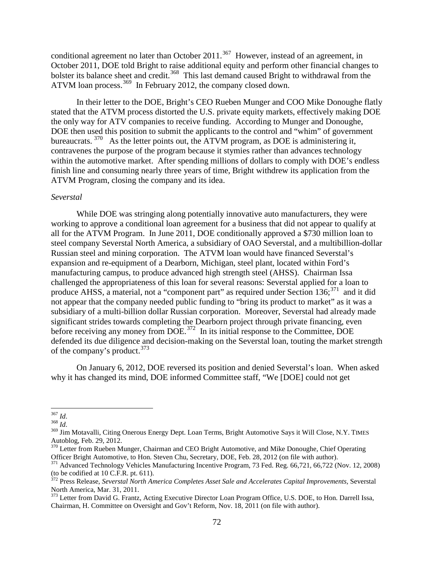conditional agreement no later than October 2011.<sup>[367](#page-71-0)</sup> However, instead of an agreement, in October 2011, DOE told Bright to raise additional equity and perform other financial changes to bolster its balance sheet and credit.<sup>368</sup> This last demand caused Bright to withdrawal from the ATVM loan process.<sup>[369](#page-71-2)</sup> In February 2012, the company closed down.

In their letter to the DOE, Bright's CEO Rueben Munger and COO Mike Donoughe flatly stated that the ATVM process distorted the U.S. private equity markets, effectively making DOE the only way for ATV companies to receive funding. According to Munger and Donoughe, DOE then used this position to submit the applicants to the control and "whim" of government bureaucrats.<sup>[370](#page-71-3)</sup> As the letter points out, the ATVM program, as DOE is administering it, contravenes the purpose of the program because it stymies rather than advances technology within the automotive market. After spending millions of dollars to comply with DOE's endless finish line and consuming nearly three years of time, Bright withdrew its application from the ATVM Program, closing the company and its idea.

#### *Severstal*

While DOE was stringing along potentially innovative auto manufacturers, they were working to approve a conditional loan agreement for a business that did not appear to qualify at all for the ATVM Program. In June 2011, DOE conditionally approved a \$730 million loan to steel company Severstal North America, a subsidiary of OAO Severstal, and a multibillion-dollar Russian steel and mining corporation. The ATVM loan would have financed Severstal's expansion and re-equipment of a Dearborn, Michigan, steel plant, located within Ford's manufacturing campus, to produce advanced high strength steel (AHSS). Chairman Issa challenged the appropriateness of this loan for several reasons: Severstal applied for a loan to produce AHSS, a material, not a "component part" as required under Section  $136$ ;  $371$  and it did not appear that the company needed public funding to "bring its product to market" as it was a subsidiary of a multi-billion dollar Russian corporation. Moreover, Severstal had already made significant strides towards completing the Dearborn project through private financing, even before receiving any money from DOE.<sup>[372](#page-71-5)</sup> In its initial response to the Committee, DOE defended its due diligence and decision-making on the Severstal loan, touting the market strength of the company's product.<sup>[373](#page-71-6)</sup>

On January 6, 2012, DOE reversed its position and denied Severstal's loan. When asked why it has changed its mind, DOE informed Committee staff, "We [DOE] could not get

<span id="page-71-2"></span>

<span id="page-71-1"></span><span id="page-71-0"></span><sup>&</sup>lt;sup>367</sup> *Id.*<br><sup>368</sup> *Id.*<br><sup>369</sup> Jim Motavalli, Citing Onerous Energy Dept. Loan Terms, Bright Automotive Says it Will Close, N.Y. TIMES Autoblog, Feb. 29, 2012.

<span id="page-71-3"></span><sup>&</sup>lt;sup>370</sup> Letter from Rueben Munger, Chairman and CEO Bright Automotive, and Mike Donoughe, Chief Operating Officer Bright Automotive, to Hon. Steven Chu, Secretary, DOE, Feb. 28, 2012 (on file with author).

<span id="page-71-4"></span><sup>&</sup>lt;sup>371</sup> Advanced Technology Vehicles Manufacturing Incentive Program, 73 Fed. Reg. 66,721, 66,722 (Nov. 12, 2008) (to be codified at 10 C.F.R. pt. 611).

<span id="page-71-5"></span><sup>372</sup> Press Release, *Severstal North America Completes Asset Sale and Accelerates Capital Improvements,* Severstal North America, Mar. 31, 2011.

<span id="page-71-6"></span><sup>&</sup>lt;sup>373</sup> Letter from David G. Frantz, Acting Executive Director Loan Program Office, U.S. DOE, to Hon. Darrell Issa, Chairman, H. Committee on Oversight and Gov't Reform, Nov. 18, 2011 (on file with author).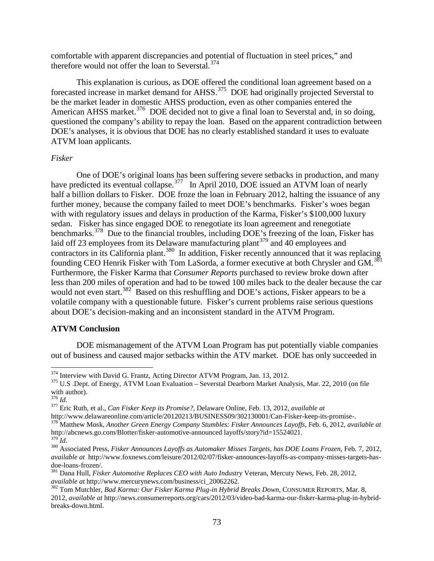comfortable with apparent discrepancies and potential of fluctuation in steel prices," and therefore would not offer the loan to Severstal.<sup>[374](#page-72-0)</sup>

This explanation is curious, as DOE offered the conditional loan agreement based on a forecasted increase in market demand for AHSS.<sup>375</sup> DOE had originally projected Severstal to be the market leader in domestic AHSS production, even as other companies entered the American AHSS market.<sup>[376](#page-72-2)</sup> DOE decided not to give a final loan to Severstal and, in so doing, questioned the company's ability to repay the loan. Based on the apparent contradiction between DOE's analyses, it is obvious that DOE has no clearly established standard it uses to evaluate ATVM loan applicants.

## *Fisker*

One of DOE's original loans has been suffering severe setbacks in production, and many have predicted its eventual collapse.<sup>[377](#page-72-3)</sup> In April 2010, DOE issued an ATVM loan of nearly half a billion dollars to Fisker. DOE froze the loan in February 2012, halting the issuance of any further money, because the company failed to meet DOE's benchmarks. Fisker's woes began with with regulatory issues and delays in production of the Karma, Fisker's \$100,000 luxury sedan. Fisker has since engaged DOE to renegotiate its loan agreement and renegotiate benchmarks.<sup>378</sup> Due to the financial troubles, including DOE's freezing of the loan, Fisker has laid off 23 employees from its Delaware manufacturing plant<sup>[379](#page-72-5)</sup> and 40 employees and contractors in its California plant.<sup>[380](#page-72-6)</sup> In addition, Fisker recently announced that it was replacing founding CEO Henrik Fisker with Tom LaSorda, a former executive at both Chrysler and GM.[381](#page-72-7) Furthermore, the Fisker Karma that *Consumer Reports* purchased to review broke down after less than 200 miles of operation and had to be towed 100 miles back to the dealer because the car would not even start.<sup>[382](#page-72-8)</sup> Based on this reshuffling and DOE's actions, Fisker appears to be a volatile company with a questionable future. Fisker's current problems raise serious questions about DOE's decision-making and an inconsistent standard in the ATVM Program.

## **ATVM Conclusion**

DOE mismanagement of the ATVM Loan Program has put potentially viable companies out of business and caused major setbacks within the ATV market. DOE has only succeeded in

<span id="page-72-1"></span><span id="page-72-0"></span><sup>&</sup>lt;sup>374</sup> Interview with David G. Frantz, Acting Director ATVM Program, Jan. 13, 2012.<br><sup>375</sup> U.S .Dept. of Energy, ATVM Loan Evaluation – Severstal Dearborn Market Analysis, Mar. 22, 2010 (on file with author).<br> $\frac{376}{1}$ 

<span id="page-72-2"></span><sup>376</sup> *Id*. <sup>377</sup> Eric Ruth, et al., *Can Fisker Keep its Promise?,* Delaware Online, Feb. 13, 2012, *available at*

<span id="page-72-4"></span>

<span id="page-72-3"></span>http://www.delawareonline.com/article/20120213/BUSINESS09/302130001/Can-Fisker-keep-its-promise-. <sup>378</sup> Matthew Mosk, *Another Green Energy Company Stumbles: Fisker Announces Layoffs,* Feb. 6, 2012, *available at* 

<span id="page-72-6"></span><span id="page-72-5"></span><sup>&</sup>lt;sup>379</sup>Id.<br><sup>380</sup> Associated Press, *Fisker Announces Layoffs as Automaker Misses Targets, has DOE Loans Frozen, Feb. 7, 2012, available at* http://www.foxnews.com/leisure/2012/02/07/fisker-announces-layoffs-as-company-misses-targets-has-

<span id="page-72-7"></span><sup>&</sup>lt;sup>381</sup> Dana Hull, *Fisker Automotive Replaces CEO with Auto Industry* Veteran, Mercuty News, Feb. 28, 2012, *available at http://www.mercurynews.com/business/ci\_20062262.* 

<span id="page-72-8"></span><sup>&</sup>lt;sup>382</sup> Tom Mutchler, *Bad Karma: Our Fisker Karma Plug-in Hybrid Breaks Down, CONSUMER REPORTS, Mar. 8,* 2012, *available at* http://news.consumerreports.org/cars/2012/03/video-bad-karma-our-fisker-karma-plug-in-hybridbreaks-down.html.